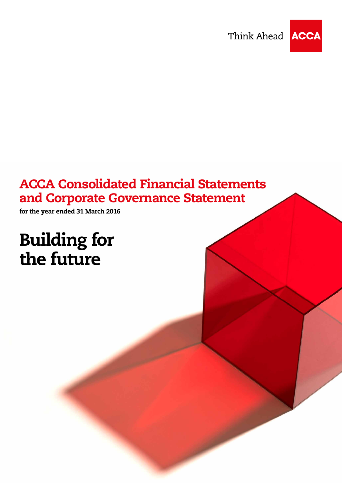Think Ahead



# ACCA Consolidated Financial Statements and Corporate Governance Statement

for the year ended 31 March 2016

# Building for the future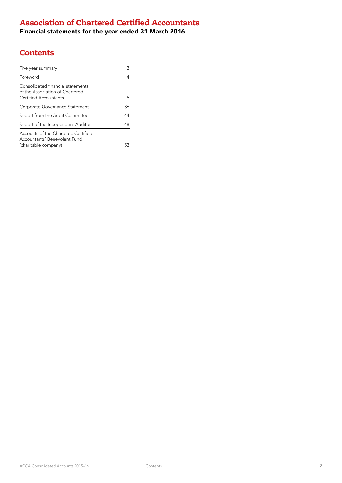### Association of Chartered Certified Accountants

Financial statements for the year ended 31 March 2016

### **Contents**

| Five year summary                                                    |    |
|----------------------------------------------------------------------|----|
| Foreword                                                             |    |
| Consolidated financial statements<br>of the Association of Chartered |    |
| Certified Accountants                                                | 5  |
| Corporate Governance Statement                                       | 36 |
| Report from the Audit Committee                                      | 44 |
| Report of the Independent Auditor                                    | 48 |
| Accounts of the Chartered Certified<br>Accountants' Benevolent Fund  |    |
| (charitable company)                                                 |    |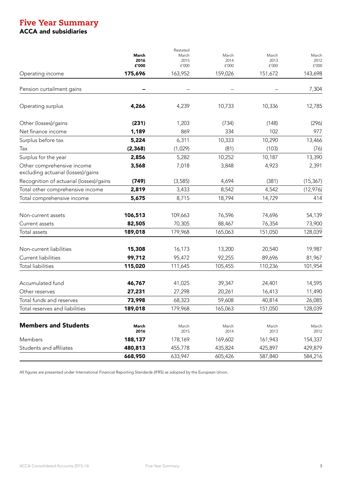### Five Year Summary ACCA and subsidiaries

|                                                                  | March<br>2016<br>£'000 | Restated<br>March<br>2015<br>£'000 | March<br>2014<br>£'000 | March<br>2013<br>£'000 | March<br>2012<br>${\tt f'}000$ |
|------------------------------------------------------------------|------------------------|------------------------------------|------------------------|------------------------|--------------------------------|
| Operating income                                                 | 175,696                | 163,952                            | 159,026                | 151,672                | 143,698                        |
| Pension curtailment gains                                        |                        |                                    |                        |                        | 7,304                          |
| Operating surplus                                                | 4,266                  | 4,239                              | 10,733                 | 10,336                 | 12,785                         |
| Other (losses)/gains                                             | (231)                  | 1,203                              | (734)                  | (148)                  | (296)                          |
| Net finance income                                               | 1,189                  | 869                                | 334                    | 102                    | 977                            |
| Surplus before tax                                               | 5,224                  | 6,311                              | 10,333                 | 10,290                 | 13,466                         |
| Tax                                                              | (2, 368)               | (1,029)                            | (81)                   | (103)                  | (76)                           |
| Surplus for the year                                             | 2,856                  | 5,282                              | 10,252                 | 10,187                 | 13,390                         |
| Other comprehensive income<br>excluding actuarial (losses)/gains | 3,568                  | 7,018                              | 3,848                  | 4,923                  | 2,391                          |
| Recognition of actuarial (losses)/gains                          | (749)                  | (3, 585)                           | 4,694                  | (381)                  | (15, 367)                      |
| Total other comprehensive income                                 | 2,819                  | 3,433                              | 8,542                  | 4,542                  | (12,976)                       |
| Total comprehensive income                                       | 5,675                  | 8,715                              | 18,794                 | 14,729                 | 414                            |
| Non-current assets                                               | 106,513                | 109,663                            | 76,596                 | 74,696                 | 54,139                         |
| Current assets                                                   | 82,505                 | 70,305                             | 88,467                 | 76,354                 | 73,900                         |
| Total assets                                                     | 189,018                | 179,968                            | 165,063                | 151,050                | 128,039                        |
| Non-current liabilities                                          | 15,308                 | 16,173                             | 13,200                 | 20,540                 | 19,987                         |
| Current liabilities                                              | 99,712                 | 95,472                             | 92,255                 | 89,696                 | 81,967                         |
| <b>Total liabilities</b>                                         | 115,020                | 111,645                            | 105,455                | 110,236                | 101,954                        |
| Accumulated fund                                                 | 46,767                 | 41,025                             | 39,347                 | 24,401                 | 14,595                         |
| Other reserves                                                   | 27,231                 | 27,298                             | 20,261                 | 16,413                 | 11,490                         |
| Total funds and reserves                                         | 73,998                 | 68,323                             | 59,608                 | 40,814                 | 26,085                         |
| Total reserves and liabilities                                   | 189,018                | 179,968                            | 165,063                | 151,050                | 128,039                        |
| <b>Members and Students</b>                                      | March<br>2016          | March<br>2015                      | March<br>2014          | March<br>2013          | March<br>2012                  |
| Members                                                          | 188,137                | 178,169                            | 169,602                | 161,943                | 154,337                        |
| Students and affiliates                                          | 480,813                | 455,778                            | 435,824                | 425,897                | 429,879                        |
|                                                                  | 668,950                | 633,947                            | 605,426                | 587,840                | 584,216                        |
|                                                                  |                        |                                    |                        |                        |                                |

All figures are presented under International Financial Reporting Standards (IFRS) as adopted by the European Union.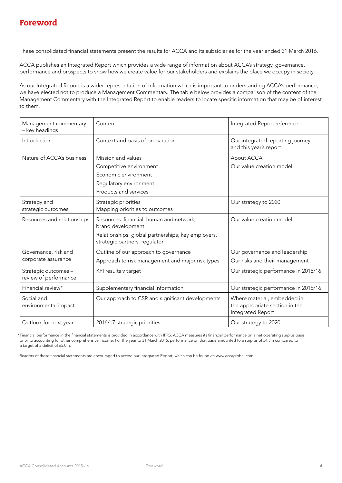These consolidated financial statements present the results for ACCA and its subsidiaries for the year ended 31 March 2016.

ACCA publishes an Integrated Report which provides a wide range of information about ACCA's strategy, governance, performance and prospects to show how we create value for our stakeholders and explains the place we occupy in society.

As our Integrated Report is a wider representation of information which is important to understanding ACCA's performance, we have elected not to produce a Management Commentary. The table below provides a comparison of the content of the Management Commentary with the Integrated Report to enable readers to locate specific information that may be of interest to them.

| Management commentary<br>- key headings       | Content                                                                                                                                              | Integrated Report reference                                                        |
|-----------------------------------------------|------------------------------------------------------------------------------------------------------------------------------------------------------|------------------------------------------------------------------------------------|
| Introduction                                  | Context and basis of preparation                                                                                                                     | Our integrated reporting journey<br>and this year's report                         |
| Nature of ACCA's business                     | Mission and values<br>Competitive environment<br>Economic environment<br>Regulatory environment<br>Products and services                             | About ACCA<br>Our value creation model                                             |
| Strategy and<br>strategic outcomes            | Strategic priorities<br>Mapping priorities to outcomes                                                                                               | Our strategy to 2020                                                               |
| Resources and relationships                   | Resources: financial, human and network;<br>brand development<br>Relationships: global partnerships, key employers,<br>strategic partners, regulator | Our value creation model                                                           |
| Governance, risk and<br>corporate assurance   | Outline of our approach to governance<br>Approach to risk management and major risk types                                                            | Our governance and leadership<br>Our risks and their management                    |
| Strategic outcomes -<br>review of performance | KPI results v target                                                                                                                                 | Our strategic performance in 2015/16                                               |
| Financial review*                             | Supplementary financial information                                                                                                                  | Our strategic performance in 2015/16                                               |
| Social and<br>environmental impact            | Our approach to CSR and significant developments                                                                                                     | Where material, embedded in<br>the appropriate section in the<br>Integrated Report |
| Outlook for next year                         | 2016/17 strategic priorities                                                                                                                         | Our strategy to 2020                                                               |

 \*Financial performance in the financial statements is provided in accordance with IFRS. ACCA measures its financial performance on a net operating surplus basis, prior to accounting for other comprehensive income. For the year to 31 March 2016, performance on that basis amounted to a surplus of £4.3m compared to a target of a deficit of £5.0m.

Readers of these financial statements are encouraged to access our Integrated Report, which can be found at: www.accaglobal.com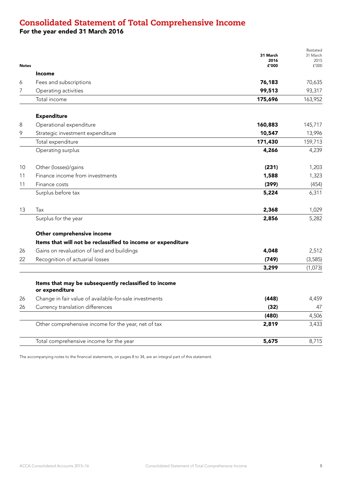### Consolidated Statement of Total Comprehensive Income

For the year ended 31 March 2016

| <b>Notes</b> |                                                                         | 31 March<br>2016<br>£'000 | Restated<br>31 March<br>2015<br>f'000 |
|--------------|-------------------------------------------------------------------------|---------------------------|---------------------------------------|
|              | Income                                                                  |                           |                                       |
| 6            | Fees and subscriptions                                                  | 76,183                    | 70,635                                |
| 7            | Operating activities                                                    | 99,513                    | 93,317                                |
|              | Total income                                                            | 175,696                   | 163,952                               |
|              | <b>Expenditure</b>                                                      |                           |                                       |
| 8            | Operational expenditure                                                 | 160,883                   | 145,717                               |
| 9            | Strategic investment expenditure                                        | 10,547                    | 13,996                                |
|              | Total expenditure                                                       | 171,430                   | 159,713                               |
|              | Operating surplus                                                       | 4,266                     | 4,239                                 |
| 10           | Other (losses)/gains                                                    | (231)                     | 1,203                                 |
| 11           | Finance income from investments                                         | 1,588                     | 1,323                                 |
| 11           | Finance costs                                                           | (399)                     | (454)                                 |
|              | Surplus before tax                                                      | 5,224                     | 6,311                                 |
| 13           | Tax                                                                     | 2,368                     | 1,029                                 |
|              | Surplus for the year                                                    | 2,856                     | 5,282                                 |
|              | Other comprehensive income                                              |                           |                                       |
|              | Items that will not be reclassified to income or expenditure            |                           |                                       |
| 26           | Gains on revaluation of land and buildings                              | 4,048                     | 2,512                                 |
| 22           | Recognition of actuarial losses                                         | (749)                     | (3, 585)                              |
|              |                                                                         | 3,299                     | (1,073)                               |
|              | Items that may be subsequently reclassified to income<br>or expenditure |                           |                                       |
| 26           | Change in fair value of available-for-sale investments                  | (448)                     | 4,459                                 |
| 26           | Currency translation differences                                        | (32)                      | 47                                    |
|              |                                                                         | (480)                     | 4,506                                 |
|              | Other comprehensive income for the year, net of tax                     | 2,819                     | 3,433                                 |
|              | Total comprehensive income for the year                                 | 5,675                     | 8,715                                 |
|              |                                                                         |                           |                                       |

The accompanying notes to the financial statements, on pages 8 to 34, are an integral part of this statement.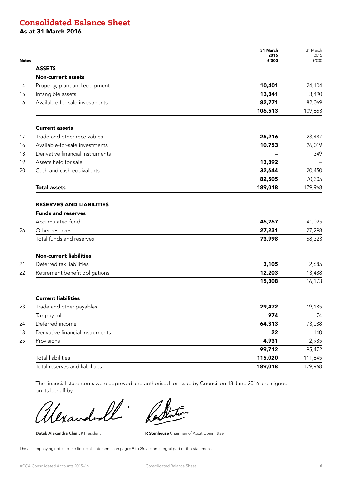### Consolidated Balance Sheet

As at 31 March 2016

| <b>ASSETS</b><br><b>Non-current assets</b><br>Property, plant and equipment<br>10,401<br>14<br>Intangible assets<br>13,341<br>15<br>Available-for-sale investments<br>82,771<br>16<br>106,513<br><b>Current assets</b><br>Trade and other receivables<br>25,216<br>17<br>Available-for-sale investments<br>10,753<br>16<br>Derivative financial instruments<br>18<br>Assets held for sale<br>13,892<br>19<br>Cash and cash equivalents<br>32,644<br>20<br>82,505<br>189,018<br><b>Total assets</b><br><b>RESERVES AND LIABILITIES</b><br><b>Funds and reserves</b><br>Accumulated fund<br>46,767<br>Other reserves<br>27,231<br>26<br>Total funds and reserves<br>73,998<br><b>Non-current liabilities</b><br>Deferred tax liabilities<br>21<br>3,105<br>Retirement benefit obligations<br>12,203<br>22<br>15,308<br><b>Current liabilities</b><br>23<br>Trade and other payables<br>29,472<br>974<br>Tax payable<br>Deferred income<br>64,313<br>24 | 31 March<br>2015<br>£'000 |
|------------------------------------------------------------------------------------------------------------------------------------------------------------------------------------------------------------------------------------------------------------------------------------------------------------------------------------------------------------------------------------------------------------------------------------------------------------------------------------------------------------------------------------------------------------------------------------------------------------------------------------------------------------------------------------------------------------------------------------------------------------------------------------------------------------------------------------------------------------------------------------------------------------------------------------------------------|---------------------------|
|                                                                                                                                                                                                                                                                                                                                                                                                                                                                                                                                                                                                                                                                                                                                                                                                                                                                                                                                                      |                           |
|                                                                                                                                                                                                                                                                                                                                                                                                                                                                                                                                                                                                                                                                                                                                                                                                                                                                                                                                                      |                           |
|                                                                                                                                                                                                                                                                                                                                                                                                                                                                                                                                                                                                                                                                                                                                                                                                                                                                                                                                                      | 24,104                    |
|                                                                                                                                                                                                                                                                                                                                                                                                                                                                                                                                                                                                                                                                                                                                                                                                                                                                                                                                                      | 3,490                     |
|                                                                                                                                                                                                                                                                                                                                                                                                                                                                                                                                                                                                                                                                                                                                                                                                                                                                                                                                                      | 82,069                    |
|                                                                                                                                                                                                                                                                                                                                                                                                                                                                                                                                                                                                                                                                                                                                                                                                                                                                                                                                                      | 109,663                   |
|                                                                                                                                                                                                                                                                                                                                                                                                                                                                                                                                                                                                                                                                                                                                                                                                                                                                                                                                                      |                           |
|                                                                                                                                                                                                                                                                                                                                                                                                                                                                                                                                                                                                                                                                                                                                                                                                                                                                                                                                                      | 23,487                    |
|                                                                                                                                                                                                                                                                                                                                                                                                                                                                                                                                                                                                                                                                                                                                                                                                                                                                                                                                                      | 26,019                    |
|                                                                                                                                                                                                                                                                                                                                                                                                                                                                                                                                                                                                                                                                                                                                                                                                                                                                                                                                                      | 349                       |
|                                                                                                                                                                                                                                                                                                                                                                                                                                                                                                                                                                                                                                                                                                                                                                                                                                                                                                                                                      |                           |
|                                                                                                                                                                                                                                                                                                                                                                                                                                                                                                                                                                                                                                                                                                                                                                                                                                                                                                                                                      | 20,450                    |
|                                                                                                                                                                                                                                                                                                                                                                                                                                                                                                                                                                                                                                                                                                                                                                                                                                                                                                                                                      | 70,305                    |
|                                                                                                                                                                                                                                                                                                                                                                                                                                                                                                                                                                                                                                                                                                                                                                                                                                                                                                                                                      | 179,968                   |
|                                                                                                                                                                                                                                                                                                                                                                                                                                                                                                                                                                                                                                                                                                                                                                                                                                                                                                                                                      | 41,025<br>27,298          |
|                                                                                                                                                                                                                                                                                                                                                                                                                                                                                                                                                                                                                                                                                                                                                                                                                                                                                                                                                      | 68,323                    |
|                                                                                                                                                                                                                                                                                                                                                                                                                                                                                                                                                                                                                                                                                                                                                                                                                                                                                                                                                      |                           |
|                                                                                                                                                                                                                                                                                                                                                                                                                                                                                                                                                                                                                                                                                                                                                                                                                                                                                                                                                      | 2,685                     |
|                                                                                                                                                                                                                                                                                                                                                                                                                                                                                                                                                                                                                                                                                                                                                                                                                                                                                                                                                      | 13,488                    |
|                                                                                                                                                                                                                                                                                                                                                                                                                                                                                                                                                                                                                                                                                                                                                                                                                                                                                                                                                      | 16,173                    |
|                                                                                                                                                                                                                                                                                                                                                                                                                                                                                                                                                                                                                                                                                                                                                                                                                                                                                                                                                      |                           |
|                                                                                                                                                                                                                                                                                                                                                                                                                                                                                                                                                                                                                                                                                                                                                                                                                                                                                                                                                      | 19,185                    |
|                                                                                                                                                                                                                                                                                                                                                                                                                                                                                                                                                                                                                                                                                                                                                                                                                                                                                                                                                      | 74                        |
|                                                                                                                                                                                                                                                                                                                                                                                                                                                                                                                                                                                                                                                                                                                                                                                                                                                                                                                                                      | 73,088                    |
| Derivative financial instruments<br>18<br>22                                                                                                                                                                                                                                                                                                                                                                                                                                                                                                                                                                                                                                                                                                                                                                                                                                                                                                         | 140                       |
| 4,931<br>25<br>Provisions                                                                                                                                                                                                                                                                                                                                                                                                                                                                                                                                                                                                                                                                                                                                                                                                                                                                                                                            | 2,985                     |
| 99,712                                                                                                                                                                                                                                                                                                                                                                                                                                                                                                                                                                                                                                                                                                                                                                                                                                                                                                                                               | 95,472                    |
| <b>Total liabilities</b><br>115,020                                                                                                                                                                                                                                                                                                                                                                                                                                                                                                                                                                                                                                                                                                                                                                                                                                                                                                                  | 111,645                   |
| 189,018<br>Total reserves and liabilities                                                                                                                                                                                                                                                                                                                                                                                                                                                                                                                                                                                                                                                                                                                                                                                                                                                                                                            | 179,968                   |

The financial statements were approved and authorised for issue by Council on 18 June 2016 and signed on its behalf by:

 $\ell$ lxar

Datuk Alexandra Chin JP President **R Stenhouse** Chairman of Audit Committee

The accompanying notes to the financial statements, on pages 9 to 35, are an integral part of this statement.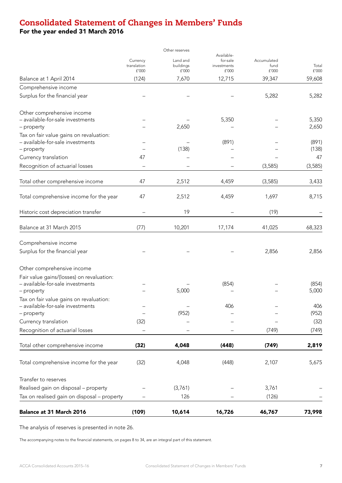## Consolidated Statement of Changes in Members' Funds

For the year ended 31 March 2016

|                                             |             | Other reserves |                        |             |          |
|---------------------------------------------|-------------|----------------|------------------------|-------------|----------|
|                                             | Currency    | Land and       | Available-<br>for-sale | Accumulated |          |
|                                             | translation | buildings      | investments            | fund        | Total    |
|                                             | f'000       | £'000          | £'000                  | f'000       | £'000    |
| Balance at 1 April 2014                     | (124)       | 7,670          | 12,715                 | 39,347      | 59,608   |
| Comprehensive income                        |             |                |                        |             |          |
| Surplus for the financial year              |             |                |                        | 5,282       | 5,282    |
| Other comprehensive income                  |             |                |                        |             |          |
| - available-for-sale investments            |             |                | 5,350                  |             | 5,350    |
| - property                                  |             | 2,650          |                        |             | 2,650    |
| Tax on fair value gains on revaluation:     |             |                |                        |             |          |
| - available-for-sale investments            |             |                | (891)                  |             | (891)    |
| - property                                  |             | (138)          |                        |             | (138)    |
| Currency translation                        | 47          |                |                        |             | 47       |
| Recognition of actuarial losses             |             |                |                        | (3, 585)    | (3, 585) |
| Total other comprehensive income            | 47          | 2,512          | 4,459                  | (3, 585)    | 3,433    |
| Total comprehensive income for the year     | 47          | 2,512          | 4,459                  | 1,697       | 8,715    |
| Historic cost depreciation transfer         |             | 19             |                        | (19)        |          |
| Balance at 31 March 2015                    | (77)        | 10,201         | 17,174                 | 41,025      | 68,323   |
| Comprehensive income                        |             |                |                        |             |          |
| Surplus for the financial year              |             |                |                        | 2,856       | 2,856    |
| Other comprehensive income                  |             |                |                        |             |          |
| Fair value gains/(losses) on revaluation:   |             |                |                        |             |          |
| - available-for-sale investments            |             |                | (854)                  |             | (854)    |
| – property                                  |             | 5,000          |                        |             | 5,000    |
| Tax on fair value gains on revaluation:     |             |                |                        |             |          |
| – available-for-sale investments            |             |                | 406                    |             | 406      |
| - property                                  |             | (952)          |                        |             | (952)    |
| Currency translation                        | (32)        |                |                        |             | (32)     |
| Recognition of actuarial losses             |             |                |                        | (749)       | (749)    |
| Total other comprehensive income            | (32)        | 4,048          | (448)                  | (749)       | 2,819    |
|                                             |             |                |                        |             |          |
| Total comprehensive income for the year     | (32)        | 4,048          | (448)                  | 2,107       | 5,675    |
| Transfer to reserves                        |             |                |                        |             |          |
| Realised gain on disposal - property        |             | (3,761)        |                        | 3,761       |          |
| Tax on realised gain on disposal - property |             | 126            |                        | (126)       |          |
| Balance at 31 March 2016                    | (109)       | 10,614         | 16,726                 | 46,767      | 73,998   |

The analysis of reserves is presented in note 26.

The accompanying notes to the financial statements, on pages 8 to 34, are an integral part of this statement.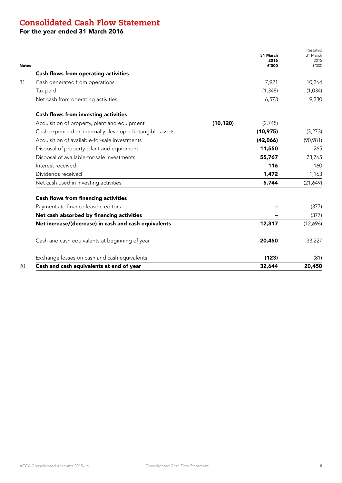### Consolidated Cash Flow Statement

For the year ended 31 March 2016

|                                                         |           | 31 March<br>2016<br>£'000 | Restated<br>31 March<br>2015<br>f'000 |
|---------------------------------------------------------|-----------|---------------------------|---------------------------------------|
| <b>Cash flows from operating activities</b>             |           |                           |                                       |
| Cash generated from operations                          |           | 7,921                     | 10,364                                |
| Tax paid                                                |           | (1, 348)                  | (1,034)                               |
| Net cash from operating activities                      |           | 6,573                     | 9,330                                 |
| <b>Cash flows from investing activities</b>             |           |                           |                                       |
| Acquisition of property, plant and equipment            | (10, 120) | (2,748)                   |                                       |
| Cash expended on internally developed intangible assets |           | (10, 975)                 | (3,273)                               |
| Acquisition of available-for-sale investments           |           | (42,066)                  | (90, 981)                             |
| Disposal of property, plant and equipment               |           | 11,550                    | 265                                   |
| Disposal of available-for-sale investments              |           | 55,767                    | 73,765                                |
| Interest received                                       |           | 116                       | 160                                   |
| Dividends received                                      |           | 1,472                     | 1,163                                 |
| Net cash used in investing activities                   |           | 5,744                     | (21,649)                              |
| <b>Cash flows from financing activities</b>             |           |                           |                                       |
| Payments to finance lease creditors                     |           |                           | (377)                                 |
| Net cash absorbed by financing activities               |           |                           | (377)                                 |
| Net increase/(decrease) in cash and cash equivalents    |           | 12,317                    | (12,696)                              |
| Cash and cash equivalents at beginning of year          |           | 20,450                    | 33,227                                |
| Exchange losses on cash and cash equivalents            |           | (123)                     | (81)                                  |
| Cash and cash equivalents at end of year                |           | 32,644                    | 20,450                                |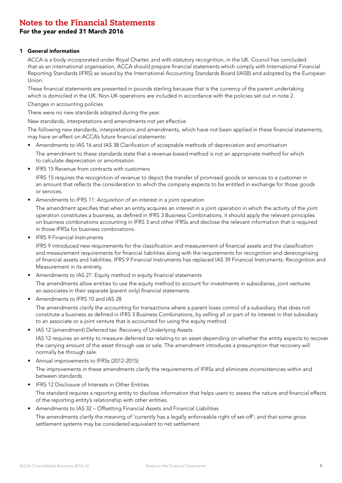### For the year ended 31 March 2016

### 1 General information

ACCA is a body incorporated under Royal Charter, and with statutory recognition, in the UK. Council has concluded that as an international organisation, ACCA should prepare financial statements which comply with International Financial Reporting Standards (IFRS) as issued by the International Accounting Standards Board (IASB) and adopted by the European Union.

These financial statements are presented in pounds sterling because that is the currency of the parent undertaking which is domiciled in the UK. Non-UK operations are included in accordance with the policies set out in note 2.

Changes in accounting policies

There were no new standards adopted during the year.

New standards, interpretations and amendments not yet effective

The following new standards, interpretations and amendments, which have not been applied in these financial statements, may have an effect on ACCA's future financial statements:

- Amendments to IAS 16 and IAS 38 Clarification of acceptable methods of depreciation and amortisation The amendment to these standards state that a revenue-based method is not an appropriate method for which to calculate depreciation or amortisation.
- IFRS 15 Revenue from contracts with customers

IFRS 15 requires the recognition of revenue to depict the transfer of promised goods or services to a customer in an amount that reflects the consideration to which the company expects to be entitled in exchange for those goods or services.

• Amendments to IFRS 11: Acquisition of an interest in a joint operation

The amendment specifies that when an entity acquires an interest in a joint operation in which the activity of the joint operation constitutes a business, as defined in IFRS 3 Business Combinations, it should apply the relevant principles on business combinations accounting in IFRS 3 and other IFRSs and disclose the relevant information that is required in those IFRSs for business combinations.

• IFRS 9 Financial Instruments

IFRS 9 introduced new requirements for the classification and measurement of financial assets and the classification and measurement requirements for financial liabilities along with the requirements for recognition and derecognising of financial assets and liabilities. IFRS 9 Financial Instruments has replaced IAS 39 Financial Instruments: Recognition and Measurement in its entirety.

Amendments to IAS 27: Equity method in equity financial statements

The amendments allow entities to use the equity method to account for investments in subsidiaries, joint ventures an associates in their separate (parent only) financial statements.

• Amendments to IFRS 10 and IAS 28

The amendments clarify the accounting for transactions where a parent loses control of a subsidiary, that does not constitute a business as defined in IFRS 3 Business Combinations, by selling all or part of its interest in that subsidiary to an associate or a joint venture that is accounted for using the equity method.

IAS 12 (amendment) Deferred tax: Recovery of Underlying Assets

IAS 12 requires an entity to measure deferred tax relating to an asset depending on whether the entity expects to recover the carrying amount of the asset through use or sale. The amendment introduces a presumption that recovery will normally be through sale.

• Annual improvements to IFRSs (2012-2015)

The improvements in these amendments clarify the requirements of IFRSs and eliminate inconsistencies within and between standards.

- IFRS 12 Disclosure of Interests in Other Entities The standard requires a reporting entity to disclose information that helps users to assess the nature and financial effects of the reporting entity's relationship with other entities.
- Amendments to IAS 32 Offsetting Financial Assets and Financial Liabilities

The amendments clarify the meaning of 'currently has a legally enforceable right of set-off'; and that some gross settlement systems may be considered equivalent to net settlement.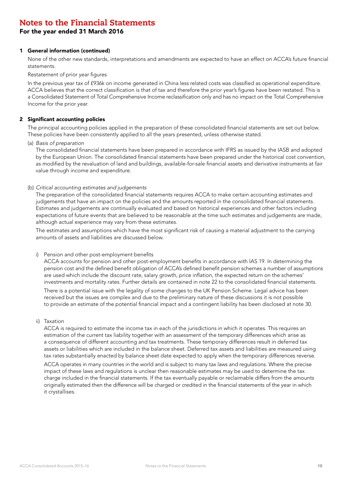### For the year ended 31 March 2016

### 1 General information (continued)

None of the other new standards, interpretations and amendments are expected to have an effect on ACCA's future financial statements.

Restatement of prior year figures

In the previous year tax of £936k on income generated in China less related costs was classified as operational expenditure. ACCA believes that the correct classification is that of tax and therefore the prior year's figures have been restated. This is a Consolidated Statement of Total Comprehensive Income reclassification only and has no impact on the Total Comprehensive Income for the prior year.

### 2 Significant accounting policies

The principal accounting policies applied in the preparation of these consolidated financial statements are set out below. These policies have been consistently applied to all the years presented, unless otherwise stated.

(a) *Basis of preparation*

The consolidated financial statements have been prepared in accordance with IFRS as issued by the IASB and adopted by the European Union. The consolidated financial statements have been prepared under the historical cost convention, as modified by the revaluation of land and buildings, available-for-sale financial assets and derivative instruments at fair value through income and expenditure.

(b) *Critical accounting estimates and judgements*

The preparation of the consolidated financial statements requires ACCA to make certain accounting estimates and judgements that have an impact on the policies and the amounts reported in the consolidated financial statements. Estimates and judgements are continually evaluated and based on historical experiences and other factors including expectations of future events that are believed to be reasonable at the time such estimates and judgements are made, although actual experience may vary from these estimates.

The estimates and assumptions which have the most significant risk of causing a material adjustment to the carrying amounts of assets and liabilities are discussed below.

#### i) Pension and other post-employment benefits

ACCA accounts for pension and other post-employment benefits in accordance with IAS 19. In determining the pension cost and the defined benefit obligation of ACCA's defined benefit pension schemes a number of assumptions are used which include the discount rate, salary growth, price inflation, the expected return on the schemes' investments and mortality rates. Further details are contained in note 22 to the consolidated financial statements.

There is a potential issue with the legality of some changes to the UK Pension Scheme. Legal advice has been received but the issues are complex and due to the preliminary nature of these discussions it is not possible to provide an estimate of the potential financial impact and a contingent liability has been disclosed at note 30.

ii) Taxation

ACCA is required to estimate the income tax in each of the jurisdictions in which it operates. This requires an estimation of the current tax liability together with an assessment of the temporary differences which arise as a consequence of different accounting and tax treatments. These temporary differences result in deferred tax assets or liabilities which are included in the balance sheet. Deferred tax assets and liabilities are measured using tax rates substantially enacted by balance sheet date expected to apply when the temporary differences reverse. ACCA operates in many countries in the world and is subject to many tax laws and regulations. Where the precise impact of these laws and regulations is unclear then reasonable estimates may be used to determine the tax charge included in the financial statements. If the tax eventually payable or reclaimable differs from the amounts originally estimated then the difference will be charged or credited in the financial statements of the year in which it crystallises.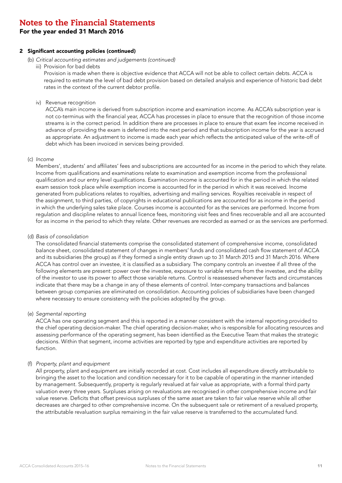For the year ended 31 March 2016

### 2 Significant accounting policies (continued)

- (b) *Critical accounting estimates and judgements (continued)*
	- iii) Provision for bad debts

Provision is made when there is objective evidence that ACCA will not be able to collect certain debts. ACCA is required to estimate the level of bad debt provision based on detailed analysis and experience of historic bad debt rates in the context of the current debtor profile.

iv) Revenue recognition

ACCA's main income is derived from subscription income and examination income. As ACCA's subscription year is not co-terminus with the financial year, ACCA has processes in place to ensure that the recognition of those income streams is in the correct period. In addition there are processes in place to ensure that exam fee income received in advance of providing the exam is deferred into the next period and that subscription income for the year is accrued as appropriate. An adjustment to income is made each year which reflects the anticipated value of the write-off of debt which has been invoiced in services being provided.

#### (c) *Income*

Members', students' and affiliates' fees and subscriptions are accounted for as income in the period to which they relate. Income from qualifications and examinations relate to examination and exemption income from the professional qualification and our entry level qualifications. Examination income is accounted for in the period in which the related exam session took place while exemption income is accounted for in the period in which it was received. Income generated from publications relates to royalties, advertising and mailing services. Royalties receivable in respect of the assignment, to third parties, of copyrights in educational publications are accounted for as income in the period in which the underlying sales take place. Courses income is accounted for as the services are performed. Income from regulation and discipline relates to annual licence fees, monitoring visit fees and fines recoverable and all are accounted for as income in the period to which they relate. Other revenues are recorded as earned or as the services are performed.

(d) *Basis of consolidation*

The consolidated financial statements comprise the consolidated statement of comprehensive income, consolidated balance sheet, consolidated statement of changes in members' funds and consolidated cash flow statement of ACCA and its subsidiaries (the group) as if they formed a single entity drawn up to 31 March 2015 and 31 March 2016. Where ACCA has control over an investee, it is classified as a subsidiary. The company controls an investee if all three of the following elements are present: power over the investee, exposure to variable returns from the investee, and the ability of the investor to use its power to affect those variable returns. Control is reassessed whenever facts and circumstances indicate that there may be a change in any of these elements of control. Inter-company transactions and balances between group companies are eliminated on consolidation. Accounting policies of subsidiaries have been changed where necessary to ensure consistency with the policies adopted by the group.

#### (e) *Segmental reporting*

ACCA has one operating segment and this is reported in a manner consistent with the internal reporting provided to the chief operating decision-maker. The chief operating decision-maker, who is responsible for allocating resources and assessing performance of the operating segment, has been identified as the Executive Team that makes the strategic decisions. Within that segment, income activities are reported by type and expenditure activities are reported by function.

### (f) *Property, plant and equipment*

All property, plant and equipment are initially recorded at cost. Cost includes all expenditure directly attributable to bringing the asset to the location and condition necessary for it to be capable of operating in the manner intended by management. Subsequently, property is regularly revalued at fair value as appropriate, with a formal third party valuation every three years. Surpluses arising on revaluations are recognised in other comprehensive income and fair value reserve. Deficits that offset previous surpluses of the same asset are taken to fair value reserve while all other decreases are charged to other comprehensive income. On the subsequent sale or retirement of a revalued property, the attributable revaluation surplus remaining in the fair value reserve is transferred to the accumulated fund.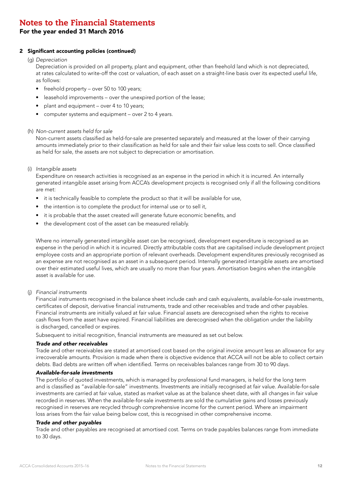### For the year ended 31 March 2016

### 2 Significant accounting policies (continued)

### (g) *Depreciation*

Depreciation is provided on all property, plant and equipment, other than freehold land which is not depreciated, at rates calculated to write-off the cost or valuation, of each asset on a straight-line basis over its expected useful life, as follows:

- freehold property over 50 to 100 years;
- leasehold improvements over the unexpired portion of the lease;
- plant and equipment over 4 to 10 years;
- computer systems and equipment over 2 to 4 years.

### (h) *Non-current assets held for sale*

Non-current assets classified as held-for-sale are presented separately and measured at the lower of their carrying amounts immediately prior to their classification as held for sale and their fair value less costs to sell. Once classified as held for sale, the assets are not subject to depreciation or amortisation.

(i) *Intangible assets* 

Expenditure on research activities is recognised as an expense in the period in which it is incurred. An internally generated intangible asset arising from ACCA's development projects is recognised only if all the following conditions are met:

- it is technically feasible to complete the product so that it will be available for use,
- the intention is to complete the product for internal use or to sell it,
- it is probable that the asset created will generate future economic benefits, and
- the development cost of the asset can be measured reliably.

Where no internally generated intangible asset can be recognised, development expenditure is recognised as an expense in the period in which it is incurred. Directly attributable costs that are capitalised include development project employee costs and an appropriate portion of relevant overheads. Development expenditures previously recognised as an expense are not recognised as an asset in a subsequent period. Internally generated intangible assets are amortised over their estimated useful lives, which are usually no more than four years. Amortisation begins when the intangible asset is available for use.

### (j) *Financial instruments*

Financial instruments recognised in the balance sheet include cash and cash equivalents, available-for-sale investments, certificates of deposit, derivative financial instruments, trade and other receivables and trade and other payables. Financial instruments are initially valued at fair value. Financial assets are derecognised when the rights to receive cash flows from the asset have expired. Financial liabilities are derecognised when the obligation under the liability is discharged, cancelled or expires.

Subsequent to initial recognition, financial instruments are measured as set out below.

#### *Trade and other receivables*

Trade and other receivables are stated at amortised cost based on the original invoice amount less an allowance for any irrecoverable amounts. Provision is made when there is objective evidence that ACCA will not be able to collect certain debts. Bad debts are written off when identified. Terms on receivables balances range from 30 to 90 days.

### *Available-for-sale investments*

The portfolio of quoted investments, which is managed by professional fund managers, is held for the long term and is classified as "available-for-sale" investments. Investments are initially recognised at fair value. Available-for-sale investments are carried at fair value, stated as market value as at the balance sheet date, with all changes in fair value recorded in reserves. When the available-for-sale investments are sold the cumulative gains and losses previously recognised in reserves are recycled through comprehensive income for the current period. Where an impairment loss arises from the fair value being below cost, this is recognised in other comprehensive income.

#### *Trade and other payables*

Trade and other payables are recognised at amortised cost. Terms on trade payables balances range from immediate to 30 days.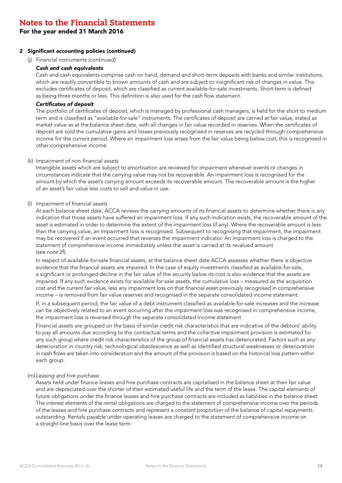For the year ended 31 March 2016

### 2 Significant accounting policies (continued)

(j) *Financial instruments (continued)*

#### *Cash and cash equivalents*

Cash and cash equivalents comprise cash on hand, demand and short-term deposits with banks and similar institutions, which are readily convertible to known amounts of cash and are subject to insignificant risk of changes in value. This excludes certificates of deposit, which are classified as current available-for-sale investments. Short-term is defined as being three months or less. This definition is also used for the cash flow statement.

### Certificates of deposit

The portfolio of certificates of deposit, which is managed by professional cash managers, is held for the short to medium term and is classified as "available-for-sale" instruments. The certificates of deposit are carried at fair value, stated as market value as at the balance sheet date, with all changes in fair value recorded in reserves. When the certificates of deposit are sold the cumulative gains and losses previously recognised in reserves are recycled through comprehensive income for the current period. Where an impairment loss arises from the fair value being below cost, this is recognised in other comprehensive income.

#### (k) Impairment of non-financial assets

Intangible assets which are subject to amortisation are reviewed for impairment whenever events or changes in circumstances indicate that the carrying value may not be recoverable. An impairment loss is recognised for the amount by which the asset's carrying amount exceeds its recoverable amount. The recoverable amount is the higher of an asset's fair value less costs to sell and value in use.

### (l) Impairment of financial assets

At each balance sheet date, ACCA reviews the carrying amounts of its financial assets to determine whether there is any indication that those assets have suffered an impairment loss. If any such indication exists, the recoverable amount of the asset is estimated in order to determine the extent of the impairment loss (if any). Where the recoverable amount is less than the carrying value, an impairment loss is recognised. Subsequent to recognising that impairment, the impairment may be recovered if an event occurred that reverses the impairment indicator. An impairment loss is charged to the statement of comprehensive income immediately unless the asset is carried at its revalued amount (see note 2f).

In respect of available-for-sale financial assets, at the balance sheet date ACCA assesses whether there is objective evidence that the financial assets are impaired. In the case of equity investments classified as available-for-sale, a significant or prolonged decline in the fair value of the security below its cost is also evidence that the assets are impaired. If any such evidence exists for available-for-sale assets, the cumulative loss – measured as the acquisition cost and the current fair value, less any impairment loss on that financial asset previously recognised in comprehensive income – is removed from fair value reserves and recognised in the separate consolidated income statement.

If, in a subsequent period, the fair value of a debt instrument classified as available-for-sale increases and the increase can be objectively related to an event occurring after the impairment loss was recognised in comprehensive income, the impairment loss is reversed through the separate consolidated income statement.

Financial assets are grouped on the basis of similar credit risk characteristics that are indicative of the debtors' ability to pay all amounts due according to the contractual terms and the collective impairment provision is estimated for any such group where credit risk characteristics of the group of financial assets has deteriorated. Factors such as any deterioration in country risk, technological obsolescence as well as identified structural weaknesses or deterioration in cash flows are taken into consideration and the amount of the provision is based on the historical loss pattern within each group.

#### (m)*Leasing and hire purchase*

Assets held under finance leases and hire purchase contracts are capitalised in the balance sheet at their fair value and are depreciated over the shorter of their estimated useful life and the term of the lease. The capital elements of future obligations under the finance leases and hire purchase contracts are included as liabilities in the balance sheet. The interest elements of the rental obligations are charged to the statement of comprehensive income over the periods of the leases and hire purchase contracts and represent a constant proportion of the balance of capital repayments outstanding. Rentals payable under operating leases are charged to the statement of comprehensive income on a straight-line basis over the lease term.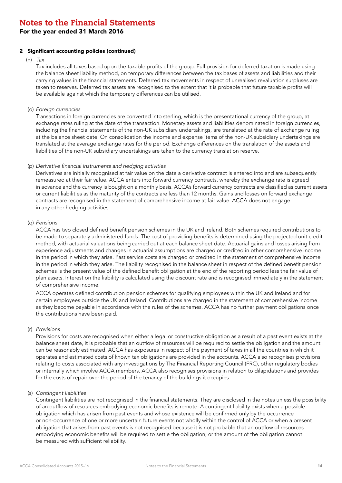For the year ended 31 March 2016

### 2 Significant accounting policies (continued)

(n) *Tax*

Tax includes all taxes based upon the taxable profits of the group. Full provision for deferred taxation is made using the balance sheet liability method, on temporary differences between the tax bases of assets and liabilities and their carrying values in the financial statements. Deferred tax movements in respect of unrealised revaluation surpluses are taken to reserves. Deferred tax assets are recognised to the extent that it is probable that future taxable profits will be available against which the temporary differences can be utilised.

(o) *Foreign currencies*

Transactions in foreign currencies are converted into sterling, which is the presentational currency of the group, at exchange rates ruling at the date of the transaction. Monetary assets and liabilities denominated in foreign currencies, including the financial statements of the non-UK subsidiary undertakings, are translated at the rate of exchange ruling at the balance sheet date. On consolidation the income and expense items of the non-UK subsidiary undertakings are translated at the average exchange rates for the period. Exchange differences on the translation of the assets and liabilities of the non-UK subsidiary undertakings are taken to the currency translation reserve.

### (p) Derivative financial instruments and hedging activities

Derivatives are initially recognised at fair value on the date a derivative contract is entered into and are subsequently remeasured at their fair value. ACCA enters into forward currency contracts, whereby the exchange rate is agreed in advance and the currency is bought on a monthly basis. ACCA's forward currency contracts are classified as current assets or current liabilities as the maturity of the contracts are less than 12 months. Gains and losses on forward exchange contracts are recognised in the statement of comprehensive income at fair value. ACCA does not engage in any other hedging activities.

#### (q) *Pensions*

ACCA has two closed defined benefit pension schemes in the UK and Ireland. Both schemes required contributions to be made to separately administered funds. The cost of providing benefits is determined using the projected unit credit method, with actuarial valuations being carried out at each balance sheet date. Actuarial gains and losses arising from experience adjustments and changes in actuarial assumptions are charged or credited in other comprehensive income in the period in which they arise. Past service costs are charged or credited in the statement of comprehensive income in the period in which they arise. The liability recognised in the balance sheet in respect of the defined benefit pension schemes is the present value of the defined benefit obligation at the end of the reporting period less the fair value of plan assets. Interest on the liability is calculated using the discount rate and is recognised immediately in the statement of comprehensive income.

ACCA operates defined contribution pension schemes for qualifying employees within the UK and Ireland and for certain employees outside the UK and Ireland. Contributions are charged in the statement of comprehensive income as they become payable in accordance with the rules of the schemes. ACCA has no further payment obligations once the contributions have been paid.

#### (r) *Provisions*

Provisions for costs are recognised when either a legal or constructive obligation as a result of a past event exists at the balance sheet date, it is probable that an outflow of resources will be required to settle the obligation and the amount can be reasonably estimated. ACCA has exposures in respect of the payment of taxes in all the countries in which it operates and estimated costs of known tax obligations are provided in the accounts. ACCA also recognises provisions relating to costs associated with any investigations by The Financial Reporting Council (FRC), other regulatory bodies or internally which involve ACCA members. ACCA also recognises provisions in relation to dilapidations and provides for the costs of repair over the period of the tenancy of the buildings it occupies.

### (s) *Contingent liabilities*

Contingent liabilities are not recognised in the financial statements. They are disclosed in the notes unless the possibility of an outflow of resources embodying economic benefits is remote. A contingent liability exists when a possible obligation which has arisen from past events and whose existence will be confirmed only by the occurrence or non-occurrence of one or more uncertain future events not wholly within the control of ACCA or when a present obligation that arises from past events is not recognised because it is not probable that an outflow of resources embodying economic benefits will be required to settle the obligation; or the amount of the obligation cannot be measured with sufficient reliability.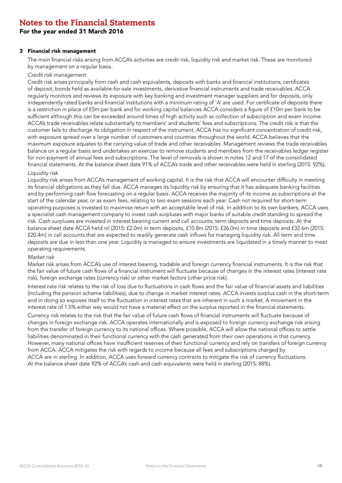### For the year ended 31 March 2016

#### 3 Financial risk management

The main financial risks arising from ACCA's activities are credit risk, liquidity risk and market risk. These are monitored by management on a regular basis.

#### *Credit risk management*

Credit risk arises principally from cash and cash equivalents, deposits with banks and financial institutions, certificates of deposit, bonds held as available-for-sale investments, derivative financial instruments and trade receivables. ACCA regularly monitors and reviews its exposure with key banking and investment manager suppliers and for deposits, only independently rated banks and financial institutions with a minimum rating of 'A' are used. For certificate of deposits there is a restriction in place of £5m per bank and for working capital balances ACCA considers a figure of £10m per bank to be sufficient although this can be exceeded around times of high activity such as collection of subscription and exam income. ACCA's trade receivables relate substantially to members' and students' fees and subscriptions. The credit risk is that the customer fails to discharge its obligation in respect of the instrument. ACCA has no significant concentration of credit risk, with exposure spread over a large number of customers and countries throughout the world. ACCA believes that the maximum exposure equates to the carrying value of trade and other receivables. Management reviews the trade receivables balance on a regular basis and undertakes an exercise to remove students and members from the receivables ledger register for non-payment of annual fees and subscriptions. The level of removals is shown in notes 12 and 17 of the consolidated financial statements. At the balance sheet date 91% of ACCA's trade and other receivables were held in sterling (2015: 92%).

### *Liquidity risk*

Liquidity risk arises from ACCA's management of working capital. It is the risk that ACCA will encounter difficulty in meeting its financial obligations as they fall due. ACCA manages its liquidity risk by ensuring that it has adequate banking facilities and by performing cash flow forecasting on a regular basis. ACCA receives the majority of its income as subscriptions at the start of the calendar year, or as exam fees, relating to two exam sessions each year. Cash not required for short-term operating purposes is invested to maximise return with an acceptable level of risk. In addition to its own bankers, ACCA uses a specialist cash management company to invest cash surpluses with major banks of suitable credit standing to spread the risk. Cash surpluses are invested in interest bearing current and call accounts, term deposits and time deposits. At the balance sheet date ACCA held nil (2015: £2.0m) in term deposits, £10.8m (2015: £26.0m) in time deposits and £32.6m (2015: £20.4m) in call accounts that are expected to readily generate cash inflows for managing liquidity risk. All term and time deposits are due in less than one year. Liquidity is managed to ensure investments are liquidated in a timely manner to meet operating requirements.

#### *Market risk*

Market risk arises from ACCA's use of interest bearing, tradable and foreign currency financial instruments. It is the risk that the fair value of future cash flows of a financial instrument will fluctuate because of changes in the interest rates (interest rate risk), foreign exchange rates (currency risk) or other market factors (other price risk).

Interest rate risk relates to the risk of loss due to fluctuations in cash flows and the fair value of financial assets and liabilities (including the pension scheme liabilities), due to change in market interest rates. ACCA invests surplus cash in the short-term and in doing so exposes itself to the fluctuation in interest rates that are inherent in such a market. A movement in the interest rate of 1.5% either way would not have a material effect on the surplus reported in the financial statements.

Currency risk relates to the risk that the fair value of future cash flows of financial instruments will fluctuate because of changes in foreign exchange risk. ACCA operates internationally and is exposed to foreign currency exchange risk arising from the transfer of foreign currency to its national offices. Where possible, ACCA will allow the national offices to settle liabilities denominated in their functional currency with the cash generated from their own operations in that currency. However, many national offices have insufficient reserves of their functional currency and rely on transfers of foreign currency from ACCA. ACCA mitigates the risk with regards to income because all fees and subscriptions charged by ACCA are in sterling. In addition, ACCA uses forward currency contracts to mitigate the risk of currency fluctuations. At the balance sheet date 92% of ACCA's cash and cash equivalents were held in sterling (2015: 88%).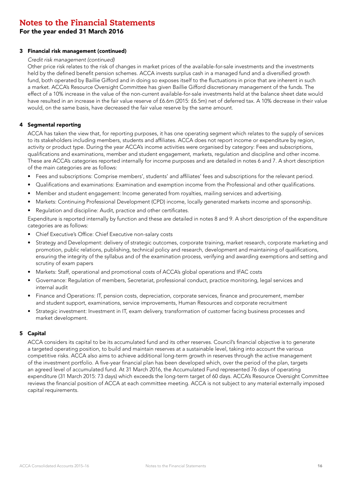For the year ended 31 March 2016

### 3 Financial risk management (continued)

### *Credit risk management (continued)*

Other price risk relates to the risk of changes in market prices of the available-for-sale investments and the investments held by the defined benefit pension schemes. ACCA invests surplus cash in a managed fund and a diversified growth fund, both operated by Baillie Gifford and in doing so exposes itself to the fluctuations in price that are inherent in such a market. ACCA's Resource Oversight Committee has given Baillie Gifford discretionary management of the funds. The effect of a 10% increase in the value of the non-current available-for-sale investments held at the balance sheet date would have resulted in an increase in the fair value reserve of £6.6m (2015: £6.5m) net of deferred tax. A 10% decrease in their value would, on the same basis, have decreased the fair value reserve by the same amount.

### 4 Segmental reporting

ACCA has taken the view that, for reporting purposes, it has one operating segment which relates to the supply of services to its stakeholders including members, students and affiliates. ACCA does not report income or expenditure by region, activity or product type. During the year ACCA's income activities were organised by category: Fees and subscriptions, qualifications and examinations, member and student engagement, markets, regulation and discipline and other income. These are ACCA's categories reported internally for income purposes and are detailed in notes 6 and 7. A short description of the main categories are as follows:

- Fees and subscriptions: Comprise members', students' and affiliates' fees and subscriptions for the relevant period.
- Qualifications and examinations: Examination and exemption income from the Professional and other qualifications.
- Member and student engagement: Income generated from royalties, mailing services and advertising.
- Markets: Continuing Professional Development (CPD) income, locally generated markets income and sponsorship.
- Regulation and discipline: Audit, practice and other certificates.

Expenditure is reported internally by function and these are detailed in notes 8 and 9. A short description of the expenditure categories are as follows:

- Chief Executive's Office: Chief Executive non-salary costs
- Strategy and Development: delivery of strategic outcomes, corporate training, market research, corporate marketing and promotion, public relations, publishing, technical policy and research, development and maintaining of qualifications, ensuring the integrity of the syllabus and of the examination process, verifying and awarding exemptions and setting and scrutiny of exam papers
- Markets: Staff, operational and promotional costs of ACCA's global operations and IFAC costs
- Governance: Regulation of members, Secretariat, professional conduct, practice monitoring, legal services and internal audit
- Finance and Operations: IT, pension costs, depreciation, corporate services, finance and procurement, member and student support, examinations, service improvements, Human Resources and corporate recruitment
- Strategic investment: Investment in IT, exam delivery, transformation of customer facing business processes and market development.

### 5 Capital

ACCA considers its capital to be its accumulated fund and its other reserves. Council's financial objective is to generate a targeted operating position, to build and maintain reserves at a sustainable level, taking into account the various competitive risks. ACCA also aims to achieve additional long-term growth in reserves through the active management of the investment portfolio. A five-year financial plan has been developed which, over the period of the plan, targets an agreed level of accumulated fund. At 31 March 2016, the Accumulated Fund represented 76 days of operating expenditure (31 March 2015: 73 days) which exceeds the long-term target of 60 days. ACCA's Resource Oversight Committee reviews the financial position of ACCA at each committee meeting. ACCA is not subject to any material externally imposed capital requirements.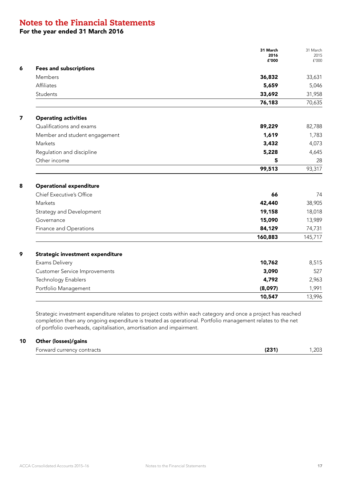### For the year ended 31 March 2016

|                                      | 31 March<br>2016<br>£'000 | 31 March<br>2015<br>f'000 |
|--------------------------------------|---------------------------|---------------------------|
| <b>Fees and subscriptions</b>        |                           |                           |
| Members                              | 36,832                    | 33,631                    |
| Affiliates                           | 5,659                     | 5,046                     |
| Students                             | 33,692                    | 31,958                    |
|                                      | 76,183                    | 70,635                    |
| <b>Operating activities</b>          |                           |                           |
| Qualifications and exams             | 89,229                    | 82,788                    |
| Member and student engagement        | 1,619                     | 1,783                     |
| Markets                              | 3,432                     | 4,073                     |
| Regulation and discipline            | 5,228                     | 4,645                     |
| Other income                         | 5                         | 28                        |
|                                      | 99,513                    | 93,317                    |
| <b>Operational expenditure</b>       |                           |                           |
| Chief Executive's Office             | 66                        | 74                        |
| Markets                              | 42,440                    | 38,905                    |
| Strategy and Development             | 19,158                    | 18,018                    |
| Governance                           | 15,090                    | 13,989                    |
| Finance and Operations               | 84,129                    | 74,731                    |
|                                      | 160,883                   | 145,717                   |
| Strategic investment expenditure     |                           |                           |
| Exams Delivery                       | 10,762                    | 8,515                     |
| <b>Customer Service Improvements</b> | 3,090                     | 527                       |
| Technology Enablers                  | 4,792                     | 2,963                     |
| Portfolio Management                 | (8,097)                   | 1,991                     |
|                                      | 10,547                    | 13,996                    |

Strategic investment expenditure relates to project costs within each category and once a project has reached completion then any ongoing expenditure is treated as operational. Portfolio management relates to the net of portfolio overheads, capitalisation, amortisation and impairment.

### 10 Other (losses)/gains

| currency contracts<br>orward | $- - -$ | $\sim$ |
|------------------------------|---------|--------|
|------------------------------|---------|--------|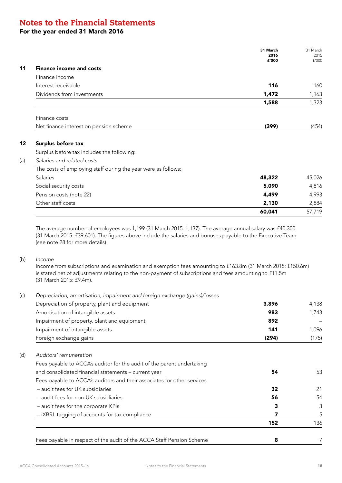### For the year ended 31 March 2016

|                                                               | 31 March<br>2016<br>£'000 | 31 March<br>2015<br>f'000 |
|---------------------------------------------------------------|---------------------------|---------------------------|
| <b>Finance income and costs</b>                               |                           |                           |
| Finance income                                                |                           |                           |
| Interest receivable                                           | 116                       | 160                       |
| Dividends from investments                                    | 1,472                     | 1,163                     |
|                                                               | 1,588                     | 1,323                     |
| Finance costs                                                 |                           |                           |
| Net finance interest on pension scheme                        | (399)                     | (454)                     |
| Surplus before tax                                            |                           |                           |
| Surplus before tax includes the following:                    |                           |                           |
| Salaries and related costs                                    |                           |                           |
| The costs of employing staff during the year were as follows: |                           |                           |
| Salaries                                                      | 48,322                    | 45,026                    |
| Social security costs                                         | 5,090                     | 4,816                     |
| Pension costs (note 22)                                       | 4,499                     | 4,993                     |
| Other staff costs                                             | 2,130                     | 2,884                     |
|                                                               | 60,041                    | 57,719                    |

The average number of employees was 1,199 (31 March 2015: 1,137). The average annual salary was £40,300 (31 March 2015: £39,601). The figures above include the salaries and bonuses payable to the Executive Team (see note 28 for more details).

### (b) *Income*

Income from subscriptions and examination and exemption fees amounting to £163.8m (31 March 2015: £150.6m) is stated net of adjustments relating to the non-payment of subscriptions and fees amounting to £11.5m (31 March 2015: £9.4m).

| (c) | Depreciation, amortisation, impairment and foreign exchange (gains)/losses |       |       |
|-----|----------------------------------------------------------------------------|-------|-------|
|     | Depreciation of property, plant and equipment                              | 3,896 | 4,138 |
|     | Amortisation of intangible assets                                          | 983   | 1,743 |
|     | Impairment of property, plant and equipment                                | 892   |       |
|     | Impairment of intangible assets                                            | 141   | 1,096 |
|     | Foreign exchange gains                                                     | (294) | (175) |
| (d) | Auditors' remuneration                                                     |       |       |
|     | Fees payable to ACCA's auditor for the audit of the parent undertaking     |       |       |
|     | and consolidated financial statements - current year                       | 54    | 53    |
|     | Fees payable to ACCA's auditors and their associates for other services    |       |       |
|     | - audit fees for UK subsidiaries                                           | 32    | 21    |
|     | - audit fees for non-UK subsidiaries                                       | 56    | 54    |
|     | - audit fees for the corporate KPIs                                        | 3     | 3     |
|     | - iXBRL tagging of accounts for tax compliance                             | 7     | 5     |
|     |                                                                            | 152   | 136   |
|     | Fees payable in respect of the audit of the ACCA Staff Pension Scheme      | 8     |       |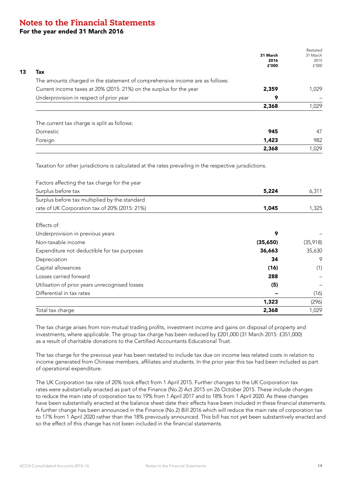### For the year ended 31 March 2016

|                                                                              |          | Restated |
|------------------------------------------------------------------------------|----------|----------|
|                                                                              | 31 March | 31 March |
|                                                                              | 2016     | 2015     |
| Tax                                                                          | £'000    | f'000    |
| The amounts charged in the statement of comprehensive income are as follows: |          |          |
| Current income taxes at 20% (2015: 21%) on the surplus for the year          | 2,359    | 1,029    |
| Underprovision in respect of prior year                                      | 9        |          |
|                                                                              | 2,368    | 1,029    |
| The current tax charge is split as follows:                                  |          |          |
| Domestic                                                                     | 945      | 47       |
| Foreign                                                                      | 1,423    | 982      |
|                                                                              | 2,368    | 1,029    |

Taxation for other jurisdictions is calculated at the rates prevailing in the respective jurisdictions.

| Factors affecting the tax charge for the year  |          |          |
|------------------------------------------------|----------|----------|
| Surplus before tax                             | 5,224    | 6,311    |
| Surplus before tax multiplied by the standard  |          |          |
| rate of UK Corporation tax of 20% (2015: 21%)  | 1,045    | 1,325    |
| Effects of:                                    |          |          |
| Underprovision in previous years               | 9        |          |
| Non-taxable income                             | (35,650) | (35,918) |
| Expenditure not deductible for tax purposes    | 36,663   | 35,630   |
| Depreciation                                   | 34       | 9        |
| Capital allowances                             | (16)     | (1)      |
| Losses carried forward                         | 288      |          |
| Utilisation of prior years unrecognised losses | (5)      |          |
| Differential in tax rates                      |          | (16)     |
|                                                | 1,323    | (296)    |
| Total tax charge                               | 2,368    | 1,029    |

The tax charge arises from non-mutual trading profits, investment income and gains on disposal of property and investments, where applicable. The group tax charge has been reduced by £201,000 (31 March 2015: £351,000) as a result of charitable donations to the Certified Accountants Educational Trust.

The tax charge for the previous year has been restated to include tax due on income less related costs in relation to income generated from Chinese members, affiliates and students. In the prior year this tax had been included as part of operational expenditure.

The UK Corporation tax rate of 20% took effect from 1 April 2015. Further changes to the UK Corporation tax rates were substantially enacted as part of the Finance (No.2) Act 2015 on 26 October 2015. These include changes to reduce the main rate of corporation tax to 19% from 1 April 2017 and to 18% from 1 April 2020. As these changes have been substantially enacted at the balance sheet date their effects have been included in these financial statements. A further change has been announced in the Finance (No.2) Bill 2016 which will reduce the main rate of corporation tax to 17% from 1 April 2020 rather than the 18% previously announced. This bill has not yet been substantively enacted and so the effect of this change has not been included in the financial statements.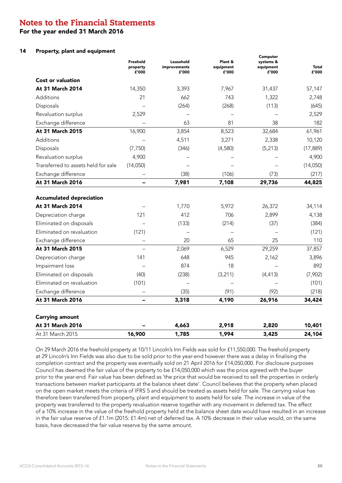For the year ended 31 March 2016

### 14 Property, plant and equipment

|                                                                            | Freehold<br>property<br>£'000 | Leasehold<br>improvements<br>£'000 | Plant &<br>equipment<br>£'000 | Computer<br>systems &<br>equipment<br>£'000 | Total<br>£'000  |
|----------------------------------------------------------------------------|-------------------------------|------------------------------------|-------------------------------|---------------------------------------------|-----------------|
| <b>Cost or valuation</b>                                                   |                               |                                    |                               |                                             |                 |
| At 31 March 2014                                                           | 14,350                        | 3,393                              | 7,967                         | 31,437                                      | 57,147          |
| Additions                                                                  | 21                            | 662                                | 743                           | 1,322                                       | 2,748           |
| Disposals                                                                  |                               | (264)                              | (268)                         | (113)                                       | (645)           |
| Revaluation surplus                                                        | 2,529                         |                                    |                               |                                             | 2,529           |
| Exchange difference                                                        |                               | 63                                 | 81                            | 38                                          | 182             |
| At 31 March 2015                                                           | 16,900                        | 3,854                              | 8,523                         | 32,684                                      | 61,961          |
| Additions                                                                  |                               | 4,511                              | 3,271                         | 2,338                                       | 10,120          |
| Disposals                                                                  | (7, 750)                      | (346)                              | (4,580)                       | (5, 213)                                    | (17, 889)       |
| Revaluation surplus                                                        | 4,900                         |                                    |                               |                                             | 4,900           |
| Transferred to assets held for sale                                        | (14,050)                      |                                    |                               |                                             | (14,050)        |
| Exchange difference                                                        |                               | (38)                               | (106)                         | (73)                                        | (217)           |
| At 31 March 2016                                                           |                               | 7,981                              | 7,108                         | 29,736                                      | 44,825          |
| <b>Accumulated depreciation</b><br>At 31 March 2014<br>Depreciation charge | 121                           | 1,770<br>412                       | 5,972<br>706                  | 26,372<br>2,899                             | 34,114<br>4,138 |
|                                                                            |                               |                                    |                               |                                             |                 |
| Eliminated on disposals<br>Eliminated on revaluation                       | (121)                         | (133)                              | (214)                         | (37)                                        | (384)           |
| Exchange difference                                                        |                               | 20                                 | 65                            | 25                                          | (121)<br>110    |
| At 31 March 2015                                                           | -                             | 2,069                              | 6,529                         | 29,259                                      | 37,857          |
| Depreciation charge                                                        | 141                           | 648                                | 945                           | 2,162                                       | 3,896           |
| Impairment loss                                                            |                               | 874                                | 18                            |                                             | 892             |
| Eliminated on disposals                                                    | (40)                          | (238)                              | (3,211)                       | (4, 413)                                    | (7,902)         |
| Eliminated on revaluation                                                  | (101)                         |                                    |                               |                                             | (101)           |
| Exchange difference                                                        | -                             | (35)                               | (91)                          | (92)                                        | (218)           |
| At 31 March 2016                                                           | $\overline{\phantom{0}}$      | 3,318                              | 4,190                         | 26,916                                      | 34,424          |
|                                                                            |                               |                                    |                               |                                             |                 |
| <b>Carrying amount</b>                                                     |                               |                                    |                               |                                             |                 |
| At 31 March 2016                                                           |                               | 4,663                              | 2,918                         | 2,820                                       | 10,401          |
| At 31 March 2015                                                           | 16,900                        | 1,785                              | 1,994                         | 3,425                                       | 24,104          |

On 29 March 2016 the freehold property at 10/11 Lincoln's Inn Fields was sold for £11,550,000. The freehold property at 29 Lincoln's Inn Fields was also due to be sold prior to the year-end however there was a delay in finalising the completion contract and the property was eventually sold on 21 April 2016 for £14,050,000. For disclosure purposes Council has deemed the fair value of the property to be £14,050,000 which was the price agreed with the buyer prior to the year-end. Fair value has been defined as 'the price that would be received to sell the properties in orderly transactions between market participants at the balance sheet date'. Council believes that the property when placed on the open market meets the criteria of IFRS 5 and should be treated as assets held for sale. The carrying value has therefore been transferred from property, plant and equipment to assets held for sale. The increase in value of the property was transferred to the property revaluation reserve together with any movement in deferred tax. The effect of a 10% increase in the value of the freehold property held at the balance sheet date would have resulted in an increase in the fair value reserve of £1.1m (2015: £1.4m) net of deferred tax. A 10% decrease in their value would, on the same basis, have decreased the fair value reserve by the same amount.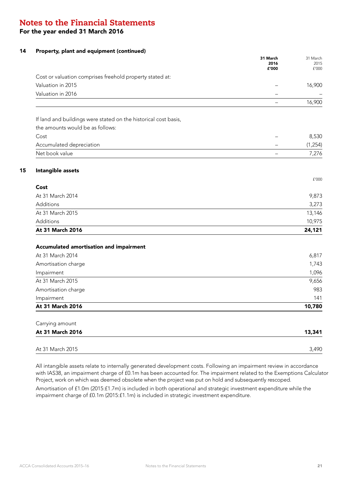### For the year ended 31 March 2016

### 14 Property, plant and equipment (continued)

|                                                                 | 31 March<br>2016<br>£'000 | 31 March<br>2015<br>£'000 |
|-----------------------------------------------------------------|---------------------------|---------------------------|
| Cost or valuation comprises freehold property stated at:        |                           |                           |
| Valuation in 2015                                               |                           | 16,900                    |
| Valuation in 2016                                               | L,                        |                           |
|                                                                 | $\overline{\phantom{0}}$  | 16,900                    |
| If land and buildings were stated on the historical cost basis, |                           |                           |
| the amounts would be as follows:                                |                           |                           |
| Cost                                                            |                           | 8,530                     |
| Accumulated depreciation                                        |                           | (1, 254)                  |
| Net book value                                                  | $\overline{\phantom{0}}$  | 7,276                     |
| Intangible assets                                               |                           |                           |
|                                                                 |                           | f'000                     |
| Cost                                                            |                           |                           |
| At 31 March 2014                                                |                           | 9,873                     |
| <b>Additions</b>                                                |                           | 3,273                     |
| At 31 March 2015                                                |                           | 13,146                    |
| Additions                                                       |                           | 10,975                    |
| At 31 March 2016                                                |                           | 24,121                    |
| Accumulated amortisation and impairment                         |                           |                           |
| At 31 March 2014                                                |                           | 6,817                     |
| Amortisation charge                                             |                           | 1,743                     |
| Impairment                                                      |                           | 1,096                     |
| At 31 March 2015                                                |                           | 9,656                     |
| Amortisation charge                                             |                           | 983                       |
| Impairment                                                      |                           | 141                       |
| At 31 March 2016                                                |                           | 10,780                    |
| Carrying amount                                                 |                           |                           |
| At 31 March 2016                                                |                           | 13,341                    |
| At 31 March 2015                                                |                           | 3,490                     |
|                                                                 |                           |                           |

All intangible assets relate to internally generated development costs. Following an impairment review in accordance with IAS38, an impairment charge of £0.1m has been accounted for. The impairment related to the Exemptions Calculator Project, work on which was deemed obsolete when the project was put on hold and subsequently rescoped. Amortisation of £1.0m (2015:£1.7m) is included in both operational and strategic investment expenditure while the

impairment charge of £0.1m (2015:£1.1m) is included in strategic investment expenditure.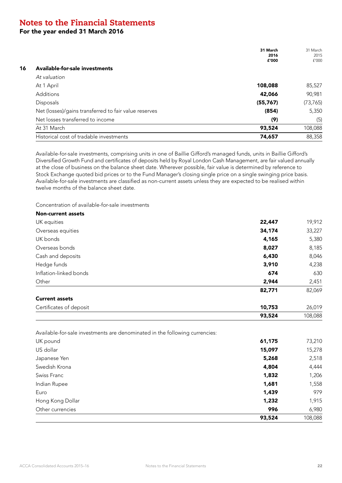For the year ended 31 March 2016

|                                                       | 31 March<br>2016<br>£'000 | 31 March<br>2015<br>f'000 |
|-------------------------------------------------------|---------------------------|---------------------------|
| Available-for-sale investments<br>16                  |                           |                           |
| At valuation                                          |                           |                           |
| At 1 April                                            | 108,088                   | 85,527                    |
| Additions                                             | 42,066                    | 90,981                    |
| <b>Disposals</b>                                      | (55, 767)                 | (73, 765)                 |
| Net (losses)/gains transferred to fair value reserves | (854)                     | 5,350                     |
| Net losses transferred to income                      | (9)                       | (5)                       |
| At 31 March                                           | 93,524                    | 108,088                   |
| Historical cost of tradable investments               | 74,657                    | 88,358                    |

Available-for-sale investments, comprising units in one of Baillie Gifford's managed funds, units in Baillie Gifford's Diversified Growth Fund and certificates of deposits held by Royal London Cash Management, are fair valued annually at the close of business on the balance sheet date. Wherever possible, fair value is determined by reference to Stock Exchange quoted bid prices or to the Fund Manager's closing single price on a single swinging price basis. Available-for-sale investments are classified as non-current assets unless they are expected to be realised within twelve months of the balance sheet date.

Concentration of available-for-sale investments

| <b>Non-current assets</b>                                                   |        |         |
|-----------------------------------------------------------------------------|--------|---------|
| UK equities                                                                 | 22,447 | 19,912  |
| Overseas equities                                                           | 34,174 | 33,227  |
| UK bonds                                                                    | 4,165  | 5,380   |
| Overseas bonds                                                              | 8,027  | 8,185   |
| Cash and deposits                                                           | 6,430  | 8,046   |
| Hedge funds                                                                 | 3,910  | 4,238   |
| Inflation-linked bonds                                                      | 674    | 630     |
| Other                                                                       | 2,944  | 2,451   |
|                                                                             | 82,771 | 82,069  |
| <b>Current assets</b>                                                       |        |         |
| Certificates of deposit                                                     | 10,753 | 26,019  |
|                                                                             | 93,524 | 108,088 |
| Available-for-sale investments are denominated in the following currencies: |        |         |
| UK pound                                                                    | 61,175 | 73,210  |
| US dollar                                                                   | 15,097 | 15,278  |
| Japanese Yen                                                                | 5,268  | 2,518   |
| Swedish Krona                                                               | 4,804  | 4,444   |
| Swiss Franc                                                                 | 1,832  | 1,206   |
| Indian Rupee                                                                | 1,681  | 1,558   |
| Euro                                                                        | 1,439  | 979     |
| Hong Kong Dollar                                                            | 1,232  | 1,915   |
| Other currencies                                                            | 996    | 6,980   |
|                                                                             | 93,524 | 108,088 |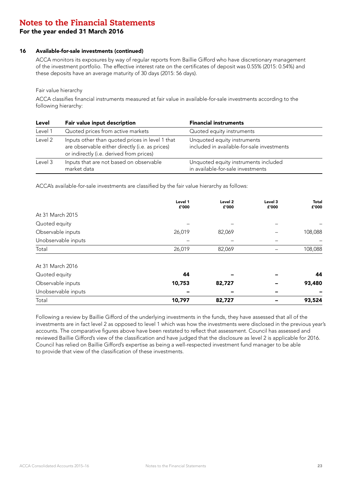### For the year ended 31 March 2016

#### 16 Available-for-sale investments (continued)

ACCA monitors its exposures by way of regular reports from Baillie Gifford who have discretionary management of the investment portfolio. The effective interest rate on the certificates of deposit was 0.55% (2015: 0.54%) and these deposits have an average maturity of 30 days (2015: 56 days).

### Fair value hierarchy

ACCA classifies financial instruments measured at fair value in available-for-sale investments according to the following hierarchy:

| Level   | Fair value input description                                                                                                                   | <b>Financial instruments</b>                                              |
|---------|------------------------------------------------------------------------------------------------------------------------------------------------|---------------------------------------------------------------------------|
| Level 1 | Quoted prices from active markets                                                                                                              | Quoted equity instruments                                                 |
| Level 2 | Inputs other than quoted prices in level 1 that<br>are observable either directly (i.e. as prices)<br>or indirectly (i.e. derived from prices) | Unquoted equity instruments<br>included in available-for-sale investments |
| Level 3 | Inputs that are not based on observable<br>market data                                                                                         | Unquoted equity instruments included<br>in available-for-sale investments |

ACCA's available-for-sale investments are classified by the fair value hierarchy as follows:

| Total               | 10,797           | 82,727           |                  | 93,524                |
|---------------------|------------------|------------------|------------------|-----------------------|
| Unobservable inputs | -                | -                | -                |                       |
| Observable inputs   | 10,753           | 82,727           |                  | 93,480                |
| Quoted equity       | 44               |                  |                  | 44                    |
| At 31 March 2016    |                  |                  |                  |                       |
| Total               | 26,019           | 82,069           |                  | 108,088               |
| Unobservable inputs |                  |                  |                  |                       |
| Observable inputs   | 26,019           | 82,069           |                  | 108,088               |
| Quoted equity       |                  |                  |                  |                       |
| At 31 March 2015    |                  |                  |                  |                       |
|                     | Level 1<br>£'000 | Level 2<br>£'000 | Level 3<br>£'000 | <b>Total</b><br>£'000 |
|                     |                  |                  |                  |                       |

Following a review by Baillie Gifford of the underlying investments in the funds, they have assessed that all of the investments are in fact level 2 as opposed to level 1 which was how the investments were disclosed in the previous year's accounts. The comparative figures above have been restated to reflect that assessment. Council has assessed and reviewed Baillie Gifford's view of the classification and have judged that the disclosure as level 2 is applicable for 2016. Council has relied on Baillie Gifford's expertise as being a well-respected investment fund manager to be able to provide that view of the classification of these investments.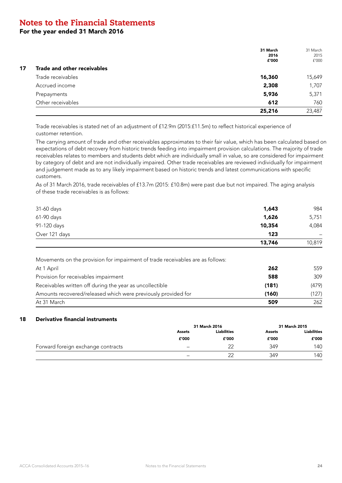For the year ended 31 March 2016

|    |                             | 31 March<br>2016<br>£'000 | 31 March<br>2015<br>f'000 |
|----|-----------------------------|---------------------------|---------------------------|
| 17 | Trade and other receivables |                           |                           |
|    | Trade receivables           | 16,360                    | 15,649                    |
|    | Accrued income              | 2,308                     | 1,707                     |
|    | Prepayments                 | 5,936                     | 5,371                     |
|    | Other receivables           | 612                       | 760                       |
|    |                             | 25,216                    | 23,487                    |

Trade receivables is stated net of an adjustment of £12.9m (2015:£11.5m) to reflect historical experience of customer retention.

The carrying amount of trade and other receivables approximates to their fair value, which has been calculated based on expectations of debt recovery from historic trends feeding into impairment provision calculations. The majority of trade receivables relates to members and students debt which are individually small in value, so are considered for impairment by category of debt and are not individually impaired. Other trade receivables are reviewed individually for impairment and judgement made as to any likely impairment based on historic trends and latest communications with specific customers.

As of 31 March 2016, trade receivables of £13.7m (2015: £10.8m) were past due but not impaired. The aging analysis of these trade receivables is as follows:

| 31-60 days                                                                                   | 1,643  | 984    |
|----------------------------------------------------------------------------------------------|--------|--------|
| 61-90 days                                                                                   | 1,626  | 5,751  |
| 91-120 days                                                                                  | 10,354 | 4,084  |
| Over 121 days                                                                                | 123    |        |
|                                                                                              | 13,746 | 10,819 |
| Movements on the provision for impairment of trade receivables are as follows:<br>At 1 April | 262    | 559    |
|                                                                                              |        |        |
| Provision for receivables impairment                                                         | 588    | 309    |
| Receivables written off during the year as uncollectible                                     | (181)  | (479)  |
| Amounts recovered/released which were previously provided for                                | (160)  | (127)  |
| At 31 March                                                                                  | 509    | 262    |

### 18 Derivative financial instruments

|                                    |                   | 31 March 2016      |               | 31 March 2015      |
|------------------------------------|-------------------|--------------------|---------------|--------------------|
|                                    | Assets            | <b>Liabilities</b> | <b>Assets</b> | <b>Liabilities</b> |
|                                    | £'000             | £'000              | £'000         | £'000              |
| Forward foreign exchange contracts | -                 | 22                 | 349           | 140                |
|                                    | $\qquad \qquad -$ | 22                 | 349           | 140                |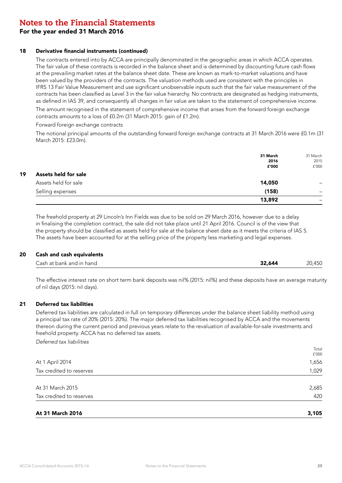### For the year ended 31 March 2016

### 18 Derivative financial instruments (continued)

The contracts entered into by ACCA are principally denominated in the geographic areas in which ACCA operates. The fair value of these contracts is recorded in the balance sheet and is determined by discounting future cash flows at the prevailing market rates at the balance sheet date. These are known as mark-to-market valuations and have been valued by the providers of the contracts. The valuation methods used are consistent with the principles in IFRS 13 Fair Value Measurement and use significant unobservable inputs such that the fair value measurement of the contracts has been classified as Level 3 in the fair value hierarchy. No contracts are designated as hedging instruments, as defined in IAS 39, and consequently all changes in fair value are taken to the statement of comprehensive income.

The amount recognised in the statement of comprehensive income that arises from the forward foreign exchange contracts amounts to a loss of £0.2m (31 March 2015: gain of £1.2m).

#### Forward foreign exchange contracts

The notional principal amounts of the outstanding forward foreign exchange contracts at 31 March 2016 were £0.1m (31 March 2015: £23.0m).

|    |                      | 31 March | 31 March                 |
|----|----------------------|----------|--------------------------|
|    |                      | 2016     | 2015                     |
|    |                      | £'000    | f'000                    |
| 19 | Assets held for sale |          |                          |
|    | Assets held for sale | 14,050   | $\overline{\phantom{0}}$ |
|    | Selling expenses     | (158)    | $\overline{\phantom{0}}$ |
|    |                      | 13,892   | -                        |

The freehold property at 29 Lincoln's Inn Fields was due to be sold on 29 March 2016, however due to a delay in finalising the completion contract, the sale did not take place until 21 April 2016. Council is of the view that the property should be classified as assets held for sale at the balance sheet date as it meets the criteria of IAS 5. The assets have been accounted for at the selling price of the property less marketing and legal expenses.

#### 20 Cash and cash equivalents

| Cash at bank and in hand<br>32.644 |
|------------------------------------|
|------------------------------------|

The effective interest rate on short term bank deposits was nil% (2015: nil%) and these deposits have an average maturity of nil days (2015: nil days).

### 21 Deferred tax liabilities

Deferred tax liabilities are calculated in full on temporary differences under the balance sheet liability method using a principal tax rate of 20% (2015: 20%). The major deferred tax liabilities recognised by ACCA and the movements thereon during the current period and previous years relate to the revaluation of available-for-sale investments and freehold property. ACCA has no deferred tax assets.

*Deferred tax liabilities*

| At 31 March 2016         | 3,105          |
|--------------------------|----------------|
| Tax credited to reserves | 420            |
| At 31 March 2015         | 2,685          |
| Tax credited to reserves | 1,029          |
| At 1 April 2014          | 1,656          |
|                          | Total<br>f'000 |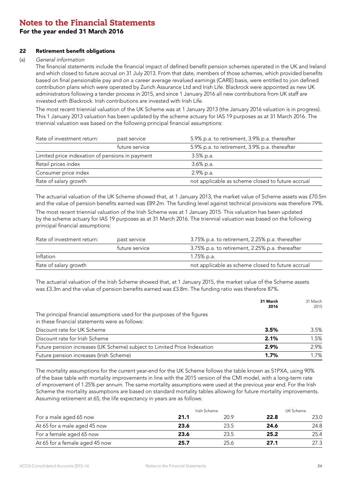### For the year ended 31 March 2016

### 22 Retirement benefit obligations

### (a) *General information*

The financial statements include the financial impact of defined benefit pension schemes operated in the UK and Ireland and which closed to future accrual on 31 July 2013. From that date, members of those schemes, which provided benefits based on final pensionable pay and on a career average revalued earnings (CARE) basis, were entitled to join defined contribution plans which were operated by Zurich Assurance Ltd and Irish Life. Blackrock were appointed as new UK administrators following a tender process in 2015, and since 1 January 2016 all new contributions from UK staff are invested with Blackrock. Irish contributions are invested with Irish Life.

The most recent triennial valuation of the UK Scheme was at 1 January 2013 (the January 2016 valuation is in progress). This 1 January 2013 valuation has been updated by the scheme actuary for IAS 19 purposes as at 31 March 2016. The triennial valuation was based on the following principal financial assumptions:

| Rate of investment return:<br>past service      |                | 5.9% p.a. to retirement, 3.9% p.a. thereafter     |  |  |
|-------------------------------------------------|----------------|---------------------------------------------------|--|--|
|                                                 | future service | 5.9% p.a. to retirement, 3.9% p.a. thereafter     |  |  |
| Limited price indexation of pensions in payment |                | $3.5\%$ p.a.                                      |  |  |
| Retail prices index                             |                | $3.6\%$ p.a.                                      |  |  |
| Consumer price index                            |                | 2.9% p.a.                                         |  |  |
| Rate of salary growth                           |                | not applicable as scheme closed to future accrual |  |  |

The actuarial valuation of the UK Scheme showed that, at 1 January 2013, the market value of Scheme assets was £70.5m and the value of pension benefits earned was £89.2m. The funding level against technical provisions was therefore 79%.

The most recent triennial valuation of the Irish Scheme was at 1 January 2015. This valuation has been updated by the scheme actuary for IAS 19 purposes as at 31 March 2016. The triennial valuation was based on the following principal financial assumptions:

| Rate of investment return:<br>past service |                | 3.75% p.a. to retirement, 2.25% p.a. thereafter   |
|--------------------------------------------|----------------|---------------------------------------------------|
|                                            | future service | 3.75% p.a. to retirement, 2.25% p.a. thereafter   |
| Inflation                                  |                | 1.75% p.a.                                        |
| Rate of salary growth                      |                | not applicable as scheme closed to future accrual |

The actuarial valuation of the Irish Scheme showed that, at 1 January 2015, the market value of the Scheme assets was £3.3m and the value of pension benefits earned was £3.8m. The funding ratio was therefore 87%.

|                                                                                                                            | 31 March<br>2016 | 31 March<br>2015 |
|----------------------------------------------------------------------------------------------------------------------------|------------------|------------------|
| The principal financial assumptions used for the purposes of the figures<br>in these financial statements were as follows: |                  |                  |
| Discount rate for UK Scheme                                                                                                | 3.5%             | 3.5%             |
| Discount rate for Irish Scheme                                                                                             | 2.1%             | 1.5%             |
| Future pension increases (UK Scheme) subject to Limited Price Indexation                                                   | 2.9%             | 2.9%             |
| Future pension increases (Irish Scheme)                                                                                    | 1.7%             | 1.7%             |

The mortality assumptions for the current year-end for the UK Scheme follows the table known as S1PXA, using 90% of the base table with mortality improvements in line with the 2015 version of the CMI model, with a long-term rate of improvement of 1.25% per annum. The same mortality assumptions were used at the previous year end. For the Irish Scheme the mortality assumptions are based on standard mortality tables allowing for future mortality improvements. Assuming retirement at 65, the life expectancy in years are as follows:

|                                | Irish Scheme |      | UK Scheme |      |
|--------------------------------|--------------|------|-----------|------|
| For a male aged 65 now         | 21.1         | 20.9 | 22.8      | 23.0 |
| At 65 for a male aged 45 now   | 23.6         | 23.5 | 24.6      | 24.8 |
| For a female aged 65 now       | 23.6         | 23.5 | 25.2      | 25.4 |
| At 65 for a female aged 45 now | 25.7         | 25.6 | 27.1      | 27.3 |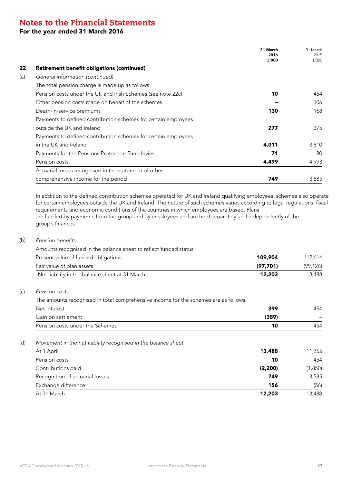For the year ended 31 March 2016

|               |                                                                | 31 March<br>2016<br>£'000 | 31 March<br>2015<br>f'000 |
|---------------|----------------------------------------------------------------|---------------------------|---------------------------|
|               | <b>Retirement benefit obligations (continued)</b>              |                           |                           |
|               | General information (continued)                                |                           |                           |
|               | The total pension charge is made up as follows:                |                           |                           |
|               | Pension costs under the UK and Irish Schemes (see note 22c)    | 10                        | 454                       |
|               | Other pension costs made on behalf of the schemes              |                           | 106                       |
|               | Death-in-service premiums                                      | 130                       | 168                       |
|               | Payments to defined contribution schemes for certain employees |                           |                           |
|               | outside the UK and Ireland                                     | 277                       | 375                       |
|               | Payments to defined contribution schemes for certain employees |                           |                           |
|               | in the UK and Ireland                                          | 4,011                     | 3,810                     |
|               | Payments for the Pensions Protection Fund levies               | 71                        | 80                        |
| Pension costs |                                                                | 4,499                     | 4,993                     |
|               | Actuarial losses recognised in the statement of other          |                           |                           |
|               | comprehensive income for the period                            | 749                       | 3,585                     |

for certain employees outside the UK and Ireland. The nature of such schemes varies according to legal regulations, fiscal requirements and economic conditions of the countries in which employees are based. Plans are funded by payments from the group and by employees and are held separately and independently of the group's finances.

### (b) Pension benefits

| Amounts recognised in the balance sheet to reflect funded status |         |
|------------------------------------------------------------------|---------|
| Present value of funded obligations<br>109.904                   | 112.614 |
| . Fetonolog of alexanders and<br>107.7041                        | 100.121 |

| Fair value of plan assets                      | (97.701 |       |
|------------------------------------------------|---------|-------|
| Net liability in the balance sheet at 31 March | 12,203  | 3,488 |

### (c) *Pension costs*

The amounts recognised in total comprehensive income for the schemes are as follows:

| Net interest                                                  | 399      | 454     |
|---------------------------------------------------------------|----------|---------|
| Gain on settlement                                            | (389)    |         |
| Pension costs under the Schemes                               | 10       | 454     |
| Movement in the net liability recognised in the balance sheet |          |         |
| At 1 April                                                    | 13,488   | 11,355  |
| Pension costs                                                 | 10       | 454     |
| Contributions paid                                            | (2, 200) | (1,850) |
| Recognition of actuarial losses                               | 749      | 3,585   |
| Exchange difference                                           | 156      | (56)    |
| At 31 March                                                   | 12,203   | 13,488  |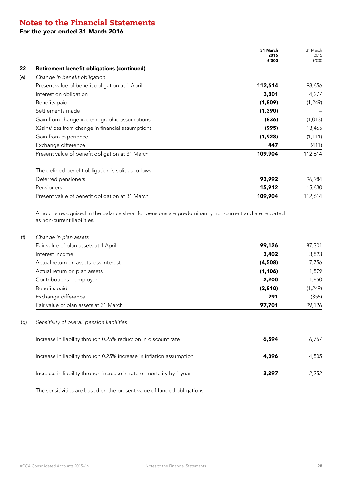### For the year ended 31 March 2016

|     |                                                                                                                                    | 31 March<br>2016<br>£'000 | 31 March<br>2015<br>f'000 |
|-----|------------------------------------------------------------------------------------------------------------------------------------|---------------------------|---------------------------|
| 22  | <b>Retirement benefit obligations (continued)</b>                                                                                  |                           |                           |
| (e) | Change in benefit obligation                                                                                                       |                           |                           |
|     | Present value of benefit obligation at 1 April                                                                                     | 112,614                   | 98,656                    |
|     | Interest on obligation                                                                                                             | 3,801                     | 4,277                     |
|     | Benefits paid                                                                                                                      | (1,809)                   | (1, 249)                  |
|     | Settlements made                                                                                                                   | (1, 390)                  |                           |
|     | Gain from change in demographic assumptions                                                                                        | (836)                     | (1,013)                   |
|     | (Gain)/loss from change in financial assumptions                                                                                   | (995)                     | 13,465                    |
|     | Gain from experience                                                                                                               | (1,928)                   | (1, 111)                  |
|     | Exchange difference                                                                                                                | 447                       | (411)                     |
|     | Present value of benefit obligation at 31 March                                                                                    | 109,904                   | 112,614                   |
|     | The defined benefit obligation is split as follows                                                                                 |                           |                           |
|     | Deferred pensioners                                                                                                                | 93,992                    | 96,984                    |
|     | Pensioners                                                                                                                         | 15,912                    | 15,630                    |
|     | Present value of benefit obligation at 31 March                                                                                    | 109,904                   | 112,614                   |
|     | Amounts recognised in the balance sheet for pensions are predominantly non-current and are reported<br>as non-current liabilities. |                           |                           |
| (f) | Change in plan assets                                                                                                              |                           |                           |
|     | Fair value of plan assets at 1 April                                                                                               | 99,126                    | 87,301                    |
|     | Interest income                                                                                                                    | 3,402                     | 3,823                     |
|     | Actual return on assets less interest                                                                                              | (4.508)                   | 7756                      |

| Actual return on assets less interest | (4.508) | 7,756    |
|---------------------------------------|---------|----------|
| Actual return on plan assets          | (1.106) | 11,579   |
| Contributions - employer              | 2,200   | 1,850    |
| Benefits paid                         | (2,810) | (1, 249) |
| Exchange difference                   | 291     | (355)    |
| Fair value of plan assets at 31 March | 97.701  | 99,126   |

### (g) *Sensitivity of overall pension liabilities*

| Increase in liability through 0.25% reduction in discount rate        | 6,594 | 6.757 |
|-----------------------------------------------------------------------|-------|-------|
| Increase in liability through 0.25% increase in inflation assumption  | 4,396 | 4,505 |
| Increase in liability through increase in rate of mortality by 1 year | 3,297 | 2.252 |

The sensitivities are based on the present value of funded obligations.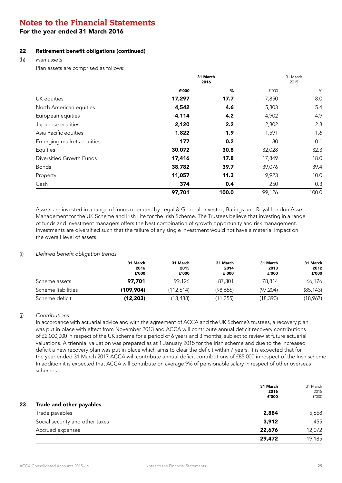### For the year ended 31 March 2016

### 22 Retirement benefit obligations (continued)

(h) *Plan assets*

Plan assets are comprised as follows:

|                           | 31 March<br>2016 |       | 31 March<br>2015 |       |
|---------------------------|------------------|-------|------------------|-------|
|                           | £'000            | %     | £'000            | $\%$  |
| UK equities               | 17,297           | 17.7  | 17,850           | 18.0  |
| North American equities   | 4,542            | 4.6   | 5,303            | 5.4   |
| European equities         | 4,114            | 4.2   | 4,902            | 4.9   |
| Japanese equities         | 2,120            | 2.2   | 2,302            | 2.3   |
| Asia Pacific equities     | 1,822            | 1.9   | 1,591            | 1.6   |
| Emerging markets equities | 177              | 0.2   | 80               | 0.1   |
| Equities                  | 30,072           | 30.8  | 32,028           | 32.3  |
| Diversified Growth Funds  | 17,416           | 17.8  | 17,849           | 18.0  |
| <b>Bonds</b>              | 38,782           | 39.7  | 39,076           | 39.4  |
| Property                  | 11,057           | 11.3  | 9,923            | 10.0  |
| Cash                      | 374              | 0.4   | 250              | 0.3   |
|                           | 97,701           | 100.0 | 99,126           | 100.0 |

Assets are invested in a range of funds operated by Legal & General, Investec, Barings and Royal London Asset Management for the UK Scheme and Irish Life for the Irish Scheme. The Trustees believe that investing in a range of funds and investment managers offers the best combination of growth opportunity and risk management. Investments are diversified such that the failure of any single investment would not have a material impact on the overall level of assets.

#### (i) Defined benefit obligation trends

|                    | 31 March<br>2016<br>£'000 | 31 March<br>2015<br>£'000 | 31 March<br>2014<br>£'000 | 31 March<br>2013<br>£'000 | 31 March<br>2012<br>£'000 |
|--------------------|---------------------------|---------------------------|---------------------------|---------------------------|---------------------------|
| Scheme assets      | 97.701                    | 99.126                    | 87,301                    | 78,814                    | 66,176                    |
| Scheme liabilities | (109,904)                 | (112.614)                 | (98,656)                  | (97.204)                  | (85, 143)                 |
| Scheme deficit     | (12,203)                  | (13,488)                  | (11,355)                  | (18, 390)                 | (18, 967)                 |

### (j) *Contributions*

In accordance with actuarial advice and with the agreement of ACCA and the UK Scheme's trustees, a recovery plan was put in place with effect from November 2013 and ACCA will contribute annual deficit recovery contributions of £2,000,000 in respect of the UK scheme for a period of 6 years and 3 months, subject to review at future actuarial valuations. A triennial valuation was prepared as at 1 January 2015 for the Irish scheme and due to the increased deficit a new recovery plan was put in place which aims to clear the deficit within 7 years. It is expected that for the year ended 31 March 2017 ACCA will contribute annual deficit contributions of £85,000 in respect of the Irish scheme. In addition it is expected that ACCA will contribute on average 9% of pensionable salary in respect of other overseas schemes.

|                                 | 31 March<br>2016<br>£'000 | 31 March<br>2015<br>f'000 |
|---------------------------------|---------------------------|---------------------------|
| Trade and other payables        |                           |                           |
| Trade payables                  | 2,884                     | 5,658                     |
| Social security and other taxes | 3,912                     | 1,455                     |
| Accrued expenses                | 22,676                    | 12,072                    |
|                                 | 29,472                    | 19,185                    |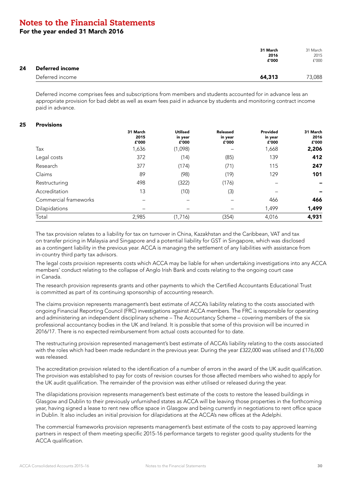For the year ended 31 March 2016

|    |                 | 31 March<br>2016<br>£'000 | 31 March<br>2015<br>f'000 |
|----|-----------------|---------------------------|---------------------------|
| 24 | Deferred income |                           |                           |
|    | Deferred income | 64,313                    | 73,088                    |

Deferred income comprises fees and subscriptions from members and students accounted for in advance less an appropriate provision for bad debt as well as exam fees paid in advance by students and monitoring contract income paid in advance.

#### 25 Provisions

|                       | 31 March<br>2015<br>£'000 | <b>Utilised</b><br>in year<br>£'000 | Released<br>in year<br>£'000 | Provided<br>in year<br>£'000 | 31 March<br>2016<br>£'000 |
|-----------------------|---------------------------|-------------------------------------|------------------------------|------------------------------|---------------------------|
| Tax                   | 1,636                     | (1,098)                             |                              | 1,668                        | 2,206                     |
| Legal costs           | 372                       | (14)                                | (85)                         | 139                          | 412                       |
| Research              | 377                       | (174)                               | (71)                         | 115                          | 247                       |
| Claims                | 89                        | (98)                                | (19)                         | 129                          | 101                       |
| Restructuring         | 498                       | (322)                               | (176)                        |                              |                           |
| Accreditation         | 13                        | (10)                                | (3)                          |                              |                           |
| Commercial frameworks | $\overline{\phantom{0}}$  |                                     |                              | 466                          | 466                       |
| Dilapidations         |                           |                                     |                              | 1,499                        | 1,499                     |
| Total                 | 2,985                     | (1,716)                             | (354)                        | 4,016                        | 4,931                     |

The tax provision relates to a liability for tax on turnover in China, Kazakhstan and the Caribbean, VAT and tax on transfer pricing in Malaysia and Singapore and a potential liability for GST in Singapore, which was disclosed as a contingent liability in the previous year. ACCA is managing the settlement of any liabilities with assistance from in-country third party tax advisors.

The legal costs provision represents costs which ACCA may be liable for when undertaking investigations into any ACCA members' conduct relating to the collapse of Anglo Irish Bank and costs relating to the ongoing court case in Canada.

The research provision represents grants and other payments to which the Certified Accountants Educational Trust is committed as part of its continuing sponsorship of accounting research.

The claims provision represents management's best estimate of ACCA's liability relating to the costs associated with ongoing Financial Reporting Council (FRC) investigations against ACCA members. The FRC is responsible for operating and administering an independent disciplinary scheme – The Accountancy Scheme – covering members of the six professional accountancy bodies in the UK and Ireland. It is possible that some of this provision will be incurred in 2016/17. There is no expected reimbursement from actual costs accounted for to date.

The restructuring provision represented management's best estimate of ACCA's liability relating to the costs associated with the roles which had been made redundant in the previous year. During the year £322,000 was utilised and £176,000 was released.

The accreditation provision related to the identification of a number of errors in the award of the UK audit qualification. The provision was established to pay for costs of revision courses for those affected members who wished to apply for the UK audit qualification. The remainder of the provision was either utilised or released during the year.

The dilapidations provision represents management's best estimate of the costs to restore the leased buildings in Glasgow and Dublin to their previously unfurnished states as ACCA will be leaving those properties in the forthcoming year, having signed a lease to rent new office space in Glasgow and being currently in negotiations to rent office space in Dublin. It also includes an initial provision for dilapidations at the ACCA's new offices at the Adelphi.

The commercial frameworks provision represents management's best estimate of the costs to pay approved learning partners in respect of them meeting specific 2015-16 performance targets to register good quality students for the ACCA qualification.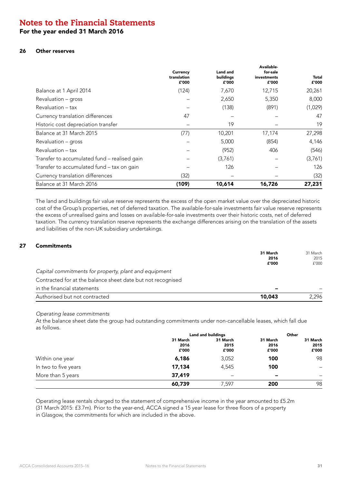### For the year ended 31 March 2016

### 26 Other reserves

|                                              | Currency<br>translation<br>£'000 | Land and<br>buildings<br>£'000 | Available-<br>for-sale<br>investments<br>£'000 | Total<br>£'000 |
|----------------------------------------------|----------------------------------|--------------------------------|------------------------------------------------|----------------|
| Balance at 1 April 2014                      | (124)                            | 7,670                          | 12,715                                         | 20,261         |
| Revaluation – gross                          |                                  | 2,650                          | 5,350                                          | 8,000          |
| Revaluation - tax                            |                                  | (138)                          | (891)                                          | (1,029)        |
| Currency translation differences             | 47                               |                                |                                                | 47             |
| Historic cost depreciation transfer          |                                  | 19                             |                                                | 19             |
| Balance at 31 March 2015                     | (77)                             | 10,201                         | 17,174                                         | 27,298         |
| Revaluation - gross                          |                                  | 5,000                          | (854)                                          | 4,146          |
| Revaluation – tax                            |                                  | (952)                          | 406                                            | (546)          |
| Transfer to accumulated fund - realised gain |                                  | (3,761)                        |                                                | (3,761)        |
| Transfer to accumulated fund - tax on gain   |                                  | 126                            |                                                | 126            |
| Currency translation differences             | (32)                             |                                |                                                | (32)           |
| Balance at 31 March 2016                     | (109)                            | 10,614                         | 16,726                                         | 27,231         |

The land and buildings fair value reserve represents the excess of the open market value over the depreciated historic cost of the Group's properties, net of deferred taxation. The available-for-sale investments fair value reserve represents the excess of unrealised gains and losses on available-for-sale investments over their historic costs, net of deferred taxation. The currency translation reserve represents the exchange differences arising on the translation of the assets and liabilities of the non-UK subsidiary undertakings.

#### 27 Commitments

| 31 March | 31 March |
|----------|----------|
| 2016     | 2015     |
| £'000    | f'000    |
|          |          |
|          |          |
|          |          |
| 10,043   | 2.296    |
|          |          |

#### *Operating lease commitments*

At the balance sheet date the group had outstanding commitments under non-cancellable leases, which fall due as follows.

|                      | Land and buildings        |                              | Other                     |                           |
|----------------------|---------------------------|------------------------------|---------------------------|---------------------------|
|                      | 31 March<br>2016<br>£'000 | 31 March<br>2015<br>£'000    | 31 March<br>2016<br>£'000 | 31 March<br>2015<br>£'000 |
| Within one year      | 6,186                     | 3,052                        | 100                       | 98                        |
| In two to five years | 17,134                    | 4,545                        | 100                       | $\qquad \qquad$           |
| More than 5 years    | 37,419                    | $\qquad \qquad \blacksquare$ | -                         | -                         |
|                      | 60,739                    | 7.597                        | 200                       | 98                        |

Operating lease rentals charged to the statement of comprehensive income in the year amounted to £5.2m (31 March 2015: £3.7m). Prior to the year-end, ACCA signed a 15 year lease for three floors of a property in Glasgow, the commitments for which are included in the above.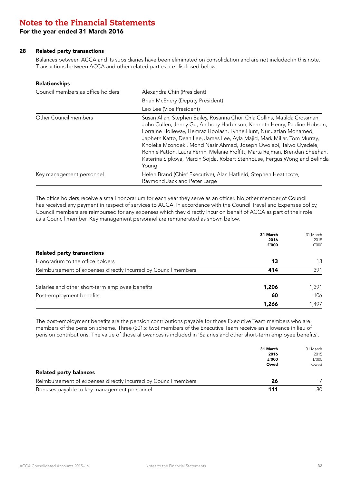### For the year ended 31 March 2016

#### 28 Related party transactions

Balances between ACCA and its subsidiaries have been eliminated on consolidation and are not included in this note. Transactions between ACCA and other related parties are disclosed below.

#### Relationships

| Council members as office holders | Alexandra Chin (President)                                                                                                                                                                                                                                                                                                                                                                                                                                                                                                                            |  |  |
|-----------------------------------|-------------------------------------------------------------------------------------------------------------------------------------------------------------------------------------------------------------------------------------------------------------------------------------------------------------------------------------------------------------------------------------------------------------------------------------------------------------------------------------------------------------------------------------------------------|--|--|
|                                   | Brian McEnery (Deputy President)                                                                                                                                                                                                                                                                                                                                                                                                                                                                                                                      |  |  |
|                                   | Leo Lee (Vice President)                                                                                                                                                                                                                                                                                                                                                                                                                                                                                                                              |  |  |
| Other Council members             | Susan Allan, Stephen Bailey, Rosanna Choi, Orla Collins, Matilda Crossman,<br>John Cullen, Jenny Gu, Anthony Harbinson, Kenneth Henry, Pauline Hobson,<br>Lorraine Holleway, Hemraz Hoolash, Lynne Hunt, Nur Jazlan Mohamed,<br>Japheth Katto, Dean Lee, James Lee, Ayla Majid, Mark Millar, Tom Murray,<br>Kholeka Mzondeki, Mohd Nasir Ahmad, Joseph Owolabi, Taiwo Oyedele,<br>Ronnie Patton, Laura Perrin, Melanie Proffitt, Marta Rejman, Brendan Sheehan,<br>Katerina Sipkova, Marcin Sojda, Robert Stenhouse, Fergus Wong and Belinda<br>Young |  |  |
| Key management personnel          | Helen Brand (Chief Executive), Alan Hatfield, Stephen Heathcote,<br>Raymond Jack and Peter Large                                                                                                                                                                                                                                                                                                                                                                                                                                                      |  |  |

The office holders receive a small honorarium for each year they serve as an officer. No other member of Council has received any payment in respect of services to ACCA. In accordance with the Council Travel and Expenses policy, Council members are reimbursed for any expenses which they directly incur on behalf of ACCA as part of their role as a Council member. Key management personnel are remunerated as shown below.

|                                                                | 31 March<br>2016<br>£'000 | 31 March<br>2015<br>f'000 |
|----------------------------------------------------------------|---------------------------|---------------------------|
| <b>Related party transactions</b>                              |                           |                           |
| Honorarium to the office holders                               | 13                        | 13                        |
| Reimbursement of expenses directly incurred by Council members | 414                       | 391                       |
| Salaries and other short-term employee benefits                | 1,206                     | 1,391                     |
| Post-employment benefits                                       | 60                        | 106                       |
|                                                                | 1,266                     | .497                      |

The post-employment benefits are the pension contributions payable for those Executive Team members who are members of the pension scheme. Three (2015: two) members of the Executive Team receive an allowance in lieu of pension contributions. The value of those allowances is included in 'Salaries and other short-term employee benefits'.

|                                                                | 31 March | 31 March |
|----------------------------------------------------------------|----------|----------|
|                                                                | 2016     | 2015     |
|                                                                | £'000    | f'000    |
|                                                                | Owed     | Owed     |
| <b>Related party balances</b>                                  |          |          |
| Reimbursement of expenses directly incurred by Council members | 26       |          |
| Bonuses payable to key management personnel                    | 111      | 80       |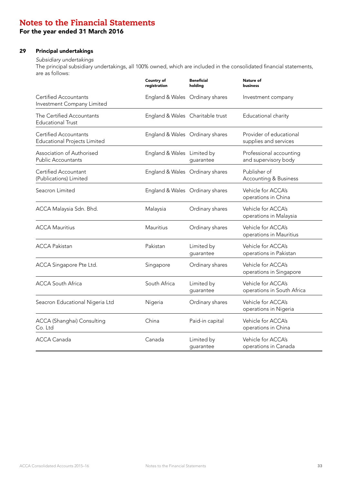### For the year ended 31 March 2016

### 29 Principal undertakings

### *Subsidiary undertakings*

The principal subsidiary undertakings, all 100% owned, which are included in the consolidated financial statements, are as follows:

|                                                                     | Country of<br>registration       | <b>Beneficial</b><br>holding | Nature of<br><b>business</b>                     |
|---------------------------------------------------------------------|----------------------------------|------------------------------|--------------------------------------------------|
| Certified Accountants<br>Investment Company Limited                 | England & Wales Ordinary shares  |                              | Investment company                               |
| The Certified Accountants<br><b>Educational Trust</b>               | England & Wales Charitable trust |                              | Educational charity                              |
| <b>Certified Accountants</b><br><b>Educational Projects Limited</b> | England & Wales Ordinary shares  |                              | Provider of educational<br>supplies and services |
| Association of Authorised<br><b>Public Accountants</b>              | England & Wales Limited by       | guarantee                    | Professional accounting<br>and supervisory body  |
| Certified Accountant<br>(Publications) Limited                      | England & Wales Ordinary shares  |                              | Publisher of<br><b>Accounting &amp; Business</b> |
| Seacron Limited                                                     | England & Wales Ordinary shares  |                              | Vehicle for ACCA's<br>operations in China        |
| ACCA Malaysia Sdn. Bhd.                                             | Malaysia                         | Ordinary shares              | Vehicle for ACCA's<br>operations in Malaysia     |
| <b>ACCA Mauritius</b>                                               | Mauritius                        | Ordinary shares              | Vehicle for ACCA's<br>operations in Mauritius    |
| <b>ACCA Pakistan</b>                                                | Pakistan                         | Limited by<br>guarantee      | Vehicle for ACCA's<br>operations in Pakistan     |
| ACCA Singapore Pte Ltd.                                             | Singapore                        | Ordinary shares              | Vehicle for ACCA's<br>operations in Singapore    |
| <b>ACCA South Africa</b>                                            | South Africa                     | Limited by<br>guarantee      | Vehicle for ACCA's<br>operations in South Africa |
| Seacron Educational Nigeria Ltd                                     | Nigeria                          | Ordinary shares              | Vehicle for ACCA's<br>operations in Nigeria      |
| ACCA (Shanghai) Consulting<br>Co. Ltd                               | China                            | Paid-in capital              | Vehicle for ACCA's<br>operations in China        |
| <b>ACCA Canada</b>                                                  | Canada                           | Limited by<br>guarantee      | Vehicle for ACCA's<br>operations in Canada       |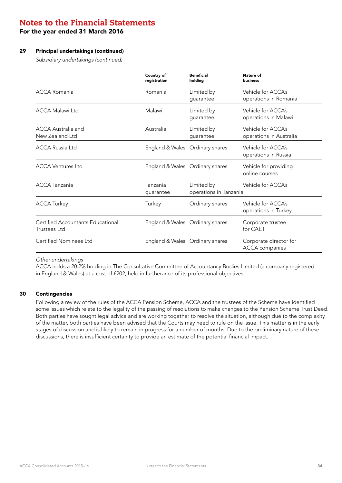For the year ended 31 March 2016

### 29 Principal undertakings (continued)

*Subsidiary undertakings (continued)* 

|                                                          | Country of<br>registration      | <b>Beneficial</b><br>holding         | Nature of<br>business                           |
|----------------------------------------------------------|---------------------------------|--------------------------------------|-------------------------------------------------|
| ACCA Romania                                             | Romania                         | Limited by<br>quarantee              | Vehicle for ACCA's<br>operations in Romania     |
| <b>ACCA Malawi Ltd</b>                                   | Malawi                          | Limited by<br>guarantee              | Vehicle for ACCA's<br>operations in Malawi      |
| ACCA Australia and<br>New Zealand Ltd                    | Australia                       | Limited by<br>quarantee              | Vehicle for ACCA's<br>operations in Australia   |
| <b>ACCA Russia Ltd</b>                                   | England & Wales Ordinary shares |                                      | Vehicle for ACCA's<br>operations in Russia      |
| <b>ACCA Ventures Ltd</b>                                 | England & Wales Ordinary shares |                                      | Vehicle for providing<br>online courses         |
| <b>ACCA Tanzania</b>                                     | Tanzania<br>quarantee           | Limited by<br>operations in Tanzania | Vehicle for ACCA's                              |
| <b>ACCA Turkey</b>                                       | Turkey                          | Ordinary shares                      | Vehicle for ACCA's<br>operations in Turkey      |
| Certified Accountants Educational<br><b>Trustees Ltd</b> | England & Wales Ordinary shares |                                      | Corporate trustee<br>for CAET                   |
| Certified Nominees Ltd                                   | England & Wales Ordinary shares |                                      | Corporate director for<br><b>ACCA</b> companies |

*Other undertakings*

ACCA holds a 20.2% holding in The Consultative Committee of Accountancy Bodies Limited (a company registered in England & Wales) at a cost of £202, held in furtherance of its professional objectives.

#### 30 Contingencies

Following a review of the rules of the ACCA Pension Scheme, ACCA and the trustees of the Scheme have identified some issues which relate to the legality of the passing of resolutions to make changes to the Pension Scheme Trust Deed. Both parties have sought legal advice and are working together to resolve the situation, although due to the complexity of the matter, both parties have been advised that the Courts may need to rule on the issue. This matter is in the early stages of discussion and is likely to remain in progress for a number of months. Due to the preliminary nature of these discussions, there is insufficient certainty to provide an estimate of the potential financial impact.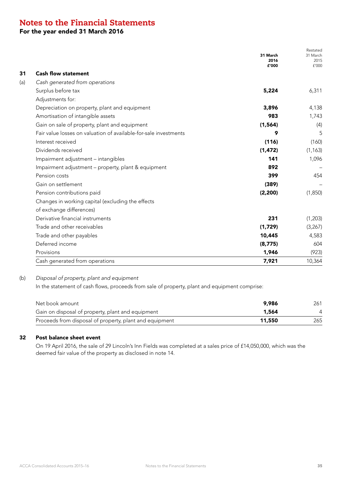For the year ended 31 March 2016

|                                                                  | 31 March<br>2016<br>£'000 | Restated<br>31 March<br>2015<br>f'000 |
|------------------------------------------------------------------|---------------------------|---------------------------------------|
| <b>Cash flow statement</b>                                       |                           |                                       |
| Cash generated from operations                                   |                           |                                       |
| Surplus before tax                                               | 5,224                     | 6,311                                 |
| Adjustments for:                                                 |                           |                                       |
| Depreciation on property, plant and equipment                    | 3,896                     | 4,138                                 |
| Amortisation of intangible assets                                | 983                       | 1,743                                 |
| Gain on sale of property, plant and equipment                    | (1, 564)                  | (4)                                   |
| Fair value losses on valuation of available-for-sale investments | 9                         | 5                                     |
| Interest received                                                | (116)                     | (160)                                 |
| Dividends received                                               | (1, 472)                  | (1, 163)                              |
| Impairment adjustment - intangibles                              | 141                       | 1,096                                 |
| Impairment adjustment - property, plant & equipment              | 892                       |                                       |
| Pension costs                                                    | 399                       | 454                                   |
| Gain on settlement                                               | (389)                     |                                       |
| Pension contributions paid                                       | (2, 200)                  | (1,850)                               |
| Changes in working capital (excluding the effects                |                           |                                       |
| of exchange differences)                                         |                           |                                       |
| Derivative financial instruments                                 | 231                       | (1,203)                               |
| Trade and other receivables                                      | (1,729)                   | (3,267)                               |
| Trade and other payables                                         | 10,445                    | 4,583                                 |
| Deferred income                                                  | (8, 775)                  | 604                                   |
| Provisions                                                       | 1,946                     | (923)                                 |
| Cash generated from operations                                   | 7,921                     | 10,364                                |

### (b) *Disposal of property, plant and equipment*

In the statement of cash flows, proceeds from sale of property, plant and equipment comprise:

| Net book amount<br>9.986                                          | 261 |
|-------------------------------------------------------------------|-----|
| Gain on disposal of property, plant and equipment<br>1,564        | 4   |
| Proceeds from disposal of property, plant and equipment<br>11.550 | 265 |

### 32 Post balance sheet event

On 19 April 2016, the sale of 29 Lincoln's Inn Fields was completed at a sales price of £14,050,000, which was the deemed fair value of the property as disclosed in note 14.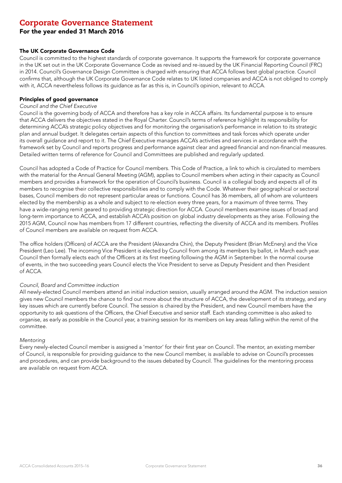### Corporate Governance Statement

### For the year ended 31 March 2016

#### The UK Corporate Governance Code

Council is committed to the highest standards of corporate governance. It supports the framework for corporate governance in the UK set out in the UK Corporate Governance Code as revised and re-issued by the UK Financial Reporting Council (FRC) in 2014. Council's Governance Design Committee is charged with ensuring that ACCA follows best global practice. Council confirms that, although the UK Corporate Governance Code relates to UK listed companies and ACCA is not obliged to comply with it, ACCA nevertheless follows its guidance as far as this is, in Council's opinion, relevant to ACCA.

### Principles of good governance

### *Council and the Chief Executive*

Council is the governing body of ACCA and therefore has a key role in ACCA affairs. Its fundamental purpose is to ensure that ACCA delivers the objectives stated in the Royal Charter. Council's terms of reference highlight its responsibility for determining ACCA's strategic policy objectives and for monitoring the organisation's performance in relation to its strategic plan and annual budget. It delegates certain aspects of this function to committees and task forces which operate under its overall guidance and report to it. The Chief Executive manages ACCA's activities and services in accordance with the framework set by Council and reports progress and performance against clear and agreed financial and non-financial measures. Detailed written terms of reference for Council and Committees are published and regularly updated.

Council has adopted a Code of Practice for Council members. This Code of Practice, a link to which is circulated to members with the material for the Annual General Meeting (AGM), applies to Council members when acting in their capacity as Council members and provides a framework for the operation of Council's business. Council is a collegial body and expects all of its members to recognise their collective responsibilities and to comply with the Code. Whatever their geographical or sectoral bases, Council members do not represent particular areas or functions. Council has 36 members, all of whom are volunteers elected by the membership as a whole and subject to re-election every three years, for a maximum of three terms. They have a wide-ranging remit geared to providing strategic direction for ACCA. Council members examine issues of broad and long-term importance to ACCA, and establish ACCA's position on global industry developments as they arise. Following the 2015 AGM, Council now has members from 17 different countries, reflecting the diversity of ACCA and its members. Profiles of Council members are available on request from ACCA.

The office holders (Officers) of ACCA are the President (Alexandra Chin), the Deputy President (Brian McEnery) and the Vice President (Leo Lee). The incoming Vice President is elected by Council from among its members by ballot, in March each year. Council then formally elects each of the Officers at its first meeting following the AGM in September. In the normal course of events, in the two succeeding years Council elects the Vice President to serve as Deputy President and then President of ACCA.

#### *Council, Board and Committee induction*

All newly-elected Council members attend an initial induction session, usually arranged around the AGM. The induction session gives new Council members the chance to find out more about the structure of ACCA, the development of its strategy, and any key issues which are currently before Council. The session is chaired by the President, and new Council members have the opportunity to ask questions of the Officers, the Chief Executive and senior staff. Each standing committee is also asked to organise, as early as possible in the Council year, a training session for its members on key areas falling within the remit of the committee.

#### *Mentoring*

Every newly-elected Council member is assigned a 'mentor' for their first year on Council. The mentor, an existing member of Council, is responsible for providing guidance to the new Council member, is available to advise on Council's processes and procedures, and can provide background to the issues debated by Council. The guidelines for the mentoring process are available on request from ACCA.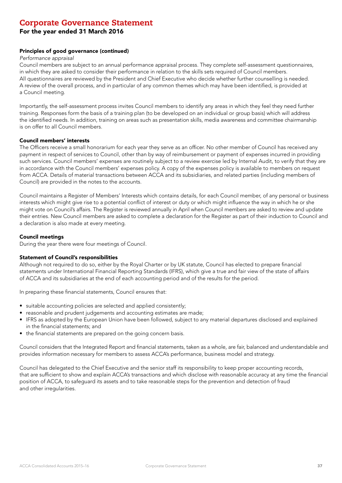### For the year ended 31 March 2016

#### Principles of good governance (continued)

#### *Performance appraisal*

Council members are subject to an annual performance appraisal process. They complete self-assessment questionnaires, in which they are asked to consider their performance in relation to the skills sets required of Council members. All questionnaires are reviewed by the President and Chief Executive who decide whether further counselling is needed. A review of the overall process, and in particular of any common themes which may have been identified, is provided at a Council meeting.

Importantly, the self-assessment process invites Council members to identify any areas in which they feel they need further training. Responses form the basis of a training plan (to be developed on an individual or group basis) which will address the identified needs. In addition, training on areas such as presentation skills, media awareness and committee chairmanship is on offer to all Council members.

#### Council members' interests

The Officers receive a small honorarium for each year they serve as an officer. No other member of Council has received any payment in respect of services to Council, other than by way of reimbursement or payment of expenses incurred in providing such services. Council members' expenses are routinely subject to a review exercise led by Internal Audit, to verify that they are in accordance with the Council members' expenses policy. A copy of the expenses policy is available to members on request from ACCA. Details of material transactions between ACCA and its subsidiaries, and related parties (including members of Council) are provided in the notes to the accounts.

Council maintains a Register of Members' Interests which contains details, for each Council member, of any personal or business interests which might give rise to a potential conflict of interest or duty or which might influence the way in which he or she might vote on Council's affairs. The Register is reviewed annually in April when Council members are asked to review and update their entries. New Council members are asked to complete a declaration for the Register as part of their induction to Council and a declaration is also made at every meeting.

#### Council meetings

During the year there were four meetings of Council.

#### Statement of Council's responsibilities

Although not required to do so, either by the Royal Charter or by UK statute, Council has elected to prepare financial statements under International Financial Reporting Standards (IFRS), which give a true and fair view of the state of affairs of ACCA and its subsidiaries at the end of each accounting period and of the results for the period.

In preparing these financial statements, Council ensures that:

- suitable accounting policies are selected and applied consistently;
- reasonable and prudent judgements and accounting estimates are made;
- IFRS as adopted by the European Union have been followed, subject to any material departures disclosed and explained in the financial statements; and
- the financial statements are prepared on the going concern basis.

Council considers that the Integrated Report and financial statements, taken as a whole, are fair, balanced and understandable and provides information necessary for members to assess ACCA's performance, business model and strategy.

Council has delegated to the Chief Executive and the senior staff its responsibility to keep proper accounting records, that are sufficient to show and explain ACCA's transactions and which disclose with reasonable accuracy at any time the financial position of ACCA, to safeguard its assets and to take reasonable steps for the prevention and detection of fraud and other irregularities.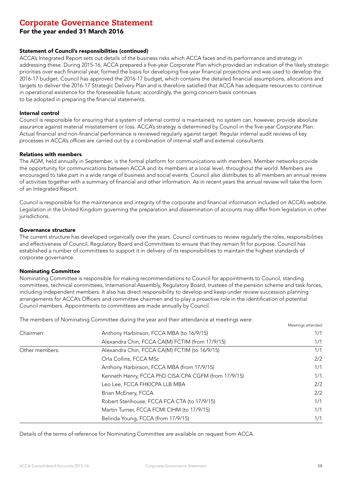For the year ended 31 March 2016

#### Statement of Council's responsibilities (continued)

ACCA's Integrated Report sets out details of the business risks which ACCA faces and its performance and strategy in addressing these. During 2015-16, ACCA prepared a five-year Corporate Plan which provided an indication of the likely strategic priorities over each financial year, formed the basis for developing five-year financial projections and was used to develop the 2016-17 budget. Council has approved the 2016-17 budget, which contains the detailed financial assumptions, allocations and targets to deliver the 2016-17 Strategic Delivery Plan and is therefore satisfied that ACCA has adequate resources to continue in operational existence for the foreseeable future; accordingly, the going concern basis continues to be adopted in preparing the financial statements.

#### Internal control

Council is responsible for ensuring that a system of internal control is maintained; no system can, however, provide absolute assurance against material misstatement or loss. ACCA's strategy is determined by Council in the five-year Corporate Plan. Actual financial and non-financial performance is reviewed regularly against target. Regular internal audit reviews of key processes in ACCA's offices are carried out by a combination of internal staff and external consultants.

#### Relations with members

The AGM, held annually in September, is the formal platform for communications with members. Member networks provide the opportunity for communications between ACCA and its members at a local level, throughout the world. Members are encouraged to take part in a wide range of business and social events. Council also distributes to all members an annual review of activities together with a summary of financial and other information. As in recent years the annual review will take the form of an Integrated Report.

Council is responsible for the maintenance and integrity of the corporate and financial information included on ACCA's website. Legislation in the United Kingdom governing the preparation and dissemination of accounts may differ from legislation in other jurisdictions.

#### Governance structure

The current structure has developed organically over the years. Council continues to review regularly the roles, responsibilities and effectiveness of Council, Regulatory Board and Committees to ensure that they remain fit for purpose. Council has established a number of committees to support it in delivery of its responsibilities to maintain the highest standards of corporate governance.

#### Nominating Committee

Nominating Committee is responsible for making recommendations to Council for appointments to Council, standing committees, technical committees, International Assembly, Regulatory Board, trustees of the pension scheme and task forces, including independent members. It also has direct responsibility to develop and keep under review succession planning arrangements for ACCA's Officers and committee chairmen and to play a proactive role in the identification of potential Council members. Appointments to committees are made annually by Council.

Meetings attended

The members of Nominating Committee during the year and their attendance at meetings were:

| Chairmen:      | Anthony Harbinson, FCCA MBA (to 16/9/15)             | 1/1 |
|----------------|------------------------------------------------------|-----|
|                | Alexandra Chin, FCCA CA(M) FCTIM (from 17/9/15)      | 1/1 |
| Other members: | Alexandra Chin, FCCA CA(M) FCTIM (to 16/9/15)        | 1/1 |
|                | Orla Collins, FCCA MSc                               | 2/2 |
|                | Anthony Harbinson, FCCA MBA (from 17/9/15)           | 1/1 |
|                | Kenneth Henry, FCCA PhD CISA CPA CGFM (from 17/9/15) | 1/1 |
|                | Leo Lee, FCCA FHKICPA LLB MBA                        | 2/2 |
|                | Brian McEnery, FCCA                                  | 2/2 |
|                | Robert Stenhouse, FCCA FCA CTA (to 17/9/15)          | 1/1 |
|                | Martin Turner, FCCA FCMI CIHM (to 17/9/15)           | 1/1 |
|                | Belinda Young, FCCA (from 17/9/15)                   | 1/1 |

Details of the terms of reference for Nominating Committee are available on request from ACCA.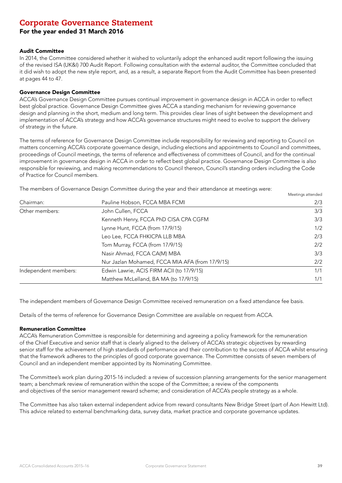### For the year ended 31 March 2016

#### Audit Committee

In 2014, the Committee considered whether it wished to voluntarily adopt the enhanced audit report following the issuing of the revised ISA (UK&I) 700 Audit Report. Following consultation with the external auditor, the Committee concluded that it did wish to adopt the new style report, and, as a result, a separate Report from the Audit Committee has been presented at pages 44 to 47.

#### Governance Design Committee

ACCA's Governance Design Committee pursues continual improvement in governance design in ACCA in order to reflect best global practice. Governance Design Committee gives ACCA a standing mechanism for reviewing governance design and planning in the short, medium and long term. This provides clear lines of sight between the development and implementation of ACCA's strategy and how ACCA's governance structures might need to evolve to support the delivery of strategy in the future.

The terms of reference for Governance Design Committee include responsibility for reviewing and reporting to Council on matters concerning ACCA's corporate governance design, including elections and appointments to Council and committees, proceedings of Council meetings, the terms of reference and effectiveness of committees of Council, and for the continual improvement in governance design in ACCA in order to reflect best global practice. Governance Design Committee is also responsible for reviewing, and making recommendations to Council thereon, Council's standing orders including the Code of Practice for Council members.

The members of Governance Design Committee during the year and their attendance at meetings were:

|                      |                                                 | Meetings attended |
|----------------------|-------------------------------------------------|-------------------|
| Chairman:            | Pauline Hobson, FCCA MBA FCMI                   | 2/3               |
| Other members:       | John Cullen, FCCA                               | 3/3               |
|                      | Kenneth Henry, FCCA PhD CISA CPA CGFM           | 3/3               |
|                      | Lynne Hunt, FCCA (from 17/9/15)                 | 1/2               |
|                      | Leo Lee, FCCA FHKICPA LLB MBA                   | 2/3               |
|                      | Tom Murray, FCCA (from 17/9/15)                 | 2/2               |
|                      | Nasir Ahmad, FCCA CA(M) MBA                     | 3/3               |
|                      | Nur Jazlan Mohamed, FCCA MIA AFA (from 17/9/15) | 2/2               |
| Independent members: | Edwin Lawrie, ACIS FIRM ACII (to 17/9/15)       | 1/1               |
|                      | Matthew McLelland, BA MA (to 17/9/15)           | 1/1               |

The independent members of Governance Design Committee received remuneration on a fixed attendance fee basis.

Details of the terms of reference for Governance Design Committee are available on request from ACCA.

#### Remuneration Committee

ACCA's Remuneration Committee is responsible for determining and agreeing a policy framework for the remuneration of the Chief Executive and senior staff that is clearly aligned to the delivery of ACCA's strategic objectives by rewarding senior staff for the achievement of high standards of performance and their contribution to the success of ACCA whilst ensuring that the framework adheres to the principles of good corporate governance. The Committee consists of seven members of Council and an independent member appointed by its Nominating Committee.

The Committee's work plan during 2015-16 included: a review of succession planning arrangements for the senior management team; a benchmark review of remuneration within the scope of the Committee; a review of the components and objectives of the senior management reward scheme; and consideration of ACCA's people strategy as a whole.

The Committee has also taken external independent advice from reward consultants New Bridge Street (part of Aon Hewitt Ltd). This advice related to external benchmarking data, survey data, market practice and corporate governance updates.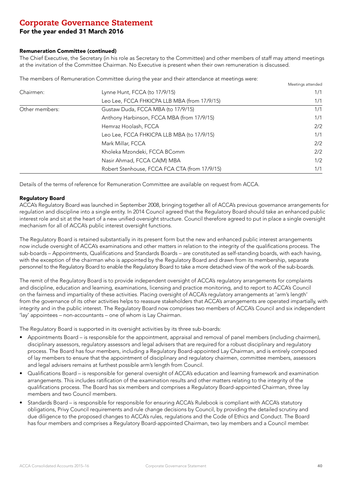### For the year ended 31 March 2016

#### Remuneration Committee (continued)

The Chief Executive, the Secretary (in his role as Secretary to the Committee) and other members of staff may attend meetings at the invitation of the Committee Chairman. No Executive is present when their own remuneration is discussed.

The members of Remuneration Committee during the year and their attendance at meetings were:

|                |                                               | Meetings attended |
|----------------|-----------------------------------------------|-------------------|
| Chairmen:      | Lynne Hunt, FCCA (to 17/9/15)                 | 1/1               |
|                | Leo Lee, FCCA FHKICPA LLB MBA (from 17/9/15)  | 1/1               |
| Other members: | Gustaw Duda, FCCA MBA (to 17/9/15)            | 1/1               |
|                | Anthony Harbinson, FCCA MBA (from 17/9/15)    | 1/1               |
|                | Hemraz Hoolash, FCCA                          | 2/2               |
|                | Leo Lee, FCCA FHKICPA LLB MBA (to 17/9/15)    | 1/1               |
|                | Mark Millar, FCCA                             | 2/2               |
|                | Kholeka Mzondeki, FCCA BComm                  | 2/2               |
|                | Nasir Ahmad, FCCA CA(M) MBA                   | 1/2               |
|                | Robert Stenhouse, FCCA FCA CTA (from 17/9/15) | 1/1               |

Details of the terms of reference for Remuneration Committee are available on request from ACCA.

#### Regulatory Board

ACCA's Regulatory Board was launched in September 2008, bringing together all of ACCA's previous governance arrangements for regulation and discipline into a single entity. In 2014 Council agreed that the Regulatory Board should take an enhanced public interest role and sit at the heart of a new unified oversight structure. Council therefore agreed to put in place a single oversight mechanism for all of ACCA's public interest oversight functions.

The Regulatory Board is retained substantially in its present form but the new and enhanced public interest arrangements now include oversight of ACCA's examinations and other matters in relation to the integrity of the qualifications process. The sub-boards – Appointments, Qualifications and Standards Boards – are constituted as self-standing boards, with each having, with the exception of the chairman who is appointed by the Regulatory Board and drawn from its membership, separate personnel to the Regulatory Board to enable the Regulatory Board to take a more detached view of the work of the sub-boards.

The remit of the Regulatory Board is to provide independent oversight of ACCA's regulatory arrangements for complaints and discipline, education and learning, examinations, licensing and practice monitoring, and to report to ACCA's Council on the fairness and impartiality of these activities. Placing oversight of ACCA's regulatory arrangements at 'arm's length' from the governance of its other activities helps to reassure stakeholders that ACCA's arrangements are operated impartially, with integrity and in the public interest. The Regulatory Board now comprises two members of ACCA's Council and six independent 'lay' appointees – non-accountants – one of whom is Lay Chairman.

The Regulatory Board is supported in its oversight activities by its three sub-boards:

- Appointments Board is responsible for the appointment, appraisal and removal of panel members (including chairmen), disciplinary assessors, regulatory assessors and legal advisers that are required for a robust disciplinary and regulatory process. The Board has four members, including a Regulatory Board-appointed Lay Chairman, and is entirely composed of lay members to ensure that the appointment of disciplinary and regulatory chairmen, committee members, assessors and legal advisers remains at furthest possible arm's length from Council.
- Qualifications Board is responsible for general oversight of ACCA's education and learning framework and examination arrangements. This includes ratification of the examination results and other matters relating to the integrity of the qualifications process. The Board has six members and comprises a Regulatory Board-appointed Chairman, three lay members and two Council members.
- Standards Board is responsible for responsible for ensuring ACCA's Rulebook is compliant with ACCA's statutory obligations, Privy Council requirements and rule change decisions by Council, by providing the detailed scrutiny and due diligence to the proposed changes to ACCA's rules, regulations and the Code of Ethics and Conduct. The Board has four members and comprises a Regulatory Board-appointed Chairman, two lay members and a Council member.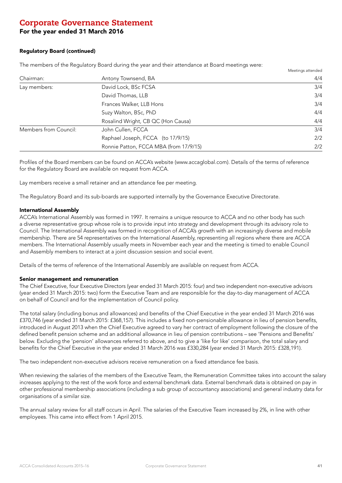### For the year ended 31 March 2016

#### Regulatory Board (continued)

The members of the Regulatory Board during the year and their attendance at Board meetings were:

|                       |                                        | Meetings attended |
|-----------------------|----------------------------------------|-------------------|
| Chairman:             | Antony Townsend, BA                    | 4/4               |
| Lay members:          | David Lock, BSc FCSA                   | 3/4               |
|                       | David Thomas, LLB                      | 3/4               |
|                       | Frances Walker, LLB Hons               | 3/4               |
|                       | Suzy Walton, BSc, PhD                  | 4/4               |
|                       | Rosalind Wright, CB QC (Hon Causa)     | 4/4               |
| Members from Council: | John Cullen, FCCA                      | 3/4               |
|                       | Raphael Joseph, FCCA (to 17/9/15)      | 2/2               |
|                       | Ronnie Patton, FCCA MBA (from 17/9/15) | 2/2               |

Profiles of the Board members can be found on ACCA's website (www.accaglobal.com). Details of the terms of reference for the Regulatory Board are available on request from ACCA.

Lay members receive a small retainer and an attendance fee per meeting.

The Regulatory Board and its sub-boards are supported internally by the Governance Executive Directorate.

#### International Assembly

ACCA's International Assembly was formed in 1997. It remains a unique resource to ACCA and no other body has such a diverse representative group whose role is to provide input into strategy and development through its advisory role to Council. The International Assembly was formed in recognition of ACCA's growth with an increasingly diverse and mobile membership. There are 54 representatives on the International Assembly, representing all regions where there are ACCA members. The International Assembly usually meets in November each year and the meeting is timed to enable Council and Assembly members to interact at a joint discussion session and social event.

Details of the terms of reference of the International Assembly are available on request from ACCA.

#### Senior management and remuneration

The Chief Executive, four Executive Directors (year ended 31 March 2015: four) and two independent non-executive advisors (year ended 31 March 2015: two) form the Executive Team and are responsible for the day-to-day management of ACCA on behalf of Council and for the implementation of Council policy.

The total salary (including bonus and allowances) and benefits of the Chief Executive in the year ended 31 March 2016 was £370,746 (year ended 31 March 2015: £368,157). This includes a fixed non-pensionable allowance in lieu of pension benefits, introduced in August 2013 when the Chief Executive agreed to vary her contract of employment following the closure of the defined benefit pension scheme and an additional allowance in lieu of pension contributions – see 'Pensions and Benefits' below. Excluding the 'pension' allowances referred to above, and to give a 'like for like' comparison, the total salary and benefits for the Chief Executive in the year ended 31 March 2016 was £330,284 (year ended 31 March 2015: £328,191).

The two independent non-executive advisors receive remuneration on a fixed attendance fee basis.

When reviewing the salaries of the members of the Executive Team, the Remuneration Committee takes into account the salary increases applying to the rest of the work force and external benchmark data. External benchmark data is obtained on pay in other professional membership associations (including a sub group of accountancy associations) and general industry data for organisations of a similar size.

The annual salary review for all staff occurs in April. The salaries of the Executive Team increased by 2%, in line with other employees. This came into effect from 1 April 2015.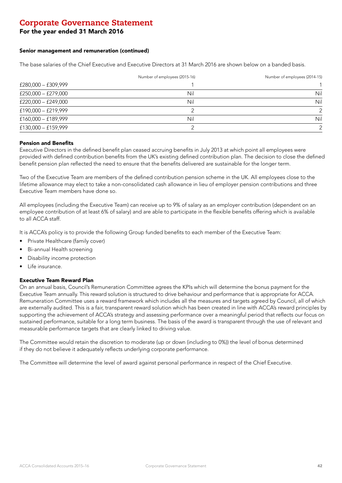### For the year ended 31 March 2016

#### Senior management and remuneration (continued)

The base salaries of the Chief Executive and Executive Directors at 31 March 2016 are shown below on a banded basis.

|                       | Number of employees (2015-16) | Number of employees (2014-15) |
|-----------------------|-------------------------------|-------------------------------|
| £280,000 - £309,999   |                               |                               |
| £250,000 - £279,000   | Nil                           | Nil                           |
| £220,000 - £249,000   | Nil                           | Nil                           |
| £190,000 - £219,999   |                               | $\mathcal{P}$                 |
| £160,000 - £189,999   | Nil                           | Nil                           |
| $£130,000 - £159,999$ |                               | $\mathcal{P}$                 |

#### Pension and Benefits

Executive Directors in the defined benefit plan ceased accruing benefits in July 2013 at which point all employees were provided with defined contribution benefits from the UK's existing defined contribution plan. The decision to close the defined benefit pension plan reflected the need to ensure that the benefits delivered are sustainable for the longer term.

Two of the Executive Team are members of the defined contribution pension scheme in the UK. All employees close to the lifetime allowance may elect to take a non-consolidated cash allowance in lieu of employer pension contributions and three Executive Team members have done so.

All employees (including the Executive Team) can receive up to 9% of salary as an employer contribution (dependent on an employee contribution of at least 6% of salary) and are able to participate in the flexible benefits offering which is available to all ACCA staff.

It is ACCA's policy is to provide the following Group funded benefits to each member of the Executive Team:

- Private Healthcare (family cover)
- Bi-annual Health screening
- Disability income protection
- Life insurance.

#### Executive Team Reward Plan

On an annual basis, Council's Remuneration Committee agrees the KPIs which will determine the bonus payment for the Executive Team annually. This reward solution is structured to drive behaviour and performance that is appropriate for ACCA. Remuneration Committee uses a reward framework which includes all the measures and targets agreed by Council, all of which are externally audited. This is a fair, transparent reward solution which has been created in line with ACCA's reward principles by supporting the achievement of ACCA's strategy and assessing performance over a meaningful period that reflects our focus on sustained performance, suitable for a long term business. The basis of the award is transparent through the use of relevant and measurable performance targets that are clearly linked to driving value.

The Committee would retain the discretion to moderate (up or down (including to 0%)) the level of bonus determined if they do not believe it adequately reflects underlying corporate performance.

The Committee will determine the level of award against personal performance in respect of the Chief Executive.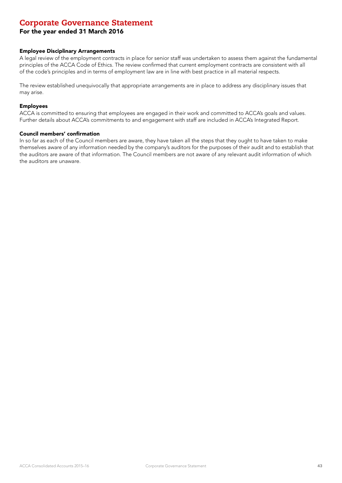### For the year ended 31 March 2016

### Employee Disciplinary Arrangements

A legal review of the employment contracts in place for senior staff was undertaken to assess them against the fundamental principles of the ACCA Code of Ethics. The review confirmed that current employment contracts are consistent with all of the code's principles and in terms of employment law are in line with best practice in all material respects.

The review established unequivocally that appropriate arrangements are in place to address any disciplinary issues that may arise.

#### Employees

ACCA is committed to ensuring that employees are engaged in their work and committed to ACCA's goals and values. Further details about ACCA's commitments to and engagement with staff are included in ACCA's Integrated Report.

#### Council members' confirmation

In so far as each of the Council members are aware, they have taken all the steps that they ought to have taken to make themselves aware of any information needed by the company's auditors for the purposes of their audit and to establish that the auditors are aware of that information. The Council members are not aware of any relevant audit information of which the auditors are unaware.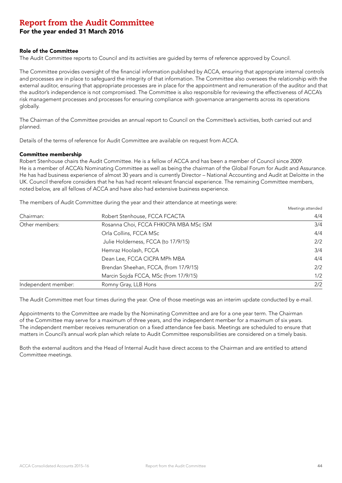For the year ended 31 March 2016

#### Role of the Committee

The Audit Committee reports to Council and its activities are guided by terms of reference approved by Council.

The Committee provides oversight of the financial information published by ACCA, ensuring that appropriate internal controls and processes are in place to safeguard the integrity of that information. The Committee also oversees the relationship with the external auditor, ensuring that appropriate processes are in place for the appointment and remuneration of the auditor and that the auditor's independence is not compromised. The Committee is also responsible for reviewing the effectiveness of ACCA's risk management processes and processes for ensuring compliance with governance arrangements across its operations globally.

The Chairman of the Committee provides an annual report to Council on the Committee's activities, both carried out and planned.

Details of the terms of reference for Audit Committee are available on request from ACCA.

#### Committee membership

Robert Stenhouse chairs the Audit Committee. He is a fellow of ACCA and has been a member of Council since 2009. He is a member of ACCA's Nominating Committee as well as being the chairman of the Global Forum for Audit and Assurance. He has had business experience of almost 30 years and is currently Director – National Accounting and Audit at Deloitte in the UK. Council therefore considers that he has had recent relevant financial experience. The remaining Committee members, noted below, are all fellows of ACCA and have also had extensive business experience.

The members of Audit Committee during the year and their attendance at meetings were:

| Chairman:           | Robert Stenhouse, FCCA FCACTA          | 4/4 |
|---------------------|----------------------------------------|-----|
| Other members:      | Rosanna Choi, FCCA FHKICPA MBA MSc ISM | 3/4 |
|                     | Orla Collins, FCCA MSc                 | 4/4 |
|                     | Julie Holderness, FCCA (to 17/9/15)    | 2/2 |
|                     | Hemraz Hoolash, FCCA                   | 3/4 |
|                     | Dean Lee, FCCA CICPA MPh MBA           | 4/4 |
|                     | Brendan Sheehan, FCCA, (from 17/9/15)  | 2/2 |
|                     | Marcin Sojda FCCA, MSc (from 17/9/15)  | 1/2 |
| Independent member: | Romny Gray, LLB Hons                   | 2/2 |

Meetings attended

The Audit Committee met four times during the year. One of those meetings was an interim update conducted by e-mail.

Appointments to the Committee are made by the Nominating Committee and are for a one year term. The Chairman of the Committee may serve for a maximum of three years, and the independent member for a maximum of six years. The independent member receives remuneration on a fixed attendance fee basis. Meetings are scheduled to ensure that matters in Council's annual work plan which relate to Audit Committee responsibilities are considered on a timely basis.

Both the external auditors and the Head of Internal Audit have direct access to the Chairman and are entitled to attend Committee meetings.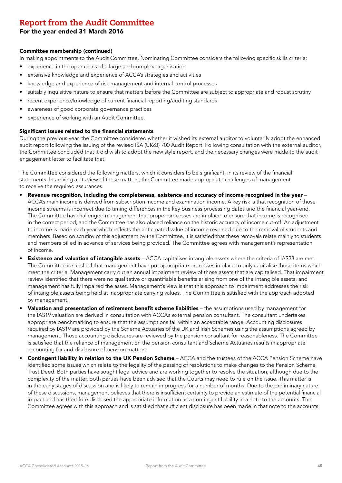### For the year ended 31 March 2016

#### Committee membership (continued)

In making appointments to the Audit Committee, Nominating Committee considers the following specific skills criteria:

- experience in the operations of a large and complex organisation
- extensive knowledge and experience of ACCA's strategies and activities
- knowledge and experience of risk management and internal control processes
- suitably inquisitive nature to ensure that matters before the Committee are subject to appropriate and robust scrutiny
- recent experience/knowledge of current financial reporting/auditing standards
- awareness of good corporate governance practices
- experience of working with an Audit Committee.

#### Significant issues related to the financial statements

During the previous year, the Committee considered whether it wished its external auditor to voluntarily adopt the enhanced audit report following the issuing of the revised ISA (UK&I) 700 Audit Report. Following consultation with the external auditor, the Committee concluded that it did wish to adopt the new style report, and the necessary changes were made to the audit engagement letter to facilitate that.

The Committee considered the following matters, which it considers to be significant, in its review of the financial statements. In arriving at its view of these matters, the Committee made appropriate challenges of management to receive the required assurances.

- Revenue recognition, including the completeness, existence and accuracy of income recognised in the year ACCA's main income is derived from subscription income and examination income. A key risk is that recognition of those income streams is incorrect due to timing differences in the key business processing dates and the financial year-end. The Committee has challenged management that proper processes are in place to ensure that income is recognised in the correct period, and the Committee has also placed reliance on the historic accuracy of income cut-off. An adjustment to income is made each year which reflects the anticipated value of income reversed due to the removal of students and members. Based on scrutiny of this adjustment by the Committee, it is satisfied that these removals relate mainly to students and members billed in advance of services being provided. The Committee agrees with management's representation of income.
- **Existence and valuation of intangible assets** ACCA capitalises intangible assets where the criteria of IAS38 are met. The Committee is satisfied that management have put appropriate processes in place to only capitalise those items which meet the criteria. Management carry out an annual impairment review of those assets that are capitalised. That impairment review identified that there were no qualitative or quantifiable benefits arising from one of the intangible assets, and management has fully impaired the asset. Management's view is that this approach to impairment addresses the risk of intangible assets being held at inappropriate carrying values. The Committee is satisfied with the approach adopted by management.
- Valuation and presentation of retirement benefit scheme liabilities the assumptions used by management for the IAS19 valuation are derived in consultation with ACCA's external pension consultant. The consultant undertakes appropriate benchmarking to ensure that the assumptions fall within an acceptable range. Accounting disclosures required by IAS19 are provided by the Scheme Actuaries of the UK and Irish Schemes using the assumptions agreed by management. Those accounting disclosures are reviewed by the pension consultant for reasonableness. The Committee is satisfied that the reliance of management on the pension consultant and Scheme Actuaries results in appropriate accounting for and disclosure of pension matters.
- Contingent liability in relation to the UK Pension Scheme ACCA and the trustees of the ACCA Pension Scheme have identified some issues which relate to the legality of the passing of resolutions to make changes to the Pension Scheme Trust Deed. Both parties have sought legal advice and are working together to resolve the situation, although due to the complexity of the matter, both parties have been advised that the Courts may need to rule on the issue. This matter is in the early stages of discussion and is likely to remain in progress for a number of months. Due to the preliminary nature of these discussions, management believes that there is insufficient certainty to provide an estimate of the potential financial impact and has therefore disclosed the appropriate information as a contingent liability in a note to the accounts. The Committee agrees with this approach and is satisfied that sufficient disclosure has been made in that note to the accounts.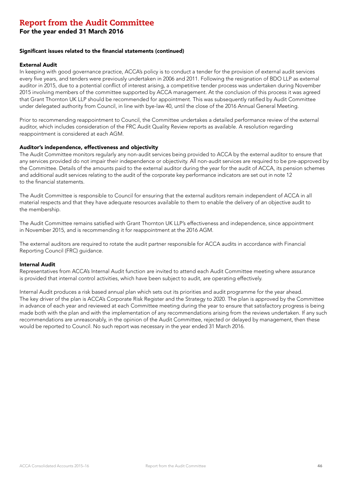For the year ended 31 March 2016

#### Significant issues related to the financial statements (continued)

#### External Audit

In keeping with good governance practice, ACCA's policy is to conduct a tender for the provision of external audit services every five years, and tenders were previously undertaken in 2006 and 2011. Following the resignation of BDO LLP as external auditor in 2015, due to a potential conflict of interest arising, a competitive tender process was undertaken during November 2015 involving members of the committee supported by ACCA management. At the conclusion of this process it was agreed that Grant Thornton UK LLP should be recommended for appointment. This was subsequently ratified by Audit Committee under delegated authority from Council, in line with bye-law 40, until the close of the 2016 Annual General Meeting.

Prior to recommending reappointment to Council, the Committee undertakes a detailed performance review of the external auditor, which includes consideration of the FRC Audit Quality Review reports as available. A resolution regarding reappointment is considered at each AGM.

#### Auditor's independence, effectiveness and objectivity

The Audit Committee monitors regularly any non-audit services being provided to ACCA by the external auditor to ensure that any services provided do not impair their independence or objectivity. All non-audit services are required to be pre-approved by the Committee. Details of the amounts paid to the external auditor during the year for the audit of ACCA, its pension schemes and additional audit services relating to the audit of the corporate key performance indicators are set out in note 12 to the financial statements.

The Audit Committee is responsible to Council for ensuring that the external auditors remain independent of ACCA in all material respects and that they have adequate resources available to them to enable the delivery of an objective audit to the membership.

The Audit Committee remains satisfied with Grant Thornton UK LLP's effectiveness and independence, since appointment in November 2015, and is recommending it for reappointment at the 2016 AGM.

The external auditors are required to rotate the audit partner responsible for ACCA audits in accordance with Financial Reporting Council (FRC) guidance.

#### Internal Audit

Representatives from ACCA's Internal Audit function are invited to attend each Audit Committee meeting where assurance is provided that internal control activities, which have been subject to audit, are operating effectively.

Internal Audit produces a risk based annual plan which sets out its priorities and audit programme for the year ahead. The key driver of the plan is ACCA's Corporate Risk Register and the Strategy to 2020. The plan is approved by the Committee in advance of each year and reviewed at each Committee meeting during the year to ensure that satisfactory progress is being made both with the plan and with the implementation of any recommendations arising from the reviews undertaken. If any such recommendations are unreasonably, in the opinion of the Audit Committee, rejected or delayed by management, then these would be reported to Council. No such report was necessary in the year ended 31 March 2016.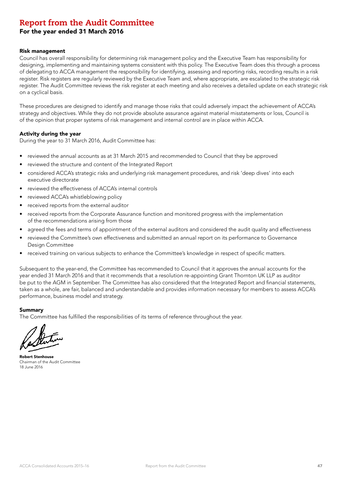### For the year ended 31 March 2016

#### Risk management

Council has overall responsibility for determining risk management policy and the Executive Team has responsibility for designing, implementing and maintaining systems consistent with this policy. The Executive Team does this through a process of delegating to ACCA management the responsibility for identifying, assessing and reporting risks, recording results in a risk register. Risk registers are regularly reviewed by the Executive Team and, where appropriate, are escalated to the strategic risk register. The Audit Committee reviews the risk register at each meeting and also receives a detailed update on each strategic risk on a cyclical basis.

These procedures are designed to identify and manage those risks that could adversely impact the achievement of ACCA's strategy and objectives. While they do not provide absolute assurance against material misstatements or loss, Council is of the opinion that proper systems of risk management and internal control are in place within ACCA.

#### Activity during the year

During the year to 31 March 2016, Audit Committee has:

- reviewed the annual accounts as at 31 March 2015 and recommended to Council that they be approved
- reviewed the structure and content of the Integrated Report
- considered ACCA's strategic risks and underlying risk management procedures, and risk 'deep dives' into each executive directorate
- reviewed the effectiveness of ACCA's internal controls
- reviewed ACCA's whistleblowing policy
- received reports from the external auditor
- received reports from the Corporate Assurance function and monitored progress with the implementation of the recommendations arising from those
- agreed the fees and terms of appointment of the external auditors and considered the audit quality and effectiveness
- reviewed the Committee's own effectiveness and submitted an annual report on its performance to Governance Design Committee
- received training on various subjects to enhance the Committee's knowledge in respect of specific matters.

Subsequent to the year-end, the Committee has recommended to Council that it approves the annual accounts for the year ended 31 March 2016 and that it recommends that a resolution re-appointing Grant Thornton UK LLP as auditor be put to the AGM in September. The Committee has also considered that the Integrated Report and financial statements, taken as a whole, are fair, balanced and understandable and provides information necessary for members to assess ACCA's performance, business model and strategy.

#### Summary

The Committee has fulfilled the responsibilities of its terms of reference throughout the year.

Robert Stenhouse Chairman of the Audit Committee 18 June 2016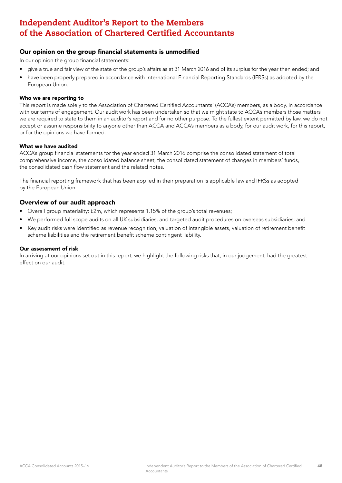### Our opinion on the group financial statements is unmodified

In our opinion the group financial statements:

- give a true and fair view of the state of the group's affairs as at 31 March 2016 and of its surplus for the year then ended; and
- have been properly prepared in accordance with International Financial Reporting Standards (IFRSs) as adopted by the European Union.

#### Who we are reporting to

This report is made solely to the Association of Chartered Certified Accountants' (ACCA's) members, as a body, in accordance with our terms of engagement. Our audit work has been undertaken so that we might state to ACCA's members those matters we are required to state to them in an auditor's report and for no other purpose. To the fullest extent permitted by law, we do not accept or assume responsibility to anyone other than ACCA and ACCA's members as a body, for our audit work, for this report, or for the opinions we have formed.

#### What we have audited

ACCA's group financial statements for the year ended 31 March 2016 comprise the consolidated statement of total comprehensive income, the consolidated balance sheet, the consolidated statement of changes in members' funds, the consolidated cash flow statement and the related notes.

The financial reporting framework that has been applied in their preparation is applicable law and IFRSs as adopted by the European Union.

### Overview of our audit approach

- Overall group materiality: £2m, which represents 1.15% of the group's total revenues;
- We performed full scope audits on all UK subsidiaries, and targeted audit procedures on overseas subsidiaries; and
- Key audit risks were identified as revenue recognition, valuation of intangible assets, valuation of retirement benefit scheme liabilities and the retirement benefit scheme contingent liability.

#### Our assessment of risk

In arriving at our opinions set out in this report, we highlight the following risks that, in our judgement, had the greatest effect on our audit.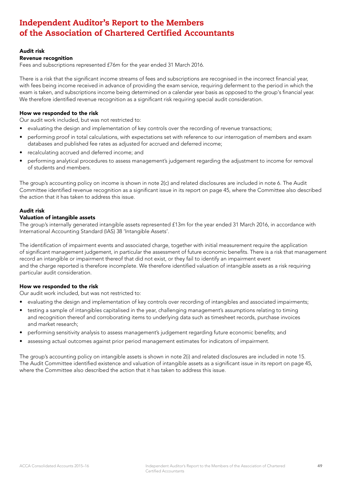#### Audit risk

#### Revenue recognition

Fees and subscriptions represented £76m for the year ended 31 March 2016.

There is a risk that the significant income streams of fees and subscriptions are recognised in the incorrect financial year, with fees being income received in advance of providing the exam service, requiring deferment to the period in which the exam is taken, and subscriptions income being determined on a calendar year basis as opposed to the group's financial year. We therefore identified revenue recognition as a significant risk requiring special audit consideration.

#### How we responded to the risk

Our audit work included, but was not restricted to:

- evaluating the design and implementation of key controls over the recording of revenue transactions;
- performing proof in total calculations, with expectations set with reference to our interrogation of members and exam databases and published fee rates as adjusted for accrued and deferred income;
- recalculating accrued and deferred income; and
- performing analytical procedures to assess management's judgement regarding the adjustment to income for removal of students and members.

The group's accounting policy on income is shown in note 2(c) and related disclosures are included in note 6. The Audit Committee identified revenue recognition as a significant issue in its report on page 45, where the Committee also described the action that it has taken to address this issue.

#### Audit risk

#### Valuation of intangible assets

The group's internally generated intangible assets represented £13m for the year ended 31 March 2016, in accordance with International Accounting Standard (IAS) 38 'Intangible Assets'.

The identification of impairment events and associated charge, together with initial measurement require the application of significant management judgement, in particular the assessment of future economic benefits. There is a risk that management record an intangible or impairment thereof that did not exist, or they fail to identify an impairment event and the charge reported is therefore incomplete. We therefore identified valuation of intangible assets as a risk requiring particular audit consideration.

### How we responded to the risk

Our audit work included, but was not restricted to:

- evaluating the design and implementation of key controls over recording of intangibles and associated impairments;
- testing a sample of intangibles capitalised in the year, challenging management's assumptions relating to timing and recognition thereof and corroborating items to underlying data such as timesheet records, purchase invoices and market research;
- performing sensitivity analysis to assess management's judgement regarding future economic benefits; and
- assessing actual outcomes against prior period management estimates for indicators of impairment.

The group's accounting policy on intangible assets is shown in note 2(i) and related disclosures are included in note 15. The Audit Committee identified existence and valuation of intangible assets as a significant issue in its report on page 45, where the Committee also described the action that it has taken to address this issue.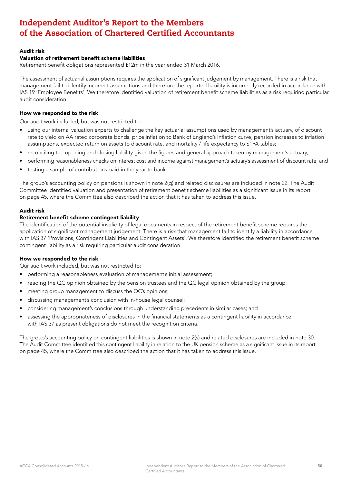### Audit risk

#### Valuation of retirement benefit scheme liabilities

Retirement benefit obligations represented £12m in the year ended 31 March 2016.

The assessment of actuarial assumptions requires the application of significant judgement by management. There is a risk that management fail to identify incorrect assumptions and therefore the reported liability is incorrectly recorded in accordance with IAS 19 'Employee Benefits'. We therefore identified valuation of retirement benefit scheme liabilities as a risk requiring particular audit consideration.

#### How we responded to the risk

Our audit work included, but was not restricted to:

- using our internal valuation experts to challenge the key actuarial assumptions used by management's actuary, of discount rate to yield on AA rated corporate bonds, price inflation to Bank of England's inflation curve, pension increases to inflation assumptions, expected return on assets to discount rate, and mortality / life expectancy to S1PA tables;
- reconciling the opening and closing liability given the figures and general approach taken by management's actuary;
- performing reasonableness checks on interest cost and income against management's actuary's assessment of discount rate; and
- testing a sample of contributions paid in the year to bank.

The group's accounting policy on pensions is shown in note 2(q) and related disclosures are included in note 22. The Audit Committee identified valuation and presentation of retirement benefit scheme liabilities as a significant issue in its report on page 45, where the Committee also described the action that it has taken to address this issue.

#### Audit risk

#### Retirement benefit scheme contingent liability

The identification of the potential invalidity of legal documents in respect of the retirement benefit scheme requires the application of significant management judgement. There is a risk that management fail to identify a liability in accordance with IAS 37 'Provisions, Contingent Liabilities and Contingent Assets'. We therefore identified the retirement benefit scheme contingent liability as a risk requiring particular audit consideration.

#### How we responded to the risk

Our audit work included, but was not restricted to:

- performing a reasonableness evaluation of management's initial assessment;
- reading the QC opinion obtained by the pension trustees and the QC legal opinion obtained by the group;
- meeting group management to discuss the QC's opinions;
- discussing management's conclusion with in-house legal counsel;
- considering management's conclusions through understanding precedents in similar cases; and
- assessing the appropriateness of disclosures in the financial statements as a contingent liability in accordance with IAS 37 as present obligations do not meet the recognition criteria.

The group's accounting policy on contingent liabilities is shown in note 2(s) and related disclosures are included in note 30. The Audit Committee identified this contingent liability in relation to the UK pension scheme as a significant issue in its report on page 45, where the Committee also described the action that it has taken to address this issue.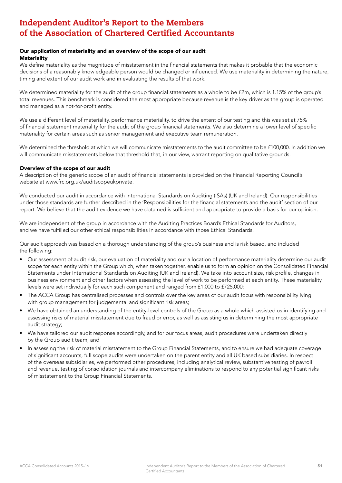#### Our application of materiality and an overview of the scope of our audit **Materiality**

We define materiality as the magnitude of misstatement in the financial statements that makes it probable that the economic decisions of a reasonably knowledgeable person would be changed or influenced. We use materiality in determining the nature, timing and extent of our audit work and in evaluating the results of that work.

We determined materiality for the audit of the group financial statements as a whole to be £2m, which is 1.15% of the group's total revenues. This benchmark is considered the most appropriate because revenue is the key driver as the group is operated and managed as a not-for-profit entity.

We use a different level of materiality, performance materiality, to drive the extent of our testing and this was set at 75% of financial statement materiality for the audit of the group financial statements. We also determine a lower level of specific materiality for certain areas such as senior management and executive team remuneration.

We determined the threshold at which we will communicate misstatements to the audit committee to be £100,000. In addition we will communicate misstatements below that threshold that, in our view, warrant reporting on qualitative grounds.

#### Overview of the scope of our audit

A description of the generic scope of an audit of financial statements is provided on the Financial Reporting Council's website at www.frc.org.uk/auditscopeukprivate.

We conducted our audit in accordance with International Standards on Auditing (ISAs) (UK and Ireland). Our responsibilities under those standards are further described in the 'Responsibilities for the financial statements and the audit' section of our report. We believe that the audit evidence we have obtained is sufficient and appropriate to provide a basis for our opinion.

We are independent of the group in accordance with the Auditing Practices Board's Ethical Standards for Auditors, and we have fulfilled our other ethical responsibilities in accordance with those Ethical Standards.

Our audit approach was based on a thorough understanding of the group's business and is risk based, and included the following:

- Our assessment of audit risk, our evaluation of materiality and our allocation of performance materiality determine our audit scope for each entity within the Group which, when taken together, enable us to form an opinion on the Consolidated Financial Statements under International Standards on Auditing (UK and Ireland). We take into account size, risk profile, changes in business environment and other factors when assessing the level of work to be performed at each entity. These materiality levels were set individually for each such component and ranged from £1,000 to £725,000;
- The ACCA Group has centralised processes and controls over the key areas of our audit focus with responsibility lying with group management for judgemental and significant risk areas;
- We have obtained an understanding of the entity-level controls of the Group as a whole which assisted us in identifying and assessing risks of material misstatement due to fraud or error, as well as assisting us in determining the most appropriate audit strategy;
- We have tailored our audit response accordingly, and for our focus areas, audit procedures were undertaken directly by the Group audit team; and
- In assessing the risk of material misstatement to the Group Financial Statements, and to ensure we had adequate coverage of significant accounts, full scope audits were undertaken on the parent entity and all UK based subsidiaries. In respect of the overseas subsidiaries, we performed other procedures, including analytical review, substantive testing of payroll and revenue, testing of consolidation journals and intercompany eliminations to respond to any potential significant risks of misstatement to the Group Financial Statements.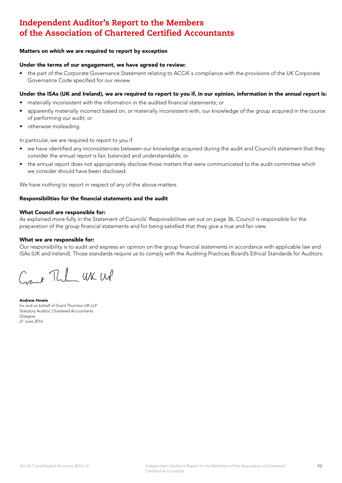#### Matters on which we are required to report by exception

#### Under the terms of our engagement, we have agreed to review:

• the part of the Corporate Governance Statement relating to ACCA' s compliance with the provisions of the UK Corporate Governance Code specified for our review.

#### Under the ISAs (UK and Ireland), we are required to report to you if, in our opinion, information in the annual report is:

- materially inconsistent with the information in the audited financial statements; or
- apparently materially incorrect based on, or materially inconsistent with, our knowledge of the group acquired in the course of performing our audit; or
- otherwise misleading.

In particular, we are required to report to you if:

- we have identified any inconsistencies between our knowledge acquired during the audit and Council's statement that they consider the annual report is fair, balanced and understandable; or
- the annual report does not appropriately disclose those matters that were communicated to the audit committee which we consider should have been disclosed.

We have nothing to report in respect of any of the above matters.

#### Responsibilities for the financial statements and the audit

#### What Council are responsible for:

As explained more fully in the Statement of Councils' Responsibilities set out on page 36, Council is responsible for the preparation of the group financial statements and for being satisfied that they give a true and fair view.

#### What we are responsible for:

Our responsibility is to audit and express an opinion on the group financial statements in accordance with applicable law and ISAs (UK and Ireland). Those standards require us to comply with the Auditing Practices Board's Ethical Standards for Auditors.

Cant The UK WP

Andrew Howie for and on behalf of Grant Thornton UK LLP Statutory Auditor, Chartered Accountants Glasgow 21 June 2016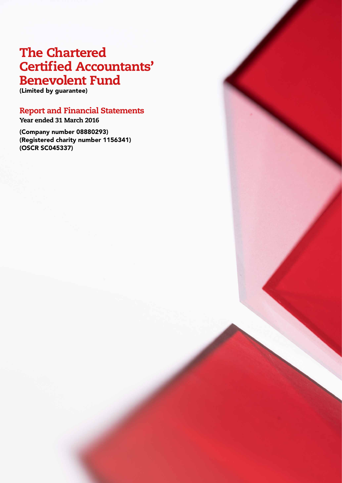# The Chartered Certified Accountants' Benevolent Fund

(Limited by guarantee)

# Report and Financial Statements

Year ended 31 March 2016

(Company number 08880293) (Registered charity number 1156341) (OSCR SC045337)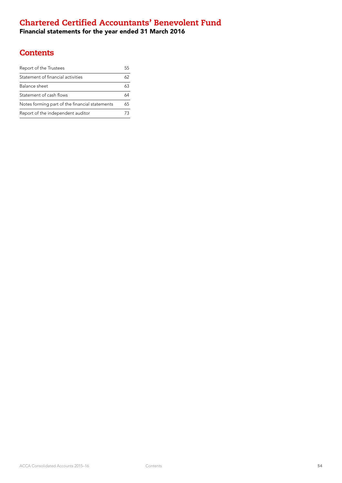# Chartered Certified Accountants' Benevolent Fund

Financial statements for the year ended 31 March 2016

# **Contents**

| Report of the Trustees                         |    |
|------------------------------------------------|----|
| Statement of financial activities              | 62 |
| Balance sheet                                  | 63 |
| Statement of cash flows                        |    |
| Notes forming part of the financial statements | 65 |
| Report of the independent auditor              |    |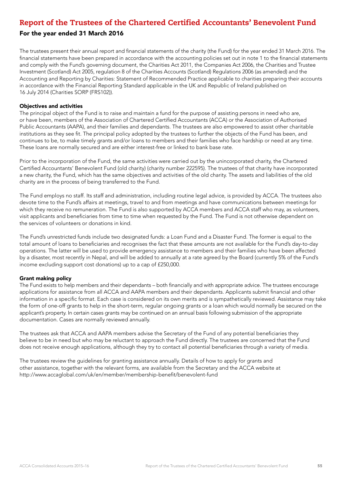### For the year ended 31 March 2016

The trustees present their annual report and financial statements of the charity (the Fund) for the year ended 31 March 2016. The financial statements have been prepared in accordance with the accounting policies set out in note 1 to the financial statements and comply with the Fund's governing document, the Charities Act 2011, the Companies Act 2006, the Charities and Trustee Investment (Scotland) Act 2005, regulation 8 of the Charities Accounts (Scotland) Regulations 2006 (as amended) and the Accounting and Reporting by Charities: Statement of Recommended Practice applicable to charities preparing their accounts in accordance with the Financial Reporting Standard applicable in the UK and Republic of Ireland published on 16 July 2014 (Charities SORP (FRS102)).

#### Objectives and activities

The principal object of the Fund is to raise and maintain a fund for the purpose of assisting persons in need who are, or have been, members of the Association of Chartered Certified Accountants (ACCA) or the Association of Authorised Public Accountants (AAPA), and their families and dependants. The trustees are also empowered to assist other charitable institutions as they see fit. The principal policy adopted by the trustees to further the objects of the Fund has been, and continues to be, to make timely grants and/or loans to members and their families who face hardship or need at any time. These loans are normally secured and are either interest-free or linked to bank base rate.

Prior to the incorporation of the Fund, the same activities were carried out by the unincorporated charity, the Chartered Certified Accountants' Benevolent Fund (old charity) (charity number 222595). The trustees of that charity have incorporated a new charity, the Fund, which has the same objectives and activities of the old charity. The assets and liabilities of the old charity are in the process of being transferred to the Fund.

The Fund employs no staff. Its staff and administration, including routine legal advice, is provided by ACCA. The trustees also devote time to the Fund's affairs at meetings, travel to and from meetings and have communications between meetings for which they receive no remuneration. The Fund is also supported by ACCA members and ACCA staff who may, as volunteers, visit applicants and beneficiaries from time to time when requested by the Fund. The Fund is not otherwise dependent on the services of volunteers or donations in kind.

The Fund's unrestricted funds include two designated funds: a Loan Fund and a Disaster Fund. The former is equal to the total amount of loans to beneficiaries and recognises the fact that these amounts are not available for the Fund's day-to-day operations. The latter will be used to provide emergency assistance to members and their families who have been affected by a disaster, most recently in Nepal, and will be added to annually at a rate agreed by the Board (currently 5% of the Fund's income excluding support cost donations) up to a cap of £250,000.

#### Grant making policy

The Fund exists to help members and their dependants – both financially and with appropriate advice. The trustees encourage applications for assistance from all ACCA and AAPA members and their dependants. Applicants submit financial and other information in a specific format. Each case is considered on its own merits and is sympathetically reviewed. Assistance may take the form of one-off grants to help in the short-term, regular ongoing grants or a loan which would normally be secured on the applicant's property. In certain cases grants may be continued on an annual basis following submission of the appropriate documentation. Cases are normally reviewed annually.

The trustees ask that ACCA and AAPA members advise the Secretary of the Fund of any potential beneficiaries they believe to be in need but who may be reluctant to approach the Fund directly. The trustees are concerned that the Fund does not receive enough applications, although they try to contact all potential beneficiaries through a variety of media.

The trustees review the guidelines for granting assistance annually. Details of how to apply for grants and other assistance, together with the relevant forms, are available from the Secretary and the ACCA website at http://www.accaglobal.com/uk/en/member/membership-benefit/benevolent-fund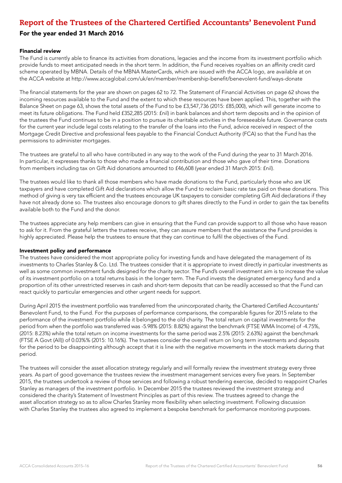### For the year ended 31 March 2016

#### Financial review

The Fund is currently able to finance its activities from donations, legacies and the income from its investment portfolio which provide funds to meet anticipated needs in the short term. In addition, the Fund receives royalties on an affinity credit card scheme operated by MBNA. Details of the MBNA MasterCards, which are issued with the ACCA logo, are available at on the ACCA website at http://www.accaglobal.com/uk/en/member/membership-benefit/benevolent-fund/ways-donate

The financial statements for the year are shown on pages 62 to 72. The Statement of Financial Activities on page 62 shows the incoming resources available to the Fund and the extent to which these resources have been applied. This, together with the Balance Sheet on page 63, shows the total assets of the Fund to be £3,547,736 (2015: £85,000), which will generate income to meet its future obligations. The Fund held £352,285 (2015: £nil) in bank balances and short term deposits and in the opinion of the trustees the Fund continues to be in a position to pursue its charitable activities in the foreseeable future. Governance costs for the current year include legal costs relating to the transfer of the loans into the Fund, advice received in respect of the Mortgage Credit Directive and professional fees payable to the Financial Conduct Authority (FCA) so that the Fund has the permissions to administer mortgages.

The trustees are grateful to all who have contributed in any way to the work of the Fund during the year to 31 March 2016. In particular, it expresses thanks to those who made a financial contribution and those who gave of their time. Donations from members including tax on Gift Aid donations amounted to £46,608 (year ended 31 March 2015: £nil).

The trustees would like to thank all those members who have made donations to the Fund, particularly those who are UK taxpayers and have completed Gift Aid declarations which allow the Fund to reclaim basic rate tax paid on these donations. This method of giving is very tax efficient and the trustees encourage UK taxpayers to consider completing Gift Aid declarations if they have not already done so. The trustees also encourage donors to gift shares directly to the Fund in order to gain the tax benefits available both to the Fund and the donor.

The trustees appreciate any help members can give in ensuring that the Fund can provide support to all those who have reason to ask for it. From the grateful letters the trustees receive, they can assure members that the assistance the Fund provides is highly appreciated. Please help the trustees to ensure that they can continue to fulfil the objectives of the Fund.

#### Investment policy and performance

The trustees have considered the most appropriate policy for investing funds and have delegated the management of its investments to Charles Stanley & Co. Ltd. The trustees consider that it is appropriate to invest directly in particular investments as well as some common investment funds designed for the charity sector. The Fund's overall investment aim is to increase the value of its investment portfolio on a total returns basis in the longer term. The Fund invests the designated emergency fund and a proportion of its other unrestricted reserves in cash and short-term deposits that can be readily accessed so that the Fund can react quickly to particular emergencies and other urgent needs for support.

During April 2015 the investment portfolio was transferred from the unincorporated charity, the Chartered Certified Accountants' Benevolent Fund, to the Fund. For the purposes of performance comparisons, the comparable figures for 2015 relate to the performance of the investment portfolio while it belonged to the old charity. The total return on capital investments for the period from when the portfolio was transferred was -5.98% (2015: 8.82%) against the benchmark (FTSE WMA Income) of -4.75%, (2015: 8.23%) while the total return on income investments for the same period was 2.5% (2015: 2.63%) against the benchmark (FTSE A Govt (All)) of 0.03%% (2015: 10.16%). The trustees consider the overall return on long term investments and deposits for the period to be disappointing although accept that it is line with the negative movements in the stock markets during that period.

The trustees will consider the asset allocation strategy regularly and will formally review the investment strategy every three years. As part of good governance the trustees review the investment management services every five years. In September 2015, the trustees undertook a review of those services and following a robust tendering exercise, decided to reappoint Charles Stanley as managers of the investment portfolio. In December 2015 the trustees reviewed the investment strategy and considered the charity's Statement of Investment Principles as part of this review. The trustees agreed to change the asset allocation strategy so as to allow Charles Stanley more flexibility when selecting investment. Following discussion with Charles Stanley the trustees also agreed to implement a bespoke benchmark for performance monitoring purposes.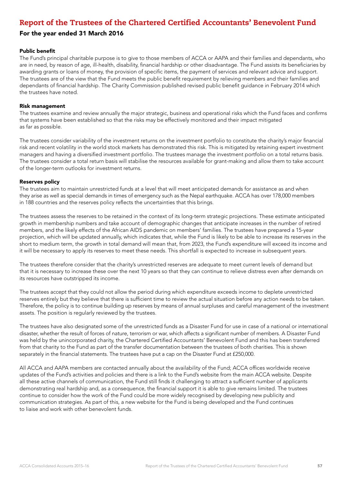### For the year ended 31 March 2016

#### Public benefit

The Fund's principal charitable purpose is to give to those members of ACCA or AAPA and their families and dependants, who are in need, by reason of age, ill-health, disability, financial hardship or other disadvantage. The Fund assists its beneficiaries by awarding grants or loans of money, the provision of specific items, the payment of services and relevant advice and support. The trustees are of the view that the Fund meets the public benefit requirement by relieving members and their families and dependants of financial hardship. The Charity Commission published revised public benefit guidance in February 2014 which the trustees have noted.

#### Risk management

The trustees examine and review annually the major strategic, business and operational risks which the Fund faces and confirms that systems have been established so that the risks may be effectively monitored and their impact mitigated as far as possible.

The trustees consider variability of the investment returns on the investment portfolio to constitute the charity's major financial risk and recent volatility in the world stock markets has demonstrated this risk. This is mitigated by retaining expert investment managers and having a diversified investment portfolio. The trustees manage the investment portfolio on a total returns basis. The trustees consider a total return basis will stabilise the resources available for grant-making and allow them to take account of the longer-term outlooks for investment returns.

#### Reserves policy

The trustees aim to maintain unrestricted funds at a level that will meet anticipated demands for assistance as and when they arise as well as special demands in times of emergency such as the Nepal earthquake. ACCA has over 178,000 members in 188 countries and the reserves policy reflects the uncertainties that this brings.

The trustees assess the reserves to be retained in the context of its long-term strategic projections. These estimate anticipated growth in membership numbers and take account of demographic changes that anticipate increases in the number of retired members, and the likely effects of the African AIDS pandemic on members' families. The trustees have prepared a 15-year projection, which will be updated annually, which indicates that, while the Fund is likely to be able to increase its reserves in the short to medium term, the growth in total demand will mean that, from 2023, the Fund's expenditure will exceed its income and it will be necessary to apply its reserves to meet these needs. This shortfall is expected to increase in subsequent years.

The trustees therefore consider that the charity's unrestricted reserves are adequate to meet current levels of demand but that it is necessary to increase these over the next 10 years so that they can continue to relieve distress even after demands on its resources have outstripped its income.

The trustees accept that they could not allow the period during which expenditure exceeds income to deplete unrestricted reserves entirely but they believe that there is sufficient time to review the actual situation before any action needs to be taken. Therefore, the policy is to continue building up reserves by means of annual surpluses and careful management of the investment assets. The position is regularly reviewed by the trustees.

The trustees have also designated some of the unrestricted funds as a Disaster Fund for use in case of a national or international disaster, whether the result of forces of nature, terrorism or war, which affects a significant number of members. A Disaster Fund was held by the unincorporated charity, the Chartered Certified Accountants' Benevolent Fund and this has been transferred from that charity to the Fund as part of the transfer documentation between the trustees of both charities. This is shown separately in the financial statements. The trustees have put a cap on the Disaster Fund at £250,000.

All ACCA and AAPA members are contacted annually about the availability of the Fund; ACCA offices worldwide receive updates of the Fund's activities and policies and there is a link to the Fund's website from the main ACCA website. Despite all these active channels of communication, the Fund still finds it challenging to attract a sufficient number of applicants demonstrating real hardship and, as a consequence, the financial support it is able to give remains limited. The trustees continue to consider how the work of the Fund could be more widely recognised by developing new publicity and communication strategies. As part of this, a new website for the Fund is being developed and the Fund continues to liaise and work with other benevolent funds.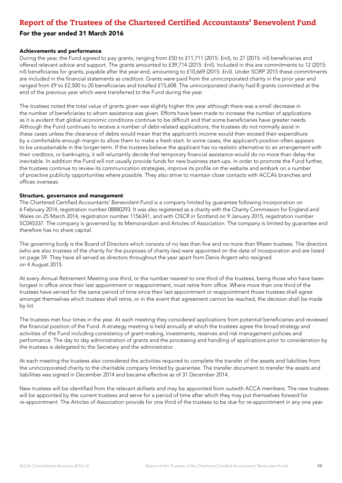### For the year ended 31 March 2016

#### Achievements and performance

During the year, the Fund agreed to pay grants, ranging from £50 to £11,711 (2015: £nil), to 27 (2015: nil) beneficiaries and offered relevant advice and support. The grants amounted to £39,714 (2015: £nil). Included in this are commitments to 12 (2015: nil) beneficiaries for grants, payable after the year-end, amounting to £10,669 (2015: £nil). Under SORP 2015 these commitments are included in the financial statements as creditors. Grants were paid from the unincorporated charity in the prior year and ranged from £9 to £2,500 to 20 beneficiaries and totalled £15,608. The unincorporated charity had 8 grants committed at the end of the previous year which were transferred to the Fund during the year.

The trustees noted the total value of grants given was slightly higher this year although there was a small decrease in the number of beneficiaries to whom assistance was given. Efforts have been made to increase the number of applications as it is evident that global economic conditions continue to be difficult and that some beneficiaries have greater needs. Although the Fund continues to receive a number of debt-related applications, the trustees do not normally assist in these cases unless the clearance of debts would mean that the applicant's income would then exceed their expenditure by a comfortable enough margin to allow them to make a fresh start. In some cases, the applicant's position often appears to be unsustainable in the longer-term. If the trustees believe the applicant has no realistic alternative to an arrangement with their creditors, or bankruptcy, it will reluctantly decide that temporary financial assistance would do no more than delay the inevitable. In addition the Fund will not usually provide funds for new business start-ups. In order to promote the Fund further, the trustees continue to review its communication strategies, improve its profile on the website and embark on a number of proactive publicity opportunities where possible. They also strive to maintain close contacts with ACCA's branches and offices overseas.

#### Structure, governance and management

The Chartered Certified Accountants' Benevolent Fund is a company limited by guarantee following incorporation on 6 February 2014, registration number 08880293. It was also registered as a charity with the Charity Commission for England and Wales on 25 March 2014, registration number 1156341, and with OSCR in Scotland on 9 January 2015, registration number SC045337. The company is governed by its Memorandum and Articles of Association. The company is limited by guarantee and therefore has no share capital.

The governing body is the Board of Directors which consists of no less than five and no more than fifteen trustees. The directors (who are also trustees of the charity for the purposes of charity law) were appointed on the date of incorporation and are listed on page 59. They have all served as directors throughout the year apart from Denis Argent who resigned on 4 August 2015.

At every Annual Retirement Meeting one third, or the number nearest to one third of the trustees, being those who have been longest in office since their last appointment or reappointment, must retire from office. Where more than one third of the trustees have served for the same period of time since their last appointment or reappointment those trustees shall agree amongst themselves which trustees shall retire, or in the event that agreement cannot be reached, the decision shall be made by lot.

The trustees met four times in the year. At each meeting they considered applications from potential beneficiaries and reviewed the financial position of the Fund. A strategy meeting is held annually at which the trustees agree the broad strategy and activities of the Fund including consistency of grant-making, investments, reserves and risk management policies and performance. The day to day administration of grants and the processing and handling of applications prior to consideration by the trustees is delegated to the Secretary and the administrator.

At each meeting the trustees also considered the activities required to complete the transfer of the assets and liabilities from the unincorporated charity to the charitable company limited by guarantee. The transfer document to transfer the assets and liabilities was signed in December 2014 and became effective as of 31 December 2014.

New trustees will be identified from the relevant skillsets and may be appointed from outwith ACCA members. The new trustees will be appointed by the current trustees and serve for a period of time after which they may put themselves forward for re-appointment. The Articles of Association provide for one third of the trustees to be due for re-appointment in any one year.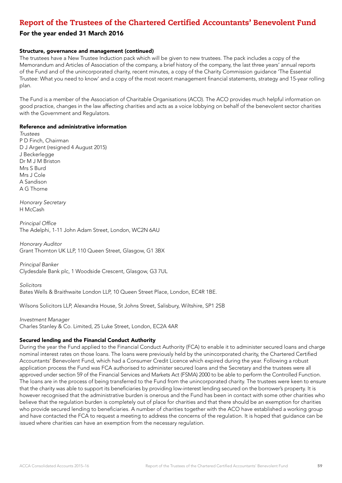### For the year ended 31 March 2016

#### Structure, governance and management (continued)

The trustees have a New Trustee Induction pack which will be given to new trustees. The pack includes a copy of the Memorandum and Articles of Association of the company, a brief history of the company, the last three years' annual reports of the Fund and of the unincorporated charity, recent minutes, a copy of the Charity Commission guidance 'The Essential Trustee: What you need to know' and a copy of the most recent management financial statements, strategy and 15-year rolling plan.

The Fund is a member of the Association of Charitable Organisations (ACO). The ACO provides much helpful information on good practice, changes in the law affecting charities and acts as a voice lobbying on behalf of the benevolent sector charities with the Government and Regulators.

#### Reference and administrative information

*Trustees* P D Finch, Chairman D J Argent (resigned 4 August 2015) J Beckerlegge Dr M J M Briston Mrs S Burd Mrs J Cole A Sandison A G Thorne

*Honorary Secretary* H McCash

Principal Office The Adelphi, 1-11 John Adam Street, London, WC2N 6AU

*Honorary Auditor* Grant Thornton UK LLP, 110 Queen Street, Glasgow, G1 3BX

*Principal Banker* Clydesdale Bank plc, 1 Woodside Crescent, Glasgow, G3 7UL

*Solicitors* Bates Wells & Braithwaite London LLP, 10 Queen Street Place, London, EC4R 1BE.

Wilsons Solicitors LLP, Alexandra House, St Johns Street, Salisbury, Wiltshire, SP1 2SB

*Investment Manager* Charles Stanley & Co. Limited, 25 Luke Street, London, EC2A 4AR

#### Secured lending and the Financial Conduct Authority

During the year the Fund applied to the Financial Conduct Authority (FCA) to enable it to administer secured loans and charge nominal interest rates on those loans. The loans were previously held by the unincorporated charity, the Chartered Certified Accountants' Benevolent Fund, which had a Consumer Credit Licence which expired during the year. Following a robust application process the Fund was FCA authorised to administer secured loans and the Secretary and the trustees were all approved under section 59 of the Financial Services and Markets Act (FSMA) 2000 to be able to perform the Controlled Function. The loans are in the process of being transferred to the Fund from the unincorporated charity. The trustees were keen to ensure that the charity was able to support its beneficiaries by providing low-interest lending secured on the borrower's property. It is however recognised that the administrative burden is onerous and the Fund has been in contact with some other charities who believe that the regulation burden is completely out of place for charities and that there should be an exemption for charities who provide secured lending to beneficiaries. A number of charities together with the ACO have established a working group and have contacted the FCA to request a meeting to address the concerns of the regulation. It is hoped that guidance can be issued where charities can have an exemption from the necessary regulation.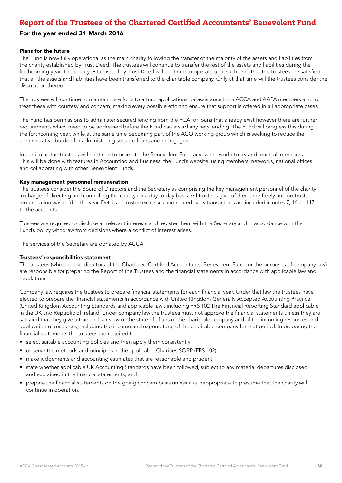### For the year ended 31 March 2016

#### Plans for the future

The Fund is now fully operational as the main charity following the transfer of the majority of the assets and liabilities from the charity established by Trust Deed. The trustees will continue to transfer the rest of the assets and liabilities during the forthcoming year. The charity established by Trust Deed will continue to operate until such time that the trustees are satisfied that all the assets and liabilities have been transferred to the charitable company. Only at that time will the trustees consider the dissolution thereof.

The trustees will continue to maintain its efforts to attract applications for assistance from ACCA and AAPA members and to treat these with courtesy and concern, making every possible effort to ensure that support is offered in all appropriate cases.

The Fund has permissions to administer secured lending from the FCA for loans that already exist however there are further requirements which need to be addressed before the Fund can award any new lending. The Fund will progress this during the forthcoming year, while at the same time becoming part of the ACO working group which is seeking to reduce the administrative burden for administering secured loans and mortgages.

In particular, the trustees will continue to promote the Benevolent Fund across the world to try and reach all members. This will be done with features in Accounting and Business, the Fund's website, using members' networks, national offices and collaborating with other Benevolent Funds.

#### Key management personnel remuneration

The trustees consider the Board of Directors and the Secretary as comprising the key management personnel of the charity in charge of directing and controlling the charity on a day to day basis. All trustees give of their time freely and no trustee remuneration was paid in the year. Details of trustee expenses and related party transactions are included in notes 7, 16 and 17 to the accounts.

Trustees are required to disclose all relevant interests and register them with the Secretary and in accordance with the Fund's policy withdraw from decisions where a conflict of interest arises.

The services of the Secretary are donated by ACCA.

#### Trustees' responsibilities statement

The trustees (who are also directors of the Chartered Certified Accountants' Benevolent Fund for the purposes of company law) are responsible for preparing the Report of the Trustees and the financial statements in accordance with applicable law and regulations.

Company law requires the trustees to prepare financial statements for each financial year. Under that law the trustees have elected to prepare the financial statements in accordance with United Kingdom Generally Accepted Accounting Practice (United Kingdom Accounting Standards and applicable law), including FRS 102 The Financial Reporting Standard applicable in the UK and Republic of Ireland. Under company law the trustees must not approve the financial statements unless they are satisfied that they give a true and fair view of the state of affairs of the charitable company and of the incoming resources and application of resources, including the income and expenditure, of the charitable company for that period. In preparing the financial statements the trustees are required to:

- select suitable accounting policies and then apply them consistently;
- observe the methods and principles in the applicable Charities SORP (FRS 102);
- make judgements and accounting estimates that are reasonable and prudent;
- state whether applicable UK Accounting Standards have been followed, subject to any material departures disclosed and explained in the financial statements; and
- prepare the financial statements on the going concern basis unless it is inappropriate to presume that the charity will continue in operation.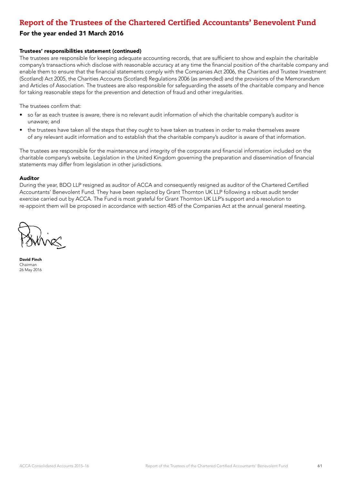### For the year ended 31 March 2016

#### Trustees' responsibilities statement (continued)

The trustees are responsible for keeping adequate accounting records, that are sufficient to show and explain the charitable company's transactions which disclose with reasonable accuracy at any time the financial position of the charitable company and enable them to ensure that the financial statements comply with the Companies Act 2006, the Charities and Trustee Investment (Scotland) Act 2005, the Charities Accounts (Scotland) Regulations 2006 (as amended) and the provisions of the Memorandum and Articles of Association. The trustees are also responsible for safeguarding the assets of the charitable company and hence for taking reasonable steps for the prevention and detection of fraud and other irregularities.

The trustees confirm that:

- so far as each trustee is aware, there is no relevant audit information of which the charitable company's auditor is unaware; and
- the trustees have taken all the steps that they ought to have taken as trustees in order to make themselves aware of any relevant audit information and to establish that the charitable company's auditor is aware of that information.

The trustees are responsible for the maintenance and integrity of the corporate and financial information included on the charitable company's website. Legislation in the United Kingdom governing the preparation and dissemination of financial statements may differ from legislation in other jurisdictions.

#### Auditor

During the year, BDO LLP resigned as auditor of ACCA and consequently resigned as auditor of the Chartered Certified Accountants' Benevolent Fund. They have been replaced by Grant Thornton UK LLP following a robust audit tender exercise carried out by ACCA. The Fund is most grateful for Grant Thornton UK LLP's support and a resolution to re-appoint them will be proposed in accordance with section 485 of the Companies Act at the annual general meeting.

David Finch Chairman 26 May 2016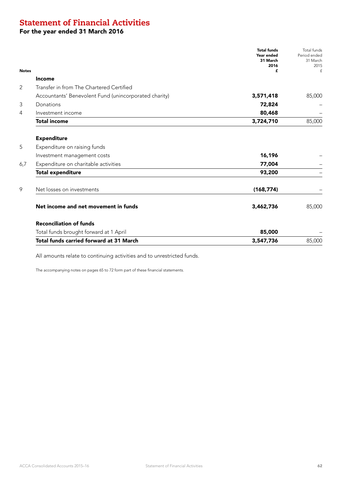# Statement of Financial Activities

## For the year ended 31 March 2016

| <b>Notes</b> |                                                       | <b>Total funds</b><br>Year ended<br>31 March<br>2016<br>£ | Total funds<br>Period ended<br>31 March<br>2015<br>$\ensuremath{\mathbf{f}}$ |
|--------------|-------------------------------------------------------|-----------------------------------------------------------|------------------------------------------------------------------------------|
|              | <b>Income</b>                                         |                                                           |                                                                              |
| 2            | Transfer in from The Chartered Certified              |                                                           |                                                                              |
|              | Accountants' Benevolent Fund (unincorporated charity) | 3,571,418                                                 | 85,000                                                                       |
| 3            | Donations                                             | 72,824                                                    |                                                                              |
| 4            | Investment income                                     | 80,468                                                    |                                                                              |
|              | <b>Total income</b>                                   | 3,724,710                                                 | 85,000                                                                       |
|              | <b>Expenditure</b>                                    |                                                           |                                                                              |
| 5            | Expenditure on raising funds                          |                                                           |                                                                              |
|              | Investment management costs                           | 16,196                                                    |                                                                              |
| 6,7          | Expenditure on charitable activities                  | 77,004                                                    |                                                                              |
|              | <b>Total expenditure</b>                              | 93,200                                                    |                                                                              |
| 9            | Net losses on investments                             | (168, 774)                                                |                                                                              |
|              | Net income and net movement in funds                  | 3,462,736                                                 | 85,000                                                                       |
|              | <b>Reconciliation of funds</b>                        |                                                           |                                                                              |
|              | Total funds brought forward at 1 April                | 85,000                                                    |                                                                              |
|              | Total funds carried forward at 31 March               | 3,547,736                                                 | 85,000                                                                       |

All amounts relate to continuing activities and to unrestricted funds.

The accompanying notes on pages 65 to 72 form part of these financial statements.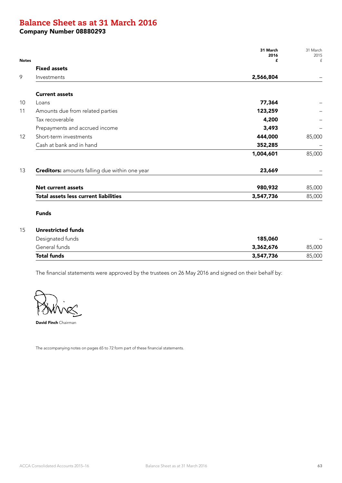# Balance Sheet as at 31 March 2016

Company Number 08880293

|              |                                                       | 31 March<br>2016 | 31 March<br>2015 |
|--------------|-------------------------------------------------------|------------------|------------------|
| <b>Notes</b> |                                                       | £                | £                |
|              | <b>Fixed assets</b>                                   |                  |                  |
|              | Investments                                           | 2,566,804        |                  |
|              | <b>Current assets</b>                                 |                  |                  |
|              | Loans                                                 | 77,364           |                  |
|              | Amounts due from related parties                      | 123,259          |                  |
|              | Tax recoverable                                       | 4,200            |                  |
|              | Prepayments and accrued income                        | 3,493            |                  |
|              | Short-term investments                                | 444,000          | 85,000           |
|              | Cash at bank and in hand                              | 352,285          |                  |
|              |                                                       | 1,004,601        | 85,000           |
|              | <b>Creditors:</b> amounts falling due within one year | 23,669           |                  |
|              | <b>Net current assets</b>                             | 980,932          | 85,000           |
|              | Total assets less current liabilities                 | 3,547,736        | 85,000           |

### Funds

### 15 Unrestricted funds

| Designated funds   | 185,060   | $\overline{\phantom{0}}$ |
|--------------------|-----------|--------------------------|
| General funds      | 3,362,676 | 85,000                   |
| <b>Total funds</b> | 3,547,736 | 85,000                   |

The financial statements were approved by the trustees on 26 May 2016 and signed on their behalf by:

David Finch Chairman

The accompanying notes on pages 65 to 72 form part of these financial statements.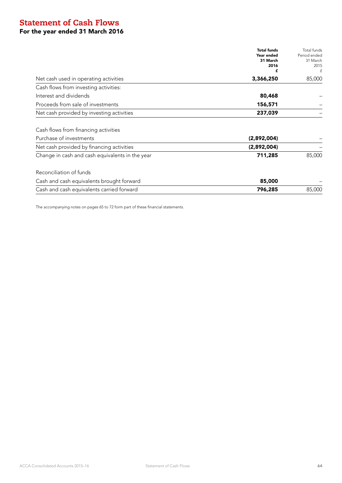# Statement of Cash Flows For the year ended 31 March 2016

| <b>Total funds</b><br>Year ended<br>31 March<br>2016<br>f  | Total funds<br>Period ended<br>31 March<br>2015<br>f |
|------------------------------------------------------------|------------------------------------------------------|
| 3,366,250<br>Net cash used in operating activities         | 85,000                                               |
| Cash flows from investing activities:                      |                                                      |
| Interest and dividends<br>80,468                           |                                                      |
| Proceeds from sale of investments<br>156,571               |                                                      |
| Net cash provided by investing activities<br>237,039       |                                                      |
| Cash flows from financing activities                       |                                                      |
| Purchase of investments<br>(2,892,004)                     |                                                      |
| Net cash provided by financing activities<br>(2,892,004)   |                                                      |
| Change in cash and cash equivalents in the year<br>711,285 | 85,000                                               |
| Reconciliation of funds                                    |                                                      |
| Cash and cash equivalents brought forward<br>85,000        |                                                      |
| Cash and cash equivalents carried forward<br>796,285       | 85,000                                               |

The accompanying notes on pages 65 to 72 form part of these financial statements.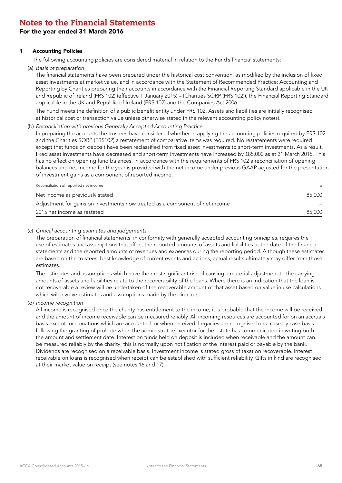### For the year ended 31 March 2016

#### 1 Accounting Policies

The following accounting policies are considered material in relation to the Fund's financial statements:

(a) *Basis of preparation*

The financial statements have been prepared under the historical cost convention, as modified by the inclusion of fixed asset investments at market value, and in accordance with the Statement of Recommended Practice: Accounting and Reporting by Charities preparing their accounts in accordance with the Financial Reporting Standard applicable in the UK and Republic of Ireland (FRS 102) (effective 1 January 2015) – (Charities SORP (FRS 102)), the Financial Reporting Standard applicable in the UK and Republic of Ireland (FRS 102) and the Companies Act 2006.

The Fund meets the definition of a public benefit entity under FRS 102. Assets and liabilities are initially recognised at historical cost or transaction value unless otherwise stated in the relevant accounting policy note(s).

#### (b) *Reconciliation with previous Generally Accepted Accounting Practice*

In preparing the accounts the trustees have considered whether in applying the accounting policies required by FRS 102 and the Charities SORP (FRS102) a restatement of comparative items was required. No restatements were required except that funds on deposit have been reclassified from fixed asset investments to short-term investments. As a result, fixed asset investments have decreased and short-term investments have increased by £85,000 as at 31 March 2015. This has no effect on opening fund balances. In accordance with the requirements of FRS 102 a reconciliation of opening balances and net income for the year is provided with the net income under previous GAAP adjusted for the presentation of investment gains as a component of reported income.

| 2015 net income as restated                                                  | 85,000 |
|------------------------------------------------------------------------------|--------|
| Adjustment for gains on investments now treated as a component of net income |        |
| Net income as previously stated                                              | 85,000 |
| Reconciliation of reported net income                                        |        |

#### (c) *Critical accounting estimates and judgements*

The preparation of financial statements, in conformity with generally accepted accounting principles, requires the use of estimates and assumptions that affect the reported amounts of assets and liabilities at the date of the financial statements and the reported amounts of revenues and expenses during the reporting period. Although these estimates are based on the trustees' best knowledge of current events and actions, actual results ultimately may differ from those estimates.

The estimates and assumptions which have the most significant risk of causing a material adjustment to the carrying amounts of assets and liabilities relate to the recoverability of the loans. Where there is an indication that the loan is not recoverable a review will be undertaken of the recoverable amount of that asset based on value in use calculations which will involve estimates and assumptions made by the directors.

#### (d) *Income recognition*

All income is recognised once the charity has entitlement to the income, it is probable that the income will be received and the amount of income receivable can be measured reliably. All incoming resources are accounted for on an accruals basis except for donations which are accounted for when received. Legacies are recognised on a case by case basis following the granting of probate when the administrator/executor for the estate has communicated in writing both the amount and settlement date. Interest on funds held on deposit is included when receivable and the amount can be measured reliably by the charity; this is normally upon notification of the interest paid or payable by the bank. Dividends are recognised on a receivable basis. Investment income is stated gross of taxation recoverable. Interest receivable on loans is recognised when receipt can be established with sufficient reliability. Gifts in kind are recognised at their market value on receipt (see notes 16 and 17).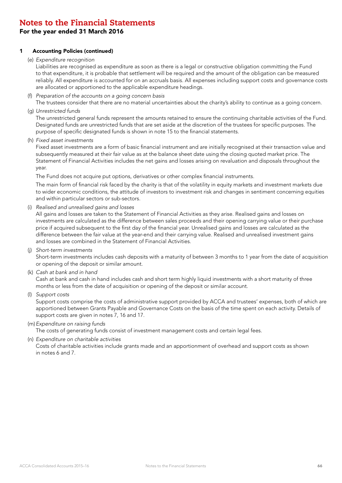### For the year ended 31 March 2016

#### 1 Accounting Policies (continued)

#### (e) *Expenditure recognition*

Liabilities are recognised as expenditure as soon as there is a legal or constructive obligation committing the Fund to that expenditure, it is probable that settlement will be required and the amount of the obligation can be measured reliably. All expenditure is accounted for on an accruals basis. All expenses including support costs and governance costs are allocated or apportioned to the applicable expenditure headings.

#### (f) *Preparation of the accounts on a going concern basis*

The trustees consider that there are no material uncertainties about the charity's ability to continue as a going concern.

(g) *Unrestricted funds*

The unrestricted general funds represent the amounts retained to ensure the continuing charitable activities of the Fund. Designated funds are unrestricted funds that are set aside at the discretion of the trustees for specific purposes. The purpose of specific designated funds is shown in note 15 to the financial statements.

(h) *Fixed asset investments*

Fixed asset investments are a form of basic financial instrument and are initially recognised at their transaction value and subsequently measured at their fair value as at the balance sheet date using the closing quoted market price. The Statement of Financial Activities includes the net gains and losses arising on revaluation and disposals throughout the year.

The Fund does not acquire put options, derivatives or other complex financial instruments.

The main form of financial risk faced by the charity is that of the volatility in equity markets and investment markets due to wider economic conditions, the attitude of investors to investment risk and changes in sentiment concerning equities and within particular sectors or sub-sectors.

(i) *Realised and unrealised gains and losses*

All gains and losses are taken to the Statement of Financial Activities as they arise. Realised gains and losses on investments are calculated as the difference between sales proceeds and their opening carrying value or their purchase price if acquired subsequent to the first day of the financial year. Unrealised gains and losses are calculated as the difference between the fair value at the year-end and their carrying value. Realised and unrealised investment gains and losses are combined in the Statement of Financial Activities.

(j) *Short-term investments*

Short-term investments includes cash deposits with a maturity of between 3 months to 1 year from the date of acquisition or opening of the deposit or similar amount.

(k) *Cash at bank and in hand*

Cash at bank and cash in hand includes cash and short term highly liquid investments with a short maturity of three months or less from the date of acquisition or opening of the deposit or similar account.

(l) *Support costs*

Support costs comprise the costs of administrative support provided by ACCA and trustees' expenses, both of which are apportioned between Grants Payable and Governance Costs on the basis of the time spent on each activity. Details of support costs are given in notes 7, 16 and 17.

(m)*Expenditure on raising funds*

The costs of generating funds consist of investment management costs and certain legal fees.

(n) *Expenditure on charitable activities*

Costs of charitable activities include grants made and an apportionment of overhead and support costs as shown in notes 6 and 7.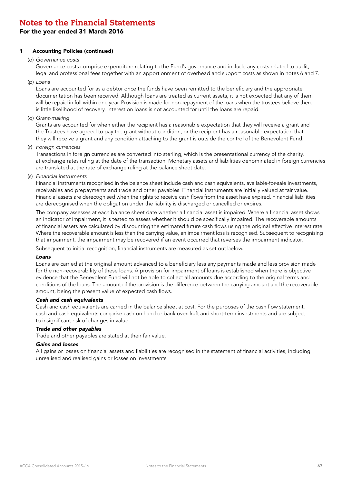### For the year ended 31 March 2016

#### 1 Accounting Policies (continued)

(o) *Governance costs*

Governance costs comprise expenditure relating to the Fund's governance and include any costs related to audit, legal and professional fees together with an apportionment of overhead and support costs as shown in notes 6 and 7.

(p) *Loans*

Loans are accounted for as a debtor once the funds have been remitted to the beneficiary and the appropriate documentation has been received. Although loans are treated as current assets, it is not expected that any of them will be repaid in full within one year. Provision is made for non-repayment of the loans when the trustees believe there is little likelihood of recovery. Interest on loans is not accounted for until the loans are repaid.

(q) *Grant-making*

Grants are accounted for when either the recipient has a reasonable expectation that they will receive a grant and the Trustees have agreed to pay the grant without condition, or the recipient has a reasonable expectation that they will receive a grant and any condition attaching to the grant is outside the control of the Benevolent Fund.

(r) *Foreign currencies*

Transactions in foreign currencies are converted into sterling, which is the presentational currency of the charity, at exchange rates ruling at the date of the transaction. Monetary assets and liabilities denominated in foreign currencies are translated at the rate of exchange ruling at the balance sheet date.

(s) *Financial instruments*

Financial instruments recognised in the balance sheet include cash and cash equivalents, available-for-sale investments, receivables and prepayments and trade and other payables. Financial instruments are initially valued at fair value. Financial assets are derecognised when the rights to receive cash flows from the asset have expired. Financial liabilities are derecognised when the obligation under the liability is discharged or cancelled or expires.

The company assesses at each balance sheet date whether a financial asset is impaired. Where a financial asset shows an indicator of impairment, it is tested to assess whether it should be specifically impaired. The recoverable amounts of financial assets are calculated by discounting the estimated future cash flows using the original effective interest rate. Where the recoverable amount is less than the carrying value, an impairment loss is recognised. Subsequent to recognising that impairment, the impairment may be recovered if an event occurred that reverses the impairment indicator.

Subsequent to initial recognition, financial instruments are measured as set out below.

#### *Loans*

Loans are carried at the original amount advanced to a beneficiary less any payments made and less provision made for the non-recoverability of these loans. A provision for impairment of loans is established when there is objective evidence that the Benevolent Fund will not be able to collect all amounts due according to the original terms and conditions of the loans. The amount of the provision is the difference between the carrying amount and the recoverable amount, being the present value of expected cash flows.

#### *Cash and cash equivalents*

Cash and cash equivalents are carried in the balance sheet at cost. For the purposes of the cash flow statement, cash and cash equivalents comprise cash on hand or bank overdraft and short-term investments and are subject to insignificant risk of changes in value.

#### *Trade and other payables*

Trade and other payables are stated at their fair value.

#### *Gains and losses*

All gains or losses on financial assets and liabilities are recognised in the statement of financial activities, including unrealised and realised gains or losses on investments.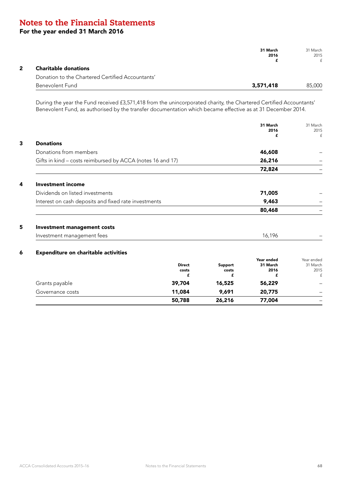### For the year ended 31 March 2016

|              |                                                  | 31 March<br>2016 | 31 March<br>2015 |
|--------------|--------------------------------------------------|------------------|------------------|
| $\mathbf{2}$ | <b>Charitable donations</b>                      |                  | f                |
|              | Donation to the Chartered Certified Accountants' |                  |                  |
|              | Benevolent Fund                                  | 3,571,418        | 85,000           |

During the year the Fund received £3,571,418 from the unincorporated charity, the Chartered Certified Accountants' Benevolent Fund, as authorised by the transfer documentation which became effective as at 31 December 2014.

|                                                            |                             |                       | 31 March<br>2016<br>£               | 31 March<br>2015<br>£               |
|------------------------------------------------------------|-----------------------------|-----------------------|-------------------------------------|-------------------------------------|
| <b>Donations</b>                                           |                             |                       |                                     |                                     |
| Donations from members                                     |                             |                       | 46,608                              |                                     |
| Gifts in kind - costs reimbursed by ACCA (notes 16 and 17) |                             |                       | 26,216                              |                                     |
|                                                            |                             |                       | 72,824                              |                                     |
| <b>Investment income</b>                                   |                             |                       |                                     |                                     |
| Dividends on listed investments                            |                             |                       | 71,005                              |                                     |
| Interest on cash deposits and fixed rate investments       |                             |                       | 9,463                               |                                     |
|                                                            |                             |                       | 80,468                              |                                     |
| <b>Investment management costs</b>                         |                             |                       |                                     |                                     |
| Investment management fees                                 |                             |                       | 16,196                              |                                     |
| <b>Expenditure on charitable activities</b>                |                             |                       |                                     |                                     |
|                                                            | <b>Direct</b><br>costs<br>f | Support<br>costs<br>£ | Year ended<br>31 March<br>2016<br>£ | Year ended<br>31 March<br>2015<br>£ |
| Grants payable                                             | 39,704                      | 16,525                | 56,229                              |                                     |
| Governance costs                                           | 11,084                      | 9,691                 | 20,775                              |                                     |

 $50,788$   $26,216$   $77,004$   $-$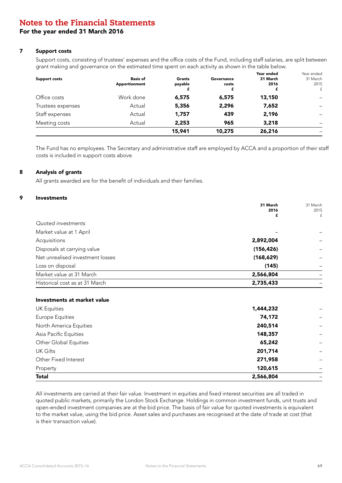### For the year ended 31 March 2016

#### 7 Support costs

Support costs, consisting of trustees' expenses and the office costs of the Fund, including staff salaries, are split between grant making and governance on the estimated time spent on each activity as shown in the table below.

|                 |         |            | Year ended | Year ended |
|-----------------|---------|------------|------------|------------|
| <b>Basis of</b> | Grants  | Governance | 31 March   | 31 March   |
| Apportionment   | payable | costs      | 2016       | 2015       |
|                 |         |            |            | £          |
| Work done       | 6,575   | 6,575      | 13,150     |            |
| Actual          | 5,356   | 2,296      | 7,652      |            |
| Actual          | 1,757   | 439        | 2,196      |            |
| Actual          | 2,253   | 965        | 3,218      |            |
|                 | 15,941  | 10,275     | 26,216     |            |
|                 |         |            |            |            |

The Fund has no employees. The Secretary and administrative staff are employed by ACCA and a proportion of their staff costs is included in support costs above.

#### 8 Analysis of grants

All grants awarded are for the benefit of individuals and their families.

#### 9 Investments

|                                  | 31 March<br>2016<br>£ | 31 March<br>2015<br>£ |
|----------------------------------|-----------------------|-----------------------|
| Quoted investments               |                       |                       |
| Market value at 1 April          |                       |                       |
| Acquisitions                     | 2,892,004             |                       |
| Disposals at carrying value      | (156, 426)            |                       |
| Net unrealised investment losses | (168, 629)            |                       |
| Loss on disposal                 | (145)                 |                       |
| Market value at 31 March         | 2,566,804             |                       |
| Historical cost as at 31 March   | 2,735,433             |                       |

#### Investments at market value

| <b>UK Equities</b>           | 1,444,232 |  |
|------------------------------|-----------|--|
| <b>Europe Equities</b>       | 74,172    |  |
| North America Equities       | 240,514   |  |
| Asia Pacific Equities        | 148,357   |  |
| <b>Other Global Equities</b> | 65,242    |  |
| <b>UK Gilts</b>              | 201,714   |  |
| Other Fixed Interest         | 271,958   |  |
| Property                     | 120,615   |  |
| <b>Total</b>                 | 2,566,804 |  |

All investments are carried at their fair value. Investment in equities and fixed interest securities are all traded in quoted public markets, primarily the London Stock Exchange. Holdings in common investment funds, unit trusts and open-ended investment companies are at the bid price. The basis of fair value for quoted investments is equivalent to the market value, using the bid price. Asset sales and purchases are recognised at the date of trade at cost (that is their transaction value).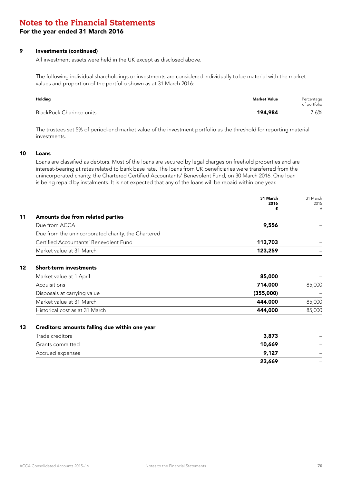For the year ended 31 March 2016

#### 9 Investments (continued)

All investment assets were held in the UK except as disclosed above.

The following individual shareholdings or investments are considered individually to be material with the market values and proportion of the portfolio shown as at 31 March 2016:

| Holding                  | Market Value | Percentage<br>of portfolio |
|--------------------------|--------------|----------------------------|
| BlackRock Charinco units | 194,984      | 7.6%                       |

The trustees set 5% of period-end market value of the investment portfolio as the threshold for reporting material investments.

#### 10 Loans

Loans are classified as debtors. Most of the loans are secured by legal charges on freehold properties and are interest-bearing at rates related to bank base rate. The loans from UK beneficiaries were transferred from the unincorporated charity, the Chartered Certified Accountants' Benevolent Fund, on 30 March 2016. One loan is being repaid by instalments. It is not expected that any of the loans will be repaid within one year.

|         |                                                    | 31 March<br>2016 | 31 March<br>2015 |
|---------|----------------------------------------------------|------------------|------------------|
|         |                                                    | £                | £                |
| 11      | Amounts due from related parties                   |                  |                  |
|         | Due from ACCA                                      | 9,556            |                  |
|         | Due from the unincorporated charity, the Chartered |                  |                  |
|         | Certified Accountants' Benevolent Fund             | 113,703          |                  |
|         | Market value at 31 March                           | 123,259          |                  |
| $12 \,$ | <b>Short-term investments</b>                      |                  |                  |
|         | Market value at 1 April                            | 85,000           |                  |
|         | Acquisitions                                       | 714,000          | 85,000           |
|         | Disposals at carrying value                        | (355,000)        |                  |
|         | Market value at 31 March                           | 444,000          | 85,000           |
|         | Historical cost as at 31 March                     | 444,000          | 85,000           |
| 13      | Creditors: amounts falling due within one year     |                  |                  |
|         | Trade creditors                                    | 3,873            |                  |
|         | Grants committed                                   | 10,669           |                  |
|         | Accrued expenses                                   | 9,127            |                  |
|         |                                                    | 23,669           |                  |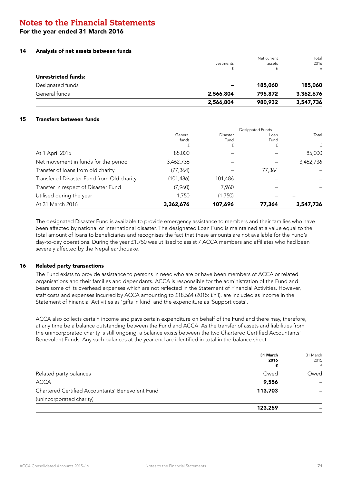### For the year ended 31 March 2016

#### 14 Analysis of net assets between funds

|                     | 2,566,804                | 980,932     | 3,547,736    |
|---------------------|--------------------------|-------------|--------------|
| General funds       | 2,566,804                | 795,872     | 3,362,676    |
| Designated funds    | $\overline{\phantom{a}}$ | 185,060     | 185,060      |
| Unrestricted funds: |                          |             |              |
|                     | t.                       |             | $\mathsf{f}$ |
|                     | Investments              | assets      | 2016         |
|                     |                          | Net current | Total        |

#### 15 Transfers between funds

| At 31 March 2016                           | 3,362,676             | 107,696               | 77,364                           | 3,547,736  |
|--------------------------------------------|-----------------------|-----------------------|----------------------------------|------------|
| Utilised during the year                   | 1,750                 | (1,750)               |                                  |            |
| Transfer in respect of Disaster Fund       | (7,960)               | 7,960                 |                                  |            |
| Transfer of Disaster Fund from Old charity | (101,486)             | 101,486               |                                  |            |
| Transfer of loans from old charity         | (77, 364)             |                       | 77,364                           |            |
| Net movement in funds for the period       | 3,462,736             |                       |                                  | 3,462,736  |
| At 1 April 2015                            | 85,000                |                       |                                  | 85,000     |
|                                            | General<br>funds<br>£ | Disaster<br>Fund<br>£ | Designated Funds<br>Loan<br>Fund | Total<br>f |

The designated Disaster Fund is available to provide emergency assistance to members and their families who have been affected by national or international disaster. The designated Loan Fund is maintained at a value equal to the total amount of loans to beneficiaries and recognises the fact that these amounts are not available for the Fund's day-to-day operations. During the year £1,750 was utilised to assist 7 ACCA members and affiliates who had been severely affected by the Nepal earthquake.

### 16 Related party transactions

The Fund exists to provide assistance to persons in need who are or have been members of ACCA or related organisations and their families and dependants. ACCA is responsible for the administration of the Fund and bears some of its overhead expenses which are not reflected in the Statement of Financial Activities. However, staff costs and expenses incurred by ACCA amounting to £18,564 (2015: £nil), are included as income in the Statement of Financial Activities as 'gifts in kind' and the expenditure as 'Support costs'.

ACCA also collects certain income and pays certain expenditure on behalf of the Fund and there may, therefore, at any time be a balance outstanding between the Fund and ACCA. As the transfer of assets and liabilities from the unincorporated charity is still ongoing, a balance exists between the two Chartered Certified Accountants' Benevolent Funds. Any such balances at the year-end are identified in total in the balance sheet.

|                                                  | 31 March<br>2016 | 31 March<br>2015<br>f |
|--------------------------------------------------|------------------|-----------------------|
| Related party balances                           | Owed             | Owed                  |
| <b>ACCA</b>                                      | 9,556            |                       |
| Chartered Certified Accountants' Benevolent Fund | 113,703          |                       |
| (unincorporated charity)                         |                  |                       |
|                                                  | 123,259          |                       |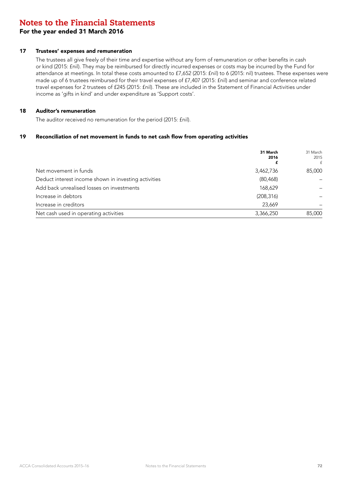### For the year ended 31 March 2016

#### 17 Trustees' expenses and remuneration

The trustees all give freely of their time and expertise without any form of remuneration or other benefits in cash or kind (2015: £nil). They may be reimbursed for directly incurred expenses or costs may be incurred by the Fund for attendance at meetings. In total these costs amounted to £7,652 (2015: £nil) to 6 (2015: nil) trustees. These expenses were made up of 6 trustees reimbursed for their travel expenses of £7,407 (2015: £nil) and seminar and conference related travel expenses for 2 trustees of £245 (2015: £nil). These are included in the Statement of Financial Activities under income as 'gifts in kind' and under expenditure as 'Support costs'.

#### 18 Auditor's remuneration

The auditor received no remuneration for the period (2015: £nil).

#### 19 Reconciliation of net movement in funds to net cash flow from operating activities

|                                                      | 31 March<br>2016<br>£ | 31 March<br>2015<br>£ |
|------------------------------------------------------|-----------------------|-----------------------|
| Net movement in funds                                | 3,462,736             | 85,000                |
| Deduct interest income shown in investing activities | (80, 468)             |                       |
| Add back unrealised losses on investments            | 168,629               |                       |
| Increase in debtors                                  | (208, 316)            |                       |
| Increase in creditors                                | 23,669                |                       |
| Net cash used in operating activities                | 3,366,250             | 85,000                |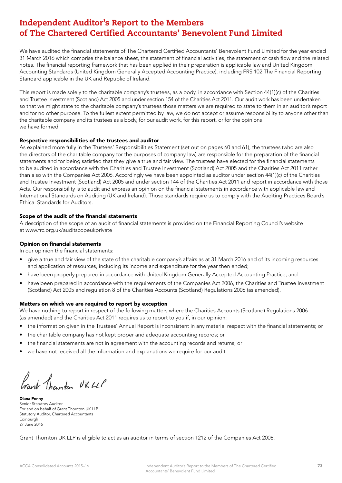# Independent Auditor's Report to the Members of The Chartered Certified Accountants' Benevolent Fund Limited

We have audited the financial statements of The Chartered Certified Accountants' Benevolent Fund Limited for the year ended 31 March 2016 which comprise the balance sheet, the statement of financial activities, the statement of cash flow and the related notes. The financial reporting framework that has been applied in their preparation is applicable law and United Kingdom Accounting Standards (United Kingdom Generally Accepted Accounting Practice), including FRS 102 The Financial Reporting Standard applicable in the UK and Republic of Ireland.

This report is made solely to the charitable company's trustees, as a body, in accordance with Section 44(1)(c) of the Charities and Trustee Investment (Scotland) Act 2005 and under section 154 of the Charities Act 2011. Our audit work has been undertaken so that we might state to the charitable company's trustees those matters we are required to state to them in an auditor's report and for no other purpose. To the fullest extent permitted by law, we do not accept or assume responsibility to anyone other than the charitable company and its trustees as a body, for our audit work, for this report, or for the opinions we have formed.

# Respective responsibilities of the trustees and auditor

As explained more fully in the Trustees' Responsibilities Statement (set out on pages 60 and 61), the trustees (who are also the directors of the charitable company for the purposes of company law) are responsible for the preparation of the financial statements and for being satisfied that they give a true and fair view. The trustees have elected for the financial statements to be audited in accordance with the Charities and Trustee Investment (Scotland) Act 2005 and the Charities Act 2011 rather than also with the Companies Act 2006. Accordingly we have been appointed as auditor under section 44(1)(c) of the Charities and Trustee Investment (Scotland) Act 2005 and under section 144 of the Charities Act 2011 and report in accordance with those Acts. Our responsibility is to audit and express an opinion on the financial statements in accordance with applicable law and International Standards on Auditing (UK and Ireland). Those standards require us to comply with the Auditing Practices Board's Ethical Standards for Auditors.

# Scope of the audit of the financial statements

A description of the scope of an audit of financial statements is provided on the Financial Reporting Council's website at www.frc.org.uk/auditscopeukprivate

### Opinion on financial statements

In our opinion the financial statements:

- give a true and fair view of the state of the charitable company's affairs as at 31 March 2016 and of its incoming resources and application of resources, including its income and expenditure for the year then ended;
- have been properly prepared in accordance with United Kingdom Generally Accepted Accounting Practice; and
- have been prepared in accordance with the requirements of the Companies Act 2006, the Charities and Trustee Investment (Scotland) Act 2005 and regulation 8 of the Charities Accounts (Scotland) Regulations 2006 (as amended).

#### Matters on which we are required to report by exception

We have nothing to report in respect of the following matters where the Charities Accounts (Scotland) Regulations 2006 (as amended) and the Charities Act 2011 requires us to report to you if, in our opinion:

- the information given in the Trustees' Annual Report is inconsistent in any material respect with the financial statements; or
- the charitable company has not kept proper and adequate accounting records; or
- the financial statements are not in agreement with the accounting records and returns; or
- we have not received all the information and explanations we require for our audit.

frank Thanten UK LLP

Diana Penny Senior Statutory Auditor For and on behalf of Grant Thornton UK LLP, Statutory Auditor, Chartered Accountants Edinburgh 27 June 2016

Grant Thornton UK LLP is eligible to act as an auditor in terms of section 1212 of the Companies Act 2006.